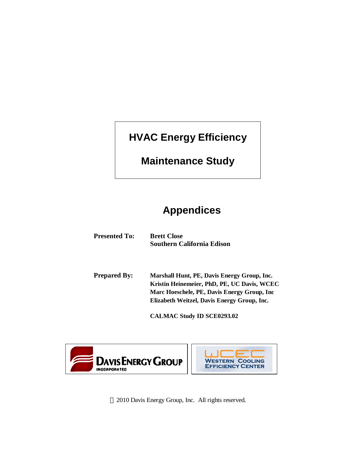# **HVAC Energy Efficiency**

# **Maintenance Study**

# **Appendices**

| <b>Presented To:</b> | <b>Brett Close</b><br><b>Southern California Edison</b>                                                                                                                                   |
|----------------------|-------------------------------------------------------------------------------------------------------------------------------------------------------------------------------------------|
| <b>Prepared By:</b>  | Marshall Hunt, PE, Davis Energy Group, Inc.<br>Kristin Heinemeier, PhD, PE, UC Davis, WCEC<br>Marc Hoeschele, PE, Davis Energy Group, Inc.<br>Elizabeth Weitzel, Davis Energy Group, Inc. |

**CALMAC Study ID SCE0293.02** 





2010 Davis Energy Group, Inc. All rights reserved.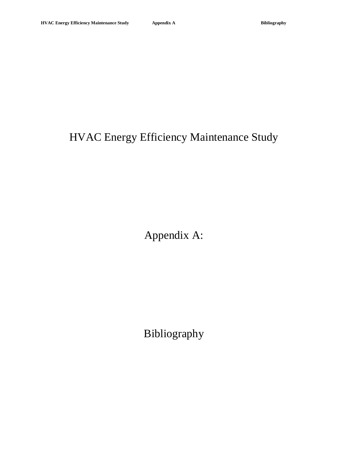# HVAC Energy Efficiency Maintenance Study

Appendix A:

Bibliography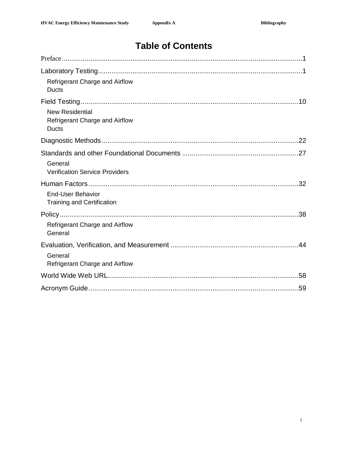# **Table of Contents**

| Refrigerant Charge and Airflow<br><b>Ducts</b>                           |
|--------------------------------------------------------------------------|
| <b>New Residential</b><br>Refrigerant Charge and Airflow<br><b>Ducts</b> |
|                                                                          |
| General<br><b>Verification Service Providers</b>                         |
|                                                                          |
| <b>End-User Behavior</b><br><b>Training and Certification</b>            |
|                                                                          |
| Refrigerant Charge and Airflow<br>General                                |
|                                                                          |
| General<br><b>Refrigerant Charge and Airflow</b>                         |
|                                                                          |
|                                                                          |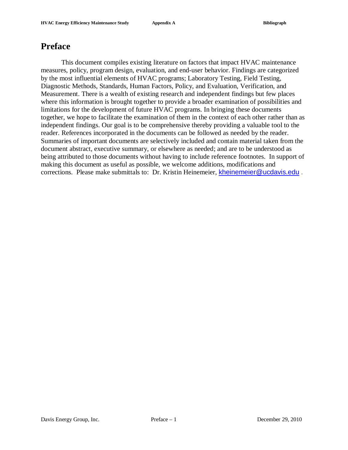## **Preface**

This document compiles existing literature on factors that impact HVAC maintenance measures, policy, program design, evaluation, and end-user behavior. Findings are categorized by the most influential elements of HVAC programs; Laboratory Testing, Field Testing, Diagnostic Methods, Standards, Human Factors, Policy, and Evaluation, Verification, and Measurement. There is a wealth of existing research and independent findings but few places where this information is brought together to provide a broader examination of possibilities and limitations for the development of future HVAC programs. In bringing these documents together, we hope to facilitate the examination of them in the context of each other rather than as independent findings. Our goal is to be comprehensive thereby providing a valuable tool to the reader. References incorporated in the documents can be followed as needed by the reader. Summaries of important documents are selectively included and contain material taken from the document abstract, executive summary, or elsewhere as needed; and are to be understood as being attributed to those documents without having to include reference footnotes. In support of making this document as useful as possible, we welcome additions, modifications and corrections. Please make submittals to: Dr. Kristin Heinemeier, [kheinemeier@ucdavis.edu](mailto:kheinemeier@ucdavis.edu) .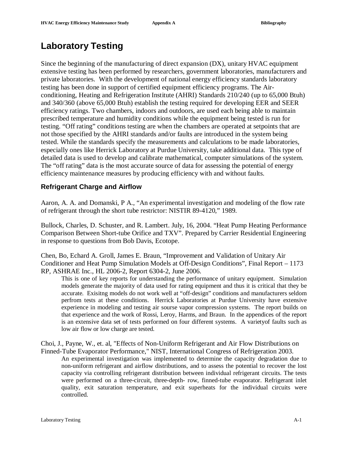# **Laboratory Testing**

Since the beginning of the manufacturing of direct expansion (DX), unitary HVAC equipment extensive testing has been performed by researchers, government laboratories, manufacturers and private laboratories. With the development of national energy efficiency standards laboratory testing has been done in support of certified equipment efficiency programs. The Airconditioning, Heating and Refrigeration Institute (AHRI) Standards 210/240 (up to 65,000 Btuh) and 340/360 (above 65,000 Btuh) establish the testing required for developing EER and SEER efficiency ratings. Two chambers, indoors and outdoors, are used each being able to maintain prescribed temperature and humidity conditions while the equipment being tested is run for testing. "Off rating" conditions testing are when the chambers are operated at setpoints that are not those specified by the AHRI standards and/or faults are introduced in the system being tested. While the standards specify the measurements and calculations to be made laboratories, especially ones like Herrick Laboratory at Purdue University, take additional data. This type of detailed data is used to develop and calibrate mathematical, computer simulations of the system. The "off rating" data is the most accurate source of data for assessing the potential of energy efficiency maintenance measures by producing efficiency with and without faults.

### **Refrigerant Charge and Airflow**

Aaron, A. A. and Domanski, P A., "An experimental investigation and modeling of the flow rate of refrigerant through the short tube restrictor: NISTIR 89-4120," 1989.

Bullock, Charles, D. Schuster, and R. Lambert. July, 16, 2004. "Heat Pump Heating Performance Comparison Between Short-tube Orifice and TXV". Prepared by Carrier Residential Engineering in response to questions from Bob Davis, Ecotope.

Chen, Bo, Echard A. Groll, James E. Braun, "Improvement and Validation of Unitary Air Conditioner and Heat Pump Simulation Models at Off-Design Conditions", Final Report – 1173 RP, ASHRAE Inc., HL 2006-2, Report 6304-2, June 2006.

This is one of key reports for understanding the performance of unitary equipment. Simulation models generate the majority of data used for rating equipment and thus it is critical that they be accurate. Exisitng models do not work well at "off-design" conditions and manufacturers seldom perfrom tests at these conditions. Herrick Laboratories at Purdue University have extensive experience in modeling and testing air sourse vapor compression systems. The report builds on that experience and the work of Rossi, Leroy, Harms, and Braun. In the appendices of the report is an extensive data set of tests performed on four different systems. A varietyof faults such as low air flow or low charge are tested.

Choi, J., Payne, W., et. al, "Effects of Non-Uniform Refrigerant and Air Flow Distributions on Finned-Tube Evaporator Performance," NIST, International Congress of Refrigeration 2003.

An experimental investigation was implemented to determine the capacity degradation due to non-uniform refrigerant and airflow distributions, and to assess the potential to recover the lost capacity via controlling refrigerant distribution between individual refrigerant circuits. The tests were performed on a three-circuit, three-depth- row, finned-tube evaporator. Refrigerant inlet quality, exit saturation temperature, and exit superheats for the individual circuits were controlled.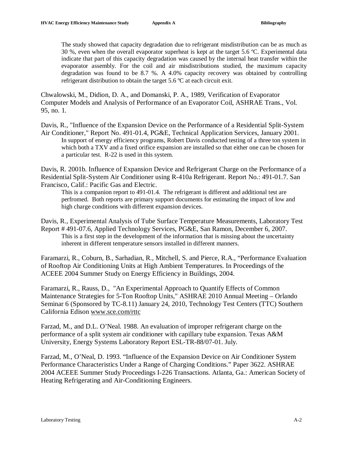The study showed that capacity degradation due to refrigerant misdistribution can be as much as 30 %, even when the overall evaporator superheat is kept at the target 5.6  $^{\circ}$ C. Experimental data indicate that part of this capacity degradation was caused by the internal heat transfer within the evaporator assembly. For the coil and air misdistributions studied, the maximum capacity degradation was found to be 8.7 %. A 4.0% capacity recovery was obtained by controlling refrigerant distribution to obtain the target 5.6 ºC at each circuit exit.

Chwalowski, M., Didion, D. A., and Domanski, P. A., 1989, Verification of Evaporator Computer Models and Analysis of Performance of an Evaporator Coil, ASHRAE Trans., Vol. 95, no. 1.

Davis, R., "Influence of the Expansion Device on the Performance of a Residential Split-System Air Conditioner," Report No. 491-01.4, PG&E, Technical Application Services, January 2001. In support of energy efficiency programs, Robert Davis conducted testing of a three ton system in which both a TXV and a fixed orifice expansion are installed so that either one can be chosen for a particular test. R-22 is used in this system.

Davis, R. 2001b. Influence of Expansion Device and Refrigerant Charge on the Performance of a Residential Split-System Air Conditioner using R-410a Refrigerant. Report No.: 491-01.7. San Francisco, Calif.: Pacific Gas and Electric.

This is a companion report to 491-01.4. The refrigerant is different and additional test are perfromed. Both reports are primary support documents for estimating the impact of low and high charge conditions with different expansion devices.

Davis, R., Experimental Analysis of Tube Surface Temperature Measurements, Laboratory Test Report # 491-07.6, Applied Technology Services, PG&E, San Ramon, December 6, 2007. This is a first step in the development of the information that is missing about the uncertainty inherent in different temperature sensors installed in different manners.

Faramarzi, R., Coburn, B., Sarhadian, R., Mitchell, S. and Pierce, R.A., "Performance Evaluation of Rooftop Air Conditioning Units at High Ambient Temperatures. In Proceedings of the ACEEE 2004 Summer Study on Energy Efficiency in Buildings, 2004.

Faramarzi, R., Rauss, D., "An Experimental Approach to Quantify Effects of Common Maintenance Strategies for 5-Ton Rooftop Units," ASHRAE 2010 Annual Meeting – Orlando Seminar 6 (Sponsored by TC-8.11) January 24, 2010, Technology Test Centers (TTC) Southern California Edison [www.sce.com/rttc](http://www.sce.com/rttc)

Farzad, M., and D.L. O'Neal. 1988. An evaluation of improper refrigerant charge on the performance of a split system air conditioner with capillary tube expansion. Texas A&M University, Energy Systems Laboratory Report ESL-TR-88/07-01. July.

Farzad, M., O'Neal, D. 1993. "Influence of the Expansion Device on Air Conditioner System Performance Characteristics Under a Range of Charging Conditions." Paper 3622. ASHRAE 2004 ACEEE Summer Study Proceedings I-226 Transactions. Atlanta, Ga.: American Society of Heating Refrigerating and Air-Conditioning Engineers.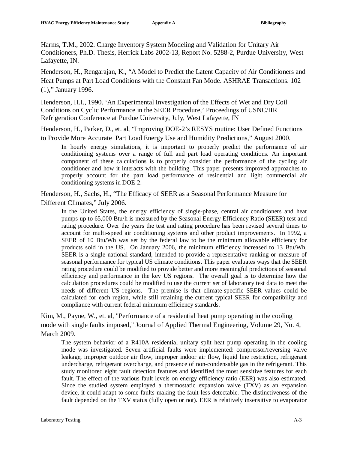Harms, T.M., 2002. Charge Inventory System Modeling and Validation for Unitary Air Conditioners, Ph.D. Thesis, Herrick Labs 2002-13, Report No. 5288-2, Purdue University, West Lafayette, IN.

Henderson, H., Rengarajan, K., "A Model to Predict the Latent Capacity of Air Conditioners and Heat Pumps at Part Load Conditions with the Constant Fan Mode. ASHRAE Transactions. 102 (1)," January 1996.

Henderson, H.I., 1990. 'An Experimental Investigation of the Effects of Wet and Dry Coil Conditions on Cyclic Performance in the SEER Procedure,' Proceedings of USNC/IIR Refrigeration Conference at Purdue University, July, West Lafayette, IN

Henderson, H., Parker, D., et. al, "Improving DOE-2's RESYS routine: User Defined Functions to Provide More Accurate Part Load Energy Use and Humidity Predictions," August 2000.

In hourly energy simulations, it is important to properly predict the performance of air conditioning systems over a range of full and part load operating conditions. An important component of these calculations is to properly consider the performance of the cycling air conditioner and how it interacts with the building. This paper presents improved approaches to properly account for the part load performance of residential and light commercial air conditioning systems in DOE-2.

Henderson, H., Sachs, H., "The Efficacy of SEER as a Seasonal Performance Measure for Different Climates," July 2006.

In the United States, the energy efficiency of single-phase, central air conditioners and heat pumps up to 65,000 Btu/h is measured by the Seasonal Energy Efficiency Ratio (SEER) test and rating procedure. Over the years the test and rating procedure has been revised several times to account for multi-speed air conditioning systems and other product improvements. In 1992, a SEER of 10 Btu/Wh was set by the federal law to be the minimum allowable efficiency for products sold in the US. On January 2006, the minimum efficiency increased to 13 Btu/Wh. SEER is a single national standard, intended to provide a representative ranking or measure of seasonal performance for typical US climate conditions. This paper evaluates ways that the SEER rating procedure could be modified to provide better and more meaningful predictions of seasonal efficiency and performance in the key US regions. The overall goal is to determine how the calculation procedures could be modified to use the current set of laboratory test data to meet the needs of different US regions. The premise is that climate-specific SEER values could be calculated for each region, while still retaining the current typical SEER for compatibility and compliance with current federal minimum efficiency standards.

Kim, M., Payne, W., et. al, "Performance of a residential heat pump operating in the cooling mode with single faults imposed," Journal of Applied Thermal Engineering, Volume 29, No. 4, March 2009.

The system behavior of a R410A residential unitary split heat pump operating in the cooling mode was investigated. Seven artificial faults were implemented: compressor/reversing valve leakage, improper outdoor air flow, improper indoor air flow, liquid line restriction, refrigerant undercharge, refrigerant overcharge, and presence of non-condensable gas in the refrigerant. This study monitored eight fault detection features and identified the most sensitive features for each fault. The effect of the various fault levels on energy efficiency ratio (EER) was also estimated. Since the studied system employed a thermostatic expansion valve (TXV) as an expansion device, it could adapt to some faults making the fault less detectable. The distinctiveness of the fault depended on the TXV status (fully open or not). EER is relatively insensitive to evaporator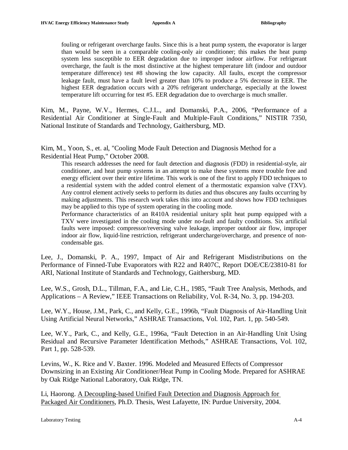fouling or refrigerant overcharge faults. Since this is a heat pump system, the evaporator is larger than would be seen in a comparable cooling-only air conditioner; this makes the heat pump system less susceptible to EER degradation due to improper indoor airflow. For refrigerant overcharge, the fault is the most distinctive at the highest temperature lift (indoor and outdoor temperature difference) test #8 showing the low capacity. All faults, except the compressor leakage fault, must have a fault level greater than 10% to produce a 5% decrease in EER. The highest EER degradation occurs with a 20% refrigerant undercharge, especially at the lowest temperature lift occurring for test #5. EER degradation due to overcharge is much smaller.

Kim, M., Payne, W.V., Hermes, C.J.L., and Domanski, P.A., 2006, "Performance of a Residential Air Conditioner at Single-Fault and Multiple-Fault Conditions," NISTIR 7350, National Institute of Standards and Technology, Gaithersburg, MD.

Kim, M., Yoon, S., et. al, "Cooling Mode Fault Detection and Diagnosis Method for a Residential Heat Pump," October 2008.

This research addresses the need for fault detection and diagnosis (FDD) in residential-style, air conditioner, and heat pump systems in an attempt to make these systems more trouble free and energy efficient over their entire lifetime. This work is one of the first to apply FDD techniques to a residential system with the added control element of a thermostatic expansion valve (TXV). Any control element actively seeks to perform its duties and thus obscures any faults occurring by making adjustments. This research work takes this into account and shows how FDD techniques may be applied to this type of system operating in the cooling mode.

Performance characteristics of an R410A residential unitary split heat pump equipped with a TXV were investigated in the cooling mode under no-fault and faulty conditions. Six artificial faults were imposed: compressor/reversing valve leakage, improper outdoor air flow, improper indoor air flow, liquid-line restriction, refrigerant undercharge/overcharge, and presence of noncondensable gas.

Lee, J., Domanski, P. A., 1997, Impact of Air and Refrigerant Misdistributions on the Performance of Finned-Tube Evaporators with R22 and R407C, Report DOE/CE/23810-81 for ARI, National Institute of Standards and Technology, Gaithersburg, MD.

Lee, W.S., Grosh, D.L., Tillman, F.A., and Lie, C.H., 1985, "Fault Tree Analysis, Methods, and Applications – A Review," IEEE Transactions on Reliability, Vol. R-34, No. 3, pp. 194-203.

Lee, W.Y., House, J.M., Park, C., and Kelly, G.E., 1996b, "Fault Diagnosis of Air-Handling Unit Using Artificial Neural Networks," ASHRAE Transactions, Vol. 102, Part. 1, pp. 540-549.

Lee, W.Y., Park, C., and Kelly, G.E., 1996a, "Fault Detection in an Air-Handling Unit Using Residual and Recursive Parameter Identification Methods," ASHRAE Transactions, Vol. 102, Part 1, pp. 528-539.

Levins, W., K. Rice and V. Baxter. 1996. Modeled and Measured Effects of Compressor Downsizing in an Existing Air Conditioner/Heat Pump in Cooling Mode. Prepared for ASHRAE by Oak Ridge National Laboratory, Oak Ridge, TN.

Li, Haorong. A Decoupling-based Unified Fault Detection and Diagnosis Approach for Packaged Air Conditioners, Ph.D. Thesis, West Lafayette, IN: Purdue University, 2004.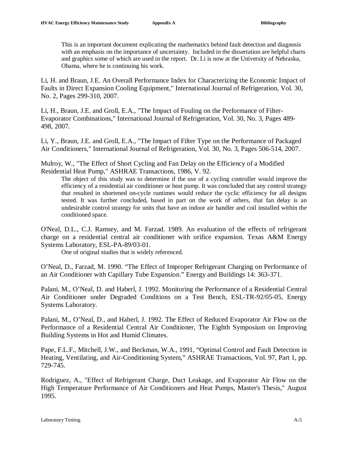This is an important document explicating the mathematics behind fault detection and diagnosis with an emphasis on the importance of uncertainty. Included in the dissertation are helpful charts and graphics some of which are used in the report. Dr. Li is now at the University of Nebraska, Ohama, where he is continuing his work.

Li, H. and Braun, J.E. An Overall Performance Index for Characterizing the Economic Impact of Faults in Direct Expansion Cooling Equipment," International Journal of Refrigeration, Vol. 30, No. 2, Pages 299-310, 2007.

Li, H., Braun, J.E. and Groll, E.A., "The Impact of Fouling on the Performance of Filter-Evaporator Combinations," International Journal of Refrigeration, Vol. 30, No. 3, Pages 489- 498, 2007.

Li, Y., Braun, J.E. and Groll, E.A., "The Impact of Filter Type on the Performance of Packaged Air Conditioners," International Journal of Refrigeration, Vol. 30, No. 3, Pages 506-514, 2007.

Mulroy, W., "The Effect of Short Cycling and Fan Delay on the Efficiency of a Modified Residential Heat Pump," ASHRAE Transactions, 1986, V. 92.

The object of this study was to determine if the use of a cycling controller would improve the efficiency of a residential air conditioner or heat pump. It was concluded that any control strategy that resulted in shortened on-cycle runtimes would reduce the cyclic efficiency for all designs tested. It was further concluded, based in part on the work of others, that fan delay is an undesirable control strategy for units that have an indoor air handler and coil installed within the conditioned space.

O'Neal, D.L., C.J. Ramsey, and M. Farzad. 1989. An evaluation of the effects of refrigerant charge on a residential central air conditioner with orifice expansion. Texas A&M Energy Systems Laboratory, ESL-PA-89/03-01.

One of original studies that is widely referenced.

O'Neal, D., Farzad, M. 1990. "The Effect of Improper Refrigerant Charging on Performance of an Air Conditioner with Capillary Tube Expansion." Energy and Buildings 14: 363-371.

Palani, M., O'Neal, D. and Haberl, J. 1992. Monitoring the Performance of a Residential Central Air Conditioner under Degraded Conditions on a Test Bench, ESL-TR-92/05-05, Energy Systems Laboratory.

Palani, M., O'Neal, D., and Haberl, J. 1992. The Effect of Reduced Evaporator Air Flow on the Performance of a Residential Central Air Conditioner, The Eighth Symposium on Improving Building Systems in Hot and Humid Climates.

Pape, F.L.F., Mitchell, J.W., and Beckman, W.A., 1991, "Optimal Control and Fault Detection in Heating, Ventilating, and Air-Conditioning System," ASHRAE Transactions, Vol. 97, Part 1, pp. 729-745.

Rodriguez, A., "Effect of Refrigerant Charge, Duct Leakage, and Evaporator Air Flow on the High Temperature Performance of Air Conditioners and Heat Pumps, Master's Thesis," August 1995.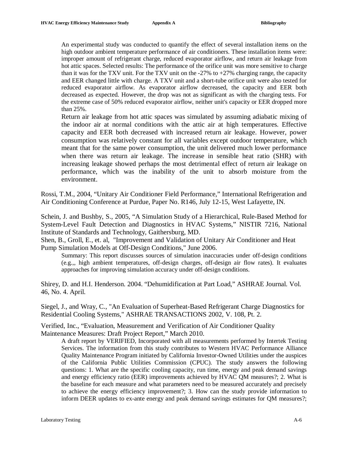An experimental study was conducted to quantify the effect of several installation items on the high outdoor ambient temperature performance of air conditioners. These installation items were: improper amount of refrigerant charge, reduced evaporator airflow, and return air leakage from hot attic spaces. Selected results: The performance of the orifice unit was more sensitive to charge than it was for the TXV unit. For the TXV unit on the  $-27\%$  to  $+27\%$  charging range, the capacity and EER changed little with charge. A TXV unit and a short-tube orifice unit were also tested for reduced evaporator airflow. As evaporator airflow decreased, the capacity and EER both decreased as expected. However, the drop was not as significant as with the charging tests. For the extreme case of 50% reduced evaporator airflow, neither unit's capacity or EER dropped more than 25%.

Return air leakage from hot attic spaces was simulated by assuming adiabatic mixing of the indoor air at normal conditions with the attic air at high temperatures. Effective capacity and EER both decreased with increased return air leakage. However, power consumption was relatively constant for all variables except outdoor temperature, which meant that for the same power consumption, the unit delivered much lower performance when there was return air leakage. The increase in sensible heat ratio (SHR) with increasing leakage showed perhaps the most detrimental effect of return air leakage on performance, which was the inability of the unit to absorb moisture from the environment.

Rossi, T.M., 2004, "Unitary Air Conditioner Field Performance," International Refrigeration and Air Conditioning Conference at Purdue, Paper No. R146, July 12-15, West Lafayette, IN.

Schein, J. and Bushby, S., 2005, "A Simulation Study of a Hierarchical, Rule-Based Method for System-Level Fault Detection and Diagnostics in HVAC Systems," NISTIR 7216, National Institute of Standards and Technology, Gaithersburg, MD.

Shen, B., Groll, E., et. al, "Improvement and Validation of Unitary Air Conditioner and Heat Pump Simulation Models at Off-Design Conditions," June 2006.

Summary: This report discusses sources of simulation inaccuracies under off-design conditions (e.g.,, high ambient temperatures, off-design charges, off-design air flow rates). It evaluates approaches for improving simulation accuracy under off-design conditions.

Shirey, D. and H.I. Henderson. 2004. "Dehumidification at Part Load," ASHRAE Journal. Vol. 46, No. 4. April.

Siegel, J., and Wray, C., "An Evaluation of Superheat-Based Refrigerant Charge Diagnostics for Residential Cooling Systems," ASHRAE TRANSACTIONS 2002, V. 108, Pt. 2.

Verified, Inc., "Evaluation, Measurement and Verification of Air Conditioner Quality Maintenance Measures: Draft Project Report," March 2010.

A draft report by VERIFIED, Incorporated with all measurements performed by Intertek Testing Services. The information from this study contributes to Western HVAC Performance Alliance Quality Maintenance Program initiated by California Investor-Owned Utilities under the auspices of the California Public Utilities Commission (CPUC). The study answers the following questions: 1. What are the specific cooling capacity, run time, energy and peak demand savings and energy efficiency ratio (EER) improvements achieved by HVAC QM measures?; 2. What is the baseline for each measure and what parameters need to be measured accurately and precisely to achieve the energy efficiency improvement?; 3. How can the study provide information to inform DEER updates to ex-ante energy and peak demand savings estimates for QM measures?;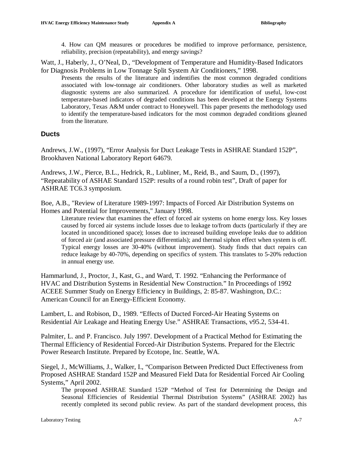4. How can QM measures or procedures be modified to improve performance, persistence, reliability, precision (repeatability), and energy savings?

Watt, J., Haberly, J., O'Neal, D., "Development of Temperature and Humidity-Based Indicators for Diagnosis Problems in Low Tonnage Split System Air Conditioners," 1998.

Presents the results of the literature and indentifies the most common degraded conditions associated with low-tonnage air conditioners. Other laboratory studies as well as marketed diagnostic systems are also summarized. A procedure for identification of useful, low-cost temperature-based indicators of degraded conditions has been developed at the Energy Systems Laboratory, Texas A&M under contract to Honeywell. This paper presents the methodology used to identify the temperature-based indicators for the most common degraded conditions gleaned from the literature.

#### **Ducts**

Andrews, J.W., (1997), "Error Analysis for Duct Leakage Tests in ASHRAE Standard 152P", Brookhaven National Laboratory Report 64679.

Andrews, J.W., Pierce, B.L., Hedrick, R., Lubliner, M., Reid, B., and Saum, D., (1997), "Repeatability of ASHAE Standard 152P: results of a round robin test", Draft of paper for ASHRAE TC6.3 symposium.

Boe, A.B., "Review of Literature 1989-1997: Impacts of Forced Air Distribution Systems on Homes and Potential for Improvements," January 1998.

Literature review that examines the effect of forced air systems on home energy loss. Key losses caused by forced air systems include losses due to leakage to/from ducts (particularly if they are located in unconditioned space); losses due to increased building envelope leaks due to addition of forced air (and associated pressure differentials); and thermal siphon effect when system is off. Typical energy losses are 30-40% (without improvement). Study finds that duct repairs can reduce leakage by 40-70%, depending on specifics of system. This translates to 5-20% reduction in annual energy use.

Hammarlund, J., Proctor, J., Kast, G., and Ward, T. 1992. "Enhancing the Performance of HVAC and Distribution Systems in Residential New Construction." In Proceedings of 1992 ACEEE Summer Study on Energy Efficiency in Buildings, 2: 85-87. Washington, D.C.: American Council for an Energy-Efficient Economy.

Lambert, L. and Robison, D., 1989. "Effects of Ducted Forced-Air Heating Systems on Residential Air Leakage and Heating Energy Use." ASHRAE Transactions, v95.2, 534-41.

Palmiter, L. and P. Francisco. July 1997. Development of a Practical Method for Estimating the Thermal Efficiency of Residential Forced-Air Distribution Systems. Prepared for the Electric Power Research Institute. Prepared by Ecotope, Inc. Seattle, WA.

Siegel, J., McWilliams, J., Walker, I., "Comparison Between Predicted Duct Effectiveness from Proposed ASHRAE Standard 152P and Measured Field Data for Residential Forced Air Cooling Systems," April 2002.

The proposed ASHRAE Standard 152P "Method of Test for Determining the Design and Seasonal Efficiencies of Residential Thermal Distribution Systems" (ASHRAE 2002) has recently completed its second public review. As part of the standard development process, this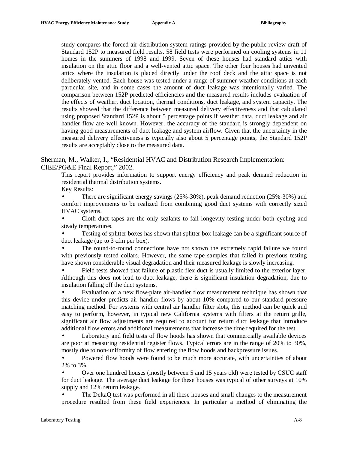study compares the forced air distribution system ratings provided by the public review draft of Standard 152P to measured field results. 58 field tests were performed on cooling systems in 11 homes in the summers of 1998 and 1999. Seven of these houses had standard attics with insulation on the attic floor and a well-vented attic space. The other four houses had unvented attics where the insulation is placed directly under the roof deck and the attic space is not deliberately vented. Each house was tested under a range of summer weather conditions at each particular site, and in some cases the amount of duct leakage was intentionally varied. The comparison between 152P predicted efficiencies and the measured results includes evaluation of the effects of weather, duct location, thermal conditions, duct leakage, and system capacity. The results showed that the difference between measured delivery effectiveness and that calculated using proposed Standard 152P is about 5 percentage points if weather data, duct leakage and air handler flow are well known. However, the accuracy of the standard is strongly dependent on having good measurements of duct leakage and system airflow. Given that the uncertainty in the measured delivery effectiveness is typically also about 5 percentage points, the Standard 152P results are acceptably close to the measured data.

Sherman, M., Walker, I., "Residential HVAC and Distribution Research Implementation: CIEE/PG&E Final Report," 2002.

This report provides information to support energy efficiency and peak demand reduction in residential thermal distribution systems.

Key Results:

• There are significant energy savings (25%-30%), peak demand reduction (25%-30%) and comfort improvements to be realized from combining good duct systems with correctly sized HVAC systems.

• Cloth duct tapes are the only sealants to fail longevity testing under both cycling and steady temperatures.

• Testing of splitter boxes has shown that splitter box leakage can be a significant source of duct leakage (up to 3 cfm per box).

The round-to-round connections have not shown the extremely rapid failure we found with previously tested collars. However, the same tape samples that failed in previous testing have shown considerable visual degradation and their measured leakage is slowly increasing.

• Field tests showed that failure of plastic flex duct is usually limited to the exterior layer. Although this does not lead to duct leakage, there is significant insulation degradation, due to insulation falling off the duct systems.

• Evaluation of a new flow-plate air-handler flow measurement technique has shown that this device under predicts air handler flows by about 10% compared to our standard pressure matching method. For systems with central air handler filter slots, this method can be quick and easy to perform, however, in typical new California systems with filters at the return grille, significant air flow adjustments are required to account for return duct leakage that introduce additional flow errors and additional measurements that increase the time required for the test.

• Laboratory and field tests of flow hoods has shown that commercially available devices are poor at measuring residential register flows. Typical errors are in the range of 20% to 30%, mostly due to non-uniformity of flow entering the flow hoods and backpressure issues.

• Powered flow hoods were found to be much more accurate, with uncertainties of about 2% to 3%.

• Over one hundred houses (mostly between 5 and 15 years old) were tested by CSUC staff for duct leakage. The average duct leakage for these houses was typical of other surveys at 10% supply and 12% return leakage.

• The DeltaQ test was performed in all these houses and small changes to the measurement procedure resulted from these field experiences. In particular a method of eliminating the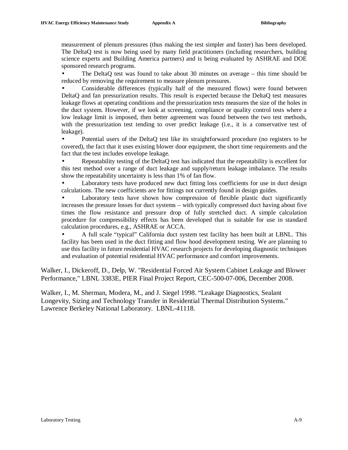measurement of plenum pressures (thus making the test simpler and faster) has been developed. The DeltaQ test is now being used by many field practitioners (including researchers, building science experts and Building America partners) and is being evaluated by ASHRAE and DOE sponsored research programs.

• The DeltaQ test was found to take about 30 minutes on average – this time should be reduced by removing the requirement to measure plenum pressures.

• Considerable differences (typically half of the measured flows) were found between DeltaQ and fan pressurization results. This result is expected because the DeltaQ test measures leakage flows at operating conditions and the pressurization tests measures the size of the holes in the duct system. However, if we look at screening, compliance or quality control tests where a low leakage limit is imposed, then better agreement was found between the two test methods, with the pressurization test tending to over predict leakage (i.e., it is a conservative test of leakage).

• Potential users of the DeltaO test like its straightforward procedure (no registers to be covered), the fact that it uses existing blower door equipment, the short time requirements and the fact that the test includes envelope leakage.

• Repeatability testing of the DeltaQ test has indicated that the repeatability is excellent for this test method over a range of duct leakage and supply/return leakage imbalance. The results show the repeatability uncertainty is less than 1% of fan flow.

Laboratory tests have produced new duct fitting loss coefficients for use in duct design calculations. The new coefficients are for fittings not currently found in design guides.

Laboratory tests have shown how compression of flexible plastic duct significantly increases the pressure losses for duct systems – with typically compressed duct having about five times the flow resistance and pressure drop of fully stretched duct. A simple calculation procedure for compressibility effects has been developed that is suitable for use in standard calculation procedures, e.g., ASHRAE or ACCA.

• A full scale "typical" California duct system test facility has been built at LBNL. This facility has been used in the duct fitting and flow hood development testing. We are planning to use this facility in future residential HVAC research projects for developing diagnostic techniques and evaluation of potential residential HVAC performance and comfort improvements.

Walker, I., Dickeroff, D., Delp, W. "Residential Forced Air System Cabinet Leakage and Blower Performance," LBNL 3383E, PIER Final Project Report, CEC-500-07-006, December 2008.

Walker, I., M. Sherman, Modera, M., and J. Siegel 1998. "Leakage Diagnostics, Sealant Longevity, Sizing and Technology Transfer in Residential Thermal Distribution Systems." Lawrence Berkeley National Laboratory. LBNL-41118.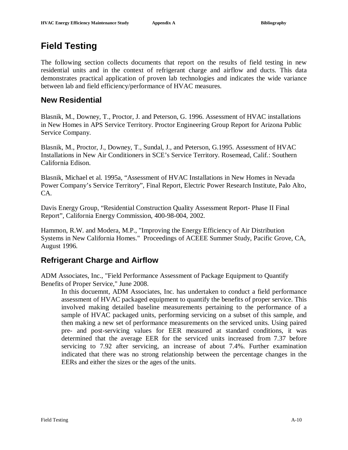# **Field Testing**

The following section collects documents that report on the results of field testing in new residential units and in the context of refrigerant charge and airflow and ducts. This data demonstrates practical application of proven lab technologies and indicates the wide variance between lab and field efficiency/performance of HVAC measures.

### **New Residential**

Blasnik, M., Downey, T., Proctor, J. and Peterson, G. 1996. Assessment of HVAC installations in New Homes in APS Service Territory. Proctor Engineering Group Report for Arizona Public Service Company.

Blasnik, M., Proctor, J., Downey, T., Sundal, J., and Peterson, G.1995. Assessment of HVAC Installations in New Air Conditioners in SCE's Service Territory. Rosemead, Calif.: Southern California Edison.

Blasnik, Michael et al. 1995a, "Assessment of HVAC Installations in New Homes in Nevada Power Company's Service Territory", Final Report, Electric Power Research Institute, Palo Alto, CA.

Davis Energy Group, "Residential Construction Quality Assessment Report- Phase II Final Report", California Energy Commission, 400-98-004, 2002.

Hammon, R.W. and Modera, M.P., "Improving the Energy Efficiency of Air Distribution Systems in New California Homes." Proceedings of ACEEE Summer Study, Pacific Grove, CA, August 1996.

## **Refrigerant Charge and Airflow**

ADM Associates, Inc., "Field Performance Assessment of Package Equipment to Quantify Benefits of Proper Service," June 2008.

In this docuemnt, ADM Associates, Inc. has undertaken to conduct a field performance assessment of HVAC packaged equipment to quantify the benefits of proper service. This involved making detailed baseline measurements pertaining to the performance of a sample of HVAC packaged units, performing servicing on a subset of this sample, and then making a new set of performance measurements on the serviced units. Using paired pre- and post-servicing values for EER measured at standard conditions, it was determined that the average EER for the serviced units increased from 7.37 before servicing to 7.92 after servicing, an increase of about 7.4%. Further examination indicated that there was no strong relationship between the percentage changes in the EERs and either the sizes or the ages of the units.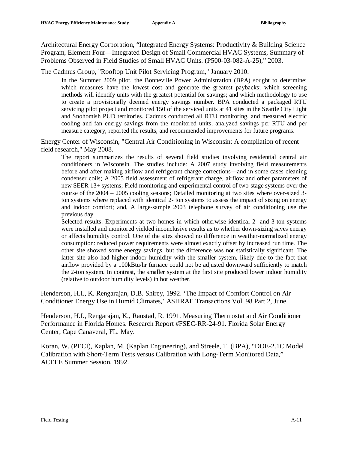Architectural Energy Corporation, "Integrated Energy Systems: Productivity & Building Science Program, Element Four—Integrated Design of Small Commercial HVAC Systems, Summary of Problems Observed in Field Studies of Small HVAC Units. (P500-03-082-A-25)," 2003.

The Cadmus Group, "Rooftop Unit Pilot Servicing Program," January 2010.

In the Summer 2009 pilot, the Bonneville Power Administration (BPA) sought to determine: which measures have the lowest cost and generate the greatest paybacks; which screening methods will identify units with the greatest potential for savings; and which methodology to use to create a provisionally deemed energy savings number. BPA conducted a packaged RTU servicing pilot project and monitored 150 of the serviced units at 41 sites in the Seattle City Light and Snohomish PUD territories. Cadmus conducted all RTU monitoring, and measured electric cooling and fan energy savings from the monitored units, analyzed savings per RTU and per measure category, reported the results, and recommended improvements for future programs.

Energy Center of Wisconsin, "Central Air Conditioning in Wisconsin: A compilation of recent field research," May 2008.

The report summarizes the results of several field studies involving residential central air conditioners in Wisconsin. The studies include: A 2007 study involving field measurements before and after making airflow and refrigerant charge corrections—and in some cases cleaning condenser coils; A 2005 field assessment of refrigerant charge, airflow and other parameters of new SEER 13+ systems; Field monitoring and experimental control of two-stage systems over the course of the 2004 – 2005 cooling seasons; Detailed monitoring at two sites where over-sized 3 ton systems where replaced with identical 2- ton systems to assess the impact of sizing on energy and indoor comfort; and, A large-sample 2003 telephone survey of air conditioning use the previous day.

Selected results: Experiments at two homes in which otherwise identical 2- and 3-ton systems were installed and monitored yielded inconclusive results as to whether down-sizing saves energy or affects humidity control. One of the sites showed no difference in weather-normalized energy consumption: reduced power requirements were almost exactly offset by increased run time. The other site showed some energy savings, but the difference was not statistically significant. The latter site also had higher indoor humidity with the smaller system, likely due to the fact that airflow provided by a 100kBtu/hr furnace could not be adjusted downward sufficiently to match the 2-ton system. In contrast, the smaller system at the first site produced lower indoor humidity (relative to outdoor humidity levels) in hot weather.

Henderson, H.I., K. Rengarajan, D.B. Shirey, 1992. 'The Impact of Comfort Control on Air Conditioner Energy Use in Humid Climates,' ASHRAE Transactions Vol. 98 Part 2, June.

Henderson, H.I., Rengarajan, K., Raustad, R. 1991. Measuring Thermostat and Air Conditioner Performance in Florida Homes. Research Report #FSEC-RR-24-91. Florida Solar Energy Center, Cape Canaveral, FL. May.

Koran, W. (PECI), Kaplan, M. (Kaplan Engineering), and Streele, T. (BPA), "DOE-2.1C Model Calibration with Short-Term Tests versus Calibration with Long-Term Monitored Data," ACEEE Summer Session, 1992.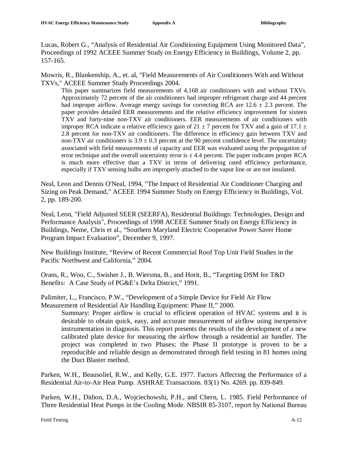Lucas, Robert G., "Analysis of Residential Air Conditioning Equipment Using Monitored Data", Proceedings of 1992 ACEEE Summer Study on Energy Efficiency in Buildings, Volume 2, pp. 157-165.

Mowris, R., Blankenship, A., et. al, "Field Measurements of Air Conditioners With and Without TXVs," ACEEE Summer Study Proceedings 2004.

This paper summarizes field measurements of 4,168 air conditioners with and without TXVs. Approximately 72 percent of the air conditioners had improper refrigerant charge and 44 percent had improper airflow. Average energy savings for correcting RCA are  $12.6 \pm 2.3$  percent. The paper provides detailed EER measurements and the relative efficiency improvement for sixteen TXV and forty-nine non-TXV air conditioners. EER measurements of air conditioners with improper RCA indicate a relative efficiency gain of 21  $\pm$  7 percent for TXV and a gain of 17.1  $\pm$ 2.8 percent for non-TXV air conditioners. The difference in efficiency gain between TXV and non-TXV air conditioners is  $3.9 \pm 0.3$  percent at the 90 percent confidence level. The uncertainty associated with field measurements of capacity and EER was evaluated using the propagation of error technique and the overall uncertainty error is  $\pm$  4.4 percent. The paper indicates proper RCA is much more effective than a TXV in terms of delivering rated efficiency performance, especially if TXV sensing bulbs are improperly attached to the vapor line or are not insulated.

Neal, Leon and Dennis O'Neal, 1994, "The Impact of Residential Air Conditioner Charging and Sizing on Peak Demand," ACEEE 1994 Summer Study on Energy Efficiency in Buildings, Vol. 2, pp. 189-200.

Neal, Leon, "Field Adjusted SEER (SEERFA), Residential Buildings: Technologies, Design and Performance Analysis", Proceedings of 1998 ACEEE Summer Study on Energy Efficiency in Buildings, Neme, Chris et al., "Southern Maryland Electric Cooperative Power Saver Home Program Impact Evaluation", December 9, 1997.

New Buildings Institute, "Review of Recent Commercial Roof Top Unit Field Studies in the Pacific Northwest and California," 2004.

Orans, R., Woo, C., Swisher J., B. Wiersma, B., and Horit, B., "Targeting DSM for T&D Benefits: A Case Study of PG&E's Delta District," 1991.

Palimiter, L., Francisco, P.W., "Development of a Simple Device for Field Air Flow Measurement of Residential Air Handling Equipment: Phase II," 2000.

Summary: Proper airflow is crucial to efficient operation of HVAC systems and it is desirable to obtain quick, easy, and accurate measurement of airflow using inexpensive instrumentation in diagnosis. This report presents the results of the development of a new calibrated plate device for measuring the airflow through a residential air handler. The project was completed in two Phases; the Phase II prototype is proven to be a reproducible and reliable design as demonstrated through field testing in 81 homes using the Duct Blaster method.

Parken, W.H., Beausoliel, R.W., and Kelly, G.E. 1977. Factors Affecting the Performance of a Residential Air-to-Air Heat Pump. ASHRAE Transactions. 83(1) No. 4269. pp. 839-849.

Parken, W.H., Didion, D.A., Wojciechowshi, P.H., and Chern, L. 1985. Field Performance of Three Residential Heat Pumps in the Cooling Mode. NBSIR 85-3107, report by National Bureau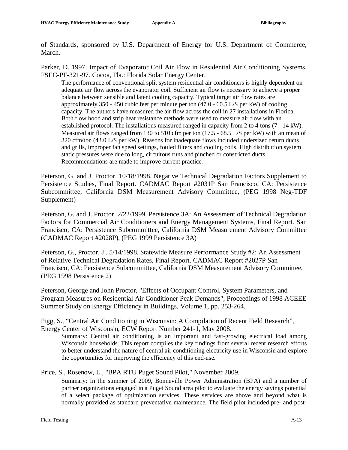of Standards, sponsored by U.S. Department of Energy for U.S. Department of Commerce, March.

Parker, D. 1997. Impact of Evaporator Coil Air Flow in Residential Air Conditioning Systems, FSEC-PF-321-97. Cocoa, Fla.: Florida Solar Energy Center.

The performance of conventional split system residential air conditioners is highly dependent on adequate air flow across the evaporator coil. Sufficient air flow is necessary to achieve a proper balance between sensible and latent cooling capacity. Typical target air flow rates are approximately 350 - 450 cubic feet per minute per ton (47.0 - 60.5 L/S per kW) of cooling capacity. The authors have measured the air flow across the coil in 27 installations in Florida. Both flow hood and strip heat resistance methods were used to measure air flow with an established protocol. The installations measured ranged in capacity from 2 to 4 tons (7 - 14 kW). Measured air flows ranged from 130 to 510 cfm per ton (17.5 - 68.5 L/S per kW) with an mean of 320 cfm/ton (43.0 L/S per kW). Reasons for inadequate flows included undersized return ducts and grills, improper fan speed settings, fouled filters and cooling coils. High distribution system static pressures were due to long, circuitous runs and pinched or constricted ducts. Recommendations are made to improve current practice.

Peterson, G. and J. Proctor. 10/18/1998. Negative Technical Degradation Factors Supplement to Persistence Studies, Final Report. CADMAC Report #2031P San Francisco, CA: Persistence Subcommittee, California DSM Measurement Advisory Committee, (PEG 1998 Neg-TDF Supplement)

Peterson, G. and J. Proctor. 2/22/1999. Persistence 3A: An Assessment of Technical Degradation Factors for Commercial Air Conditioners and Energy Management Systems, Final Report. San Francisco, CA: Persistence Subcommittee, California DSM Measurement Advisory Committee (CADMAC Report #2028P), (PEG 1999 Persistence 3A)

Peterson, G., Proctor, J.. 5/14/1998. Statewide Measure Performance Study #2: An Assessment of Relative Technical Degradation Rates, Final Report. CADMAC Report #2027P San Francisco, CA: Persistence Subcommittee, California DSM Measurement Advisory Committee, (PEG 1998 Persistence 2)

Peterson, George and John Proctor, "Effects of Occupant Control, System Parameters, and Program Measures on Residential Air Conditioner Peak Demands", Proceedings of 1998 ACEEE Summer Study on Energy Efficiency in Buildings, Volume 1, pp. 253-264.

Pigg, S., "Central Air Conditioning in Wisconsin: A Compilation of Recent Field Research", Energy Center of Wisconsin, ECW Report Number 241-1, May 2008.

Summary: Central air conditioning is an important and fast-growing electrical load among Wisconsin households. This report compiles the key findings from several recent research efforts to better understand the nature of central air conditioning electricity use in Wisconsin and explore the opportunities for improving the efficiency of this end-use.

Price, S., Rosenow, L., "BPA RTU Puget Sound Pilot," November 2009.

Summary: In the summer of 2009, Bonneville Power Administration (BPA) and a number of partner organizations engaged in a Puget Sound area pilot to evaluate the energy savings potential of a select package of optimization services. These services are above and beyond what is normally provided as standard preventative maintenance. The field pilot included pre- and post-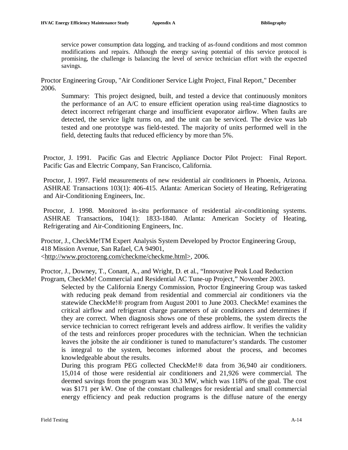service power consumption data logging, and tracking of as-found conditions and most common modifications and repairs. Although the energy saving potential of this service protocol is promising, the challenge is balancing the level of service technician effort with the expected savings.

Proctor Engineering Group, "Air Conditioner Service Light Project, Final Report," December 2006.

Summary: This project designed, built, and tested a device that continuously monitors the performance of an A/C to ensure efficient operation using real-time diagnostics to detect incorrect refrigerant charge and insufficient evaporator airflow. When faults are detected, the service light turns on, and the unit can be serviced. The device was lab tested and one prototype was field-tested. The majority of units performed well in the field, detecting faults that reduced efficiency by more than 5%.

Proctor, J. 1991. Pacific Gas and Electric Appliance Doctor Pilot Project: Final Report. Pacific Gas and Electric Company, San Francisco, California.

Proctor, J. 1997. Field measurements of new residential air conditioners in Phoenix, Arizona. ASHRAE Transactions 103(1): 406-415. Atlanta: American Society of Heating, Refrigerating and Air-Conditioning Engineers, Inc.

Proctor, J. 1998. Monitored in-situ performance of residential air-conditioning systems. ASHRAE Transactions, 104(1): 1833-1840. Atlanta: American Society of Heating, Refrigerating and Air-Conditioning Engineers, Inc.

Proctor, J., CheckMe!TM Expert Analysis System Developed by Proctor Engineering Group, 418 Mission Avenue, San Rafael, CA 94901, <[http://www.proctoreng.com/checkme/checkme.html>,](http://www.proctoreng.com/checkme/checkme.html>) 2006.

Proctor, J., Downey, T., Conant, A., and Wright, D. et al., "Innovative Peak Load Reduction Program, CheckMe! Commercial and Residential AC Tune-up Project," November 2003.

Selected by the California Energy Commission, Proctor Engineering Group was tasked with reducing peak demand from residential and commercial air conditioners via the statewide CheckMe!® program from August 2001 to June 2003. CheckMe! examines the critical airflow and refrigerant charge parameters of air conditioners and determines if they are correct. When diagnosis shows one of these problems, the system directs the service technician to correct refrigerant levels and address airflow. It verifies the validity of the tests and reinforces proper procedures with the technician. When the technician leaves the jobsite the air conditioner is tuned to manufacturer's standards. The customer is integral to the system, becomes informed about the process, and becomes knowledgeable about the results.

During this program PEG collected CheckMe!® data from 36,940 air conditioners. 15,014 of those were residential air conditioners and 21,926 were commercial. The deemed savings from the program was 30.3 MW, which was 118% of the goal. The cost was \$171 per kW. One of the constant challenges for residential and small commercial energy efficiency and peak reduction programs is the diffuse nature of the energy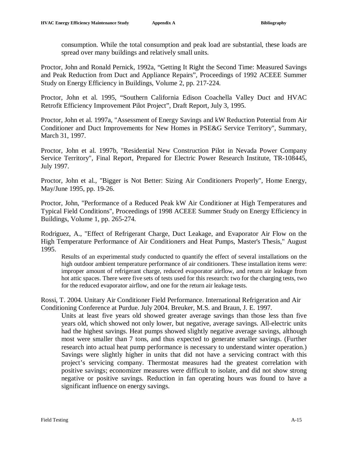consumption. While the total consumption and peak load are substantial, these loads are spread over many buildings and relatively small units.

Proctor, John and Ronald Pernick, 1992a, "Getting It Right the Second Time: Measured Savings and Peak Reduction from Duct and Appliance Repairs", Proceedings of 1992 ACEEE Summer Study on Energy Efficiency in Buildings, Volume 2, pp. 217-224.

Proctor, John et al. 1995, "Southern California Edison Coachella Valley Duct and HVAC Retrofit Efficiency Improvement Pilot Project", Draft Report, July 3, 1995.

Proctor, John et al. 1997a, "Assessment of Energy Savings and kW Reduction Potential from Air Conditioner and Duct Improvements for New Homes in PSE&G Service Territory", Summary, March 31, 1997.

Proctor, John et al. 1997b, "Residential New Construction Pilot in Nevada Power Company Service Territory", Final Report, Prepared for Electric Power Research Institute, TR-108445, July 1997.

Proctor, John et al., "Bigger is Not Better: Sizing Air Conditioners Properly", Home Energy, May/June 1995, pp. 19-26.

Proctor, John, "Performance of a Reduced Peak kW Air Conditioner at High Temperatures and Typical Field Conditions", Proceedings of 1998 ACEEE Summer Study on Energy Efficiency in Buildings, Volume 1, pp. 265-274.

Rodriguez, A., "Effect of Refrigerant Charge, Duct Leakage, and Evaporator Air Flow on the High Temperature Performance of Air Conditioners and Heat Pumps, Master's Thesis," August 1995.

Results of an experimental study conducted to quantify the effect of several installations on the high outdoor ambient temperature performance of air conditioners. These installation items were: improper amount of refrigerant charge, reduced evaporator airflow, and return air leakage from hot attic spaces. There were five sets of tests used for this research: two for the charging tests, two for the reduced evaporator airflow, and one for the return air leakage tests.

Rossi, T. 2004. Unitary Air Conditioner Field Performance. International Refrigeration and Air Conditioning Conference at Purdue. July 2004. Breuker, M.S. and Braun, J. E. 1997.

Units at least five years old showed greater average savings than those less than five years old, which showed not only lower, but negative, average savings. All-electric units had the highest savings. Heat pumps showed slightly negative average savings, although most were smaller than 7 tons, and thus expected to generate smaller savings. (Further research into actual heat pump performance is necessary to understand winter operation.) Savings were slightly higher in units that did not have a servicing contract with this project's servicing company. Thermostat measures had the greatest correlation with positive savings; economizer measures were difficult to isolate, and did not show strong negative or positive savings. Reduction in fan operating hours was found to have a significant influence on energy savings.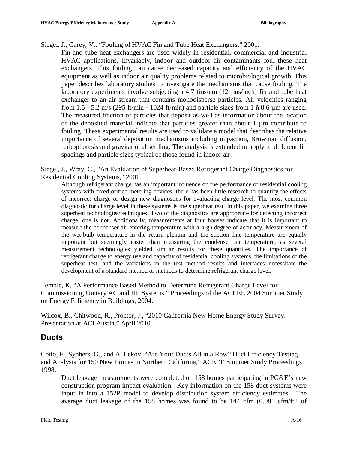Siegel, J., Carey, V., "Fouling of HVAC Fin and Tube Heat Exchangers," 2001.

Fin and tube heat exchangers are used widely in residential, commercial and industrial HVAC applications. Invariably, indoor and outdoor air contaminants foul these heat exchangers. This fouling can cause decreased capacity and efficiency of the HVAC equipment as well as indoor air quality problems related to microbiological growth. This paper describes laboratory studies to investigate the mechanisms that cause fouling. The laboratory experiments involve subjecting a 4.7 fins/cm (12 fins/inch) fin and tube heat exchanger to an air stream that contains monodisperse particles. Air velocities ranging from 1.5 - 5.2 m/s (295 ft/min - 1024 ft/min) and particle sizes from 1  $\tilde{n}$  8.6  $\mu$ m are used. The measured fraction of particles that deposit as well as information about the location of the deposited material indicate that particles greater than about  $1 \mu m$  contribute to fouling. These experimental results are used to validate a model that describes the relative importance of several deposition mechanisms including impaction, Brownian diffusion, turbophoresis and gravitational settling. The analysis is extended to apply to different fin spacings and particle sizes typical of those found in indoor air.

Siegel, J., Wray, C., "An Evaluation of Superheat-Based Refrigerant Charge Diagnostics for Residential Cooling Systems," 2001.

Although refrigerant charge has an important influence on the performance of residential cooling systems with fixed orifice metering devices, there has been little research to quantify the effects of incorrect charge or design new diagnostics for evaluating charge level. The most common diagnostic for charge level in these systems is the superheat test. In this paper, we examine three superheat technologies/techniques. Two of the diagnostics are appropriate for detecting incorrect charge, one is not. Additionally, measurements at four houses indicate that it is important to measure the condenser air entering temperature with a high degree of accuracy. Measurement of the wet-bulb temperature in the return plenum and the suction line temperature are equally important but seemingly easier than measuring the condenser air temperature, as several measurement technologies yielded similar results for these quantities. The importance of refrigerant charge to energy use and capacity of residential cooling systems, the limitations of the superheat test, and the variations in the test method results and interfaces necessitate the development of a standard method or methods to determine refrigerant charge level.

Temple, K, "A Performance Based Method to Determine Refrigerant Charge Level for Commissioning Unitary AC and HP Systems," Proceedings of the ACEEE 2004 Summer Study on Energy Efficiency in Buildings, 2004.

Wilcox, B., Chitwood, R., Proctor, J., "2010 California New Home Energy Study Survey: Presentation at ACI Austin," April 2010.

### **Ducts**

Coito, F., Syphers, G., and A. Lekov, "Are Your Ducts All in a Row? Duct Efficiency Testing and Analysis for 150 New Homes in Northern California," ACEEE Summer Study Proceedings 1998.

Duct leakage measurements were completed on 158 homes participating in PG&E's new construction program impact evaluation. Key information on the 158 duct systems were input in into a 152P model to develop distribution system efficiency estimates. The average duct leakage of the 158 homes was found to be 144 cfm (0.081 cfm/ft2 of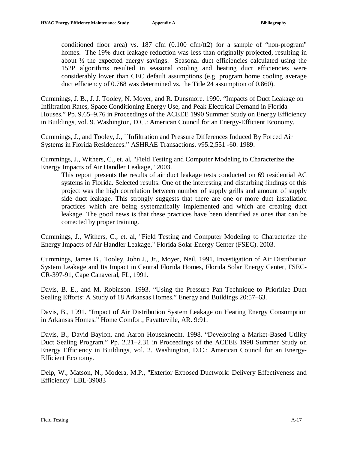conditioned floor area) vs.  $187 \text{ cfm}$  (0.100 cfm/ft2) for a sample of "non-program" homes. The 19% duct leakage reduction was less than originally projected, resulting in about ½ the expected energy savings. Seasonal duct efficiencies calculated using the 152P algorithms resulted in seasonal cooling and heating duct efficiencies were considerably lower than CEC default assumptions (e.g. program home cooling average duct efficiency of 0.768 was determined vs. the Title 24 assumption of 0.860).

Cummings, J. B., J. J. Tooley, N. Moyer, and R. Dunsmore. 1990. "Impacts of Duct Leakage on Infiltration Rates, Space Conditioning Energy Use, and Peak Electrical Demand in Florida Houses." Pp. 9.65–9.76 in Proceedings of the ACEEE 1990 Summer Study on Energy Efficiency in Buildings, vol. 9. Washington, D.C.: American Council for an Energy-Efficient Economy.

Cummings, J., and Tooley, J., ``Infiltration and Pressure Differences Induced By Forced Air Systems in Florida Residences." ASHRAE Transactions, v95.2,551 -60. 1989.

Cummings, J., Withers, C., et. al, "Field Testing and Computer Modeling to Characterize the Energy Impacts of Air Handler Leakage," 2003.

This report presents the results of air duct leakage tests conducted on 69 residential AC systems in Florida. Selected results: One of the interesting and disturbing findings of this project was the high correlation between number of supply grills and amount of supply side duct leakage. This strongly suggests that there are one or more duct installation practices which are being systematically implemented and which are creating duct leakage. The good news is that these practices have been identified as ones that can be corrected by proper training.

Cummings, J., Withers, C., et. al, "Field Testing and Computer Modeling to Characterize the Energy Impacts of Air Handler Leakage," Florida Solar Energy Center (FSEC). 2003.

Cummings, James B., Tooley, John J., Jr., Moyer, Neil, 1991, Investigation of Air Distribution System Leakage and Its Impact in Central Florida Homes, Florida Solar Energy Center, FSEC-CR-397-91, Cape Canaveral, FL, 1991.

Davis, B. E., and M. Robinson. 1993. "Using the Pressure Pan Technique to Prioritize Duct Sealing Efforts: A Study of 18 Arkansas Homes." Energy and Buildings 20:57–63.

Davis, B., 1991. "Impact of Air Distribution System Leakage on Heating Energy Consumption in Arkansas Homes." Home Comfort, Fayatteville, AR. 9:91.

Davis, B., David Baylon, and Aaron Houseknecht. 1998. "Developing a Market-Based Utility Duct Sealing Program." Pp. 2.21–2.31 in Proceedings of the ACEEE 1998 Summer Study on Energy Efficiency in Buildings, vol. 2. Washington, D.C.: American Council for an Energy-Efficient Economy.

Delp, W., Matson, N., Modera, M.P., "Exterior Exposed Ductwork: Delivery Effectiveness and Efficiency" LBL-39083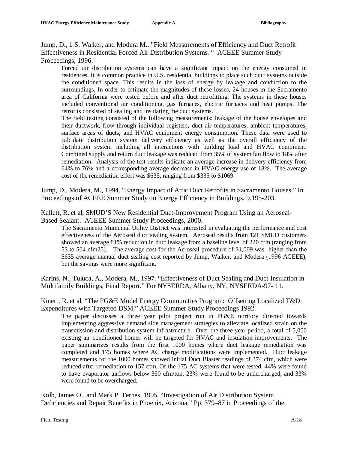Jump, D., l. S. Walker, and Modera M., "Field Measurements of Efficiency and Duct Retrofit Effectiveness in Residential Forced Air Distribution Systems. " ACEEE Summer Study Proceedings, 1996.

Forced air distribution systems can have a significant impact on the energy consumed in residences. It is common practice in U.S. residential buildings to place such duct systems outside the conditioned space. This results in the loss of energy by leakage and conduction to the surroundings. In order to estimate the magnitudes of these losses, 24 houses in the Sacramento area of California were tested before and after duct retrofitting. The systems in these houses included conventional air conditioning, gas furnaces, electric furnaces and heat pumps. The retrofits consisted of sealing and insulating the duct systems.

The field testing consisted of the following measurements: leakage of the house envelopes and their ductwork, flow through individual registers, duct air temperatures, ambient temperatures, surface areas of ducts, and HVAC equipment energy consumption. These data were used to calculate distribution system delivery efficiency as well as the overall efficiency of the distribution system including all interactions with building load and HVAC equipment. Combined supply and return duct leakage was reduced from 35% of system fan flow to 18% after remediation. Analysis of the test results indicate an average increase in delivery efficiency from 64% to 76% and a corresponding average decrease in HVAC energy use of 18%. The average cost of the remediation effort was \$635, ranging from \$335 to \$1069.

Jump, D., Modera, M., 1994. "Energy Impact of Attic Duct Retrofits in Sacramento Houses." In Proceedings of ACEEE Summer Study on Energy Efficiency in Buildings, 9.195-203.

Kallett, R. et al, SMUD'S New Residential Duct-Improvement Program Using an Aeroseal-Based Sealant. ACEEE Summer Study Proceedings, 2000.

The Sacramento Municipal Utility District was interested in evaluating the performance and cost effectiveness of the Aeroseal duct sealing system. Aeroseal results from 121 SMUD customers showed an average 81% reduction in duct leakage from a baseline level of 220 cfm (ranging from 53 to 564 cfm25). The average cost for the Aeroseal procedure of \$1,009 was higher than the \$635 average manual duct sealing cost reported by Jump, Walker, and Modera (1996 ACEEE), but the savings were more significant.

Karins, N., Tuluca, A., Modera, M., 1997. "Effectiveness of Duct Sealing and Duct Insulation in Multifamily Buildings, Final Report." For NYSERDA, Albany, NY, NYSERDA-97- 11.

Kinert, R. et al, "The PG&E Model Energy Communities Program: Offsetting Localized T&D Expenditures with Targeted DSM," ACEEE Summer Study Proceedings 1992.

The paper discusses a three year pilot project run in PG&E territory directed towards implementing aggressive demand side management strategies to alleviate localized strain on the transmission and distribution system infrastructure. Over the three year period, a total of 5,000 existing air conditioned homes will be targeted for HVAC and insulation improvements. The paper summarizes results from the first 1000 homes where duct leakage remediation was completed and 175 homes where AC charge modifications were implemented. Duct leakage measurements for the 1000 homes showed initial Duct Blaster readings of 374 cfm, which were reduced after remediation to 157 cfm. Of the 175 AC systems that were tested, 44% were found to have evaporator airflows below 350 cfm/ton, 23% were found to be undercharged, and 33% were found to be overcharged.

Kolb, James O., and Mark P. Ternes. 1995. "Investigation of Air Distribution System Deficiencies and Repair Benefits in Phoenix, Arizona." Pp. 379–87 in Proceedings of the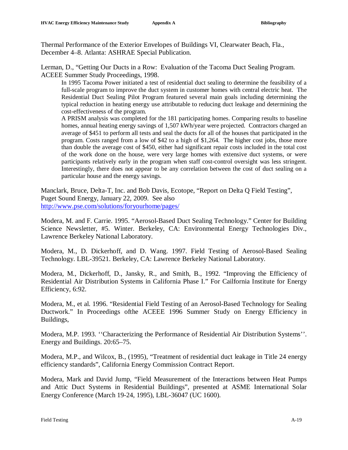Thermal Performance of the Exterior Envelopes of Buildings VI, Clearwater Beach, Fla., December 4–8. Atlanta: ASHRAE Special Publication.

Lerman, D., "Getting Our Ducts in a Row: Evaluation of the Tacoma Duct Sealing Program. ACEEE Summer Study Proceedings, 1998.

In 1995 Tacoma Power initiated a test of residential duct sealing to determine the feasibility of a full-scale program to improve the duct system in customer homes with central electric heat. The Residential Duct Sealing Pilot Program featured several main goals including determining the typical reduction in heating energy use attributable to reducing duct leakage and determining the cost-effectiveness of the program.

A PRISM analysis was completed for the 181 participating homes. Comparing results to baseline homes, annual heating energy savings of 1,507 kWh/year were projected. Contractors charged an average of \$451 to perform all tests and seal the ducts for all of the houses that participated in the program. Costs ranged from a low of \$42 to a high of \$1,264. The higher cost jobs, those more than double the average cost of \$450, either had significant repair costs included in the total cost of the work done on the house, were very large homes with extensive duct systems, or were participants relatively early in the program when staff cost-control oversight was less stringent. Interestingly, there does not appear to be any correlation between the cost of duct sealing on a particular house and the energy savings.

Manclark, Bruce, Delta-T, Inc. and Bob Davis, Ecotope, "Report on Delta Q Field Testing", Puget Sound Energy, January 22, 2009. See also <http://www.pse.com/solutions/foryourhome/pages/>

Modera, M. and F. Carrie. 1995. "Aerosol-Based Duct Sealing Technology." Center for Building Science Newsletter, #5. Winter. Berkeley, CA: Environmental Energy Technologies Div., Lawrence Berkeley National Laboratory.

Modera, M., D. Dickerhoff, and D. Wang. 1997. Field Testing of Aerosol-Based Sealing Technology. LBL-39521. Berkeley, CA: Lawrence Berkeley National Laboratory.

Modera, M., Dickerhoff, D., Jansky, R., and Smith, B., 1992. "Improving the Efficiency of Residential Air Distribution Systems in California Phase I." For Cailfornia Institute for Energy Efficiency, 6:92.

Modera, M., et al. 1996. "Residential Field Testing of an Aerosol-Based Technology for Sealing Ductwork." In Proceedings ofthe ACEEE 1996 Summer Study on Energy Efficiency in Buildings,

Modera, M.P. 1993. ''Characterizing the Performance of Residential Air Distribution Systems''. Energy and Buildings. 20:65–75.

Modera, M.P., and Wilcox, B., (1995), "Treatment of residential duct leakage in Title 24 energy efficiency standards", California Energy Commission Contract Report.

Modera, Mark and David Jump, "Field Measurement of the Interactions between Heat Pumps and Attic Duct Systems in Residential Buildings", presented at ASME International Solar Energy Conference (March 19-24, 1995), LBL-36047 (UC 1600).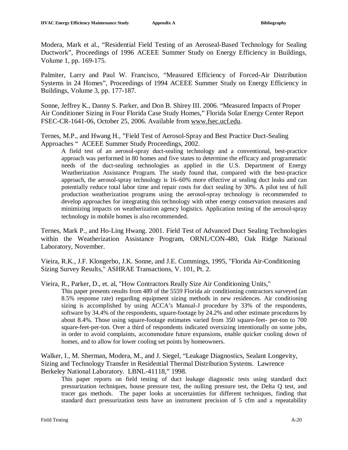Modera, Mark et al., "Residential Field Testing of an Aeroseal-Based Technology for Sealing Ductwork", Proceedings of 1996 ACEEE Summer Study on Energy Efficiency in Buildings, Volume 1, pp. 169-175.

Palmiter, Larry and Paul W. Francisco, "Measured Efficiency of Forced-Air Distribution Systems in 24 Homes", Proceedings of 1994 ACEEE Summer Study on Energy Efficiency in Buildings, Volume 3, pp. 177-187.

Sonne, Jeffrey K., Danny S. Parker, and Don B. Shirey III. 2006. "Measured Impacts of Proper Air Conditioner Sizing in Four Florida Case Study Homes," Florida Solar Energy Center Report FSEC-CR-1641-06, October 25, 2006. Available from [www.fsec.ucf.edu.](http://www.fsec.ucf.edu)

Ternes, M.P., and Hwang H., "Field Test of Aerosol-Spray and Best Practice Duct-Sealing Approaches " ACEEE Summer Study Proceedings, 2002.

A field test of an aerosol-spray duct-sealing technology and a conventional, best-practice approach was performed in 80 homes and five states to determine the efficacy and programmatic needs of the duct-sealing technologies as applied in the U.S. Department of Energy Weatherization Assistance Program. The study found that, compared with the best-practice approach, the aerosol-spray technology is 16–60% more effective at sealing duct leaks and can potentially reduce total labor time and repair costs for duct sealing by 30%. A pilot test of full production weatherization programs using the aerosol-spray technology is recommended to develop approaches for integrating this technology with other energy conservation measures and minimizing impacts on weatherization agency logistics. Application testing of the aerosol-spray technology in mobile homes is also recommended.

Ternes, Mark P., and Ho-Ling Hwang. 2001. Field Test of Advanced Duct Sealing Technologies within the Weatherization Assistance Program, ORNL/CON-480, Oak Ridge National Laboratory, November.

Vieira, R.K., J.F. Klongerbo, J.K. Sonne, and J.E. Cummings, 1995, "Florida Air-Conditioning Sizing Survey Results," ASHRAE Transactions, V. 101, Pt. 2.

Vieira, R., Parker, D., et. al, "How Contractors Really Size Air Conditioning Units,"

This paper presents results from 489 of the 5559 Florida air conditioning contractors surveyed (an 8.5% response rate) regarding equipment sizing methods in new residences. Air conditioning sizing is accomplished by using ACCA's Manual-J procedure by 33% of the respondents, software by 34.4% of the respondents, square-footage by 24.2% and other estimate procedures by about 8.4%. Those using square-footage estimates varied from 350 square-feet- per-ton to 700 square-feet-per-ton. Over a third of respondents indicated oversizing intentionally on some jobs, in order to avoid complaints, accommodate future expansions, enable quicker cooling down of homes, and to allow for lower cooling set points by homeowners.

Walker, I., M. Sherman, Modera, M., and J. Siegel, "Leakage Diagnostics, Sealant Longevity, Sizing and Technology Transfer in Residential Thermal Distribution Systems. Lawrence Berkeley National Laboratory. LBNL-41118," 1998.

This paper reports on field testing of duct leakage diagnostic tests using standard duct pressurization techniques, house pressure test, the nulling pressure test, the Delta Q test, and tracer gas methods. The paper looks at uncertainties for different techniques, finding that standard duct pressurization tests have an instrument precision of 5 cfm and a repeatability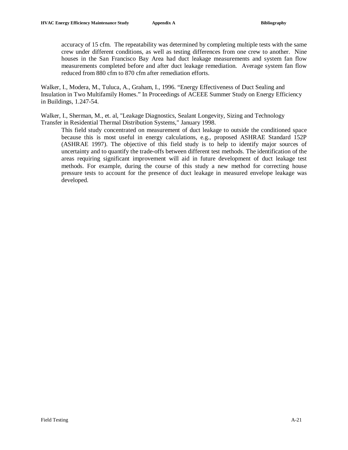accuracy of 15 cfm. The repeatability was determined by completing multiple tests with the same crew under different conditions, as well as testing differences from one crew to another. Nine houses in the San Francisco Bay Area had duct leakage measurements and system fan flow measurements completed before and after duct leakage remediation. Average system fan flow reduced from 880 cfm to 870 cfm after remediation efforts.

Walker, I., Modera, M., Tuluca, A., Graham, I., 1996. "Energy Effectiveness of Duct Sealing and Insulation in Two Multifamily Homes." In Proceedings of ACEEE Summer Study on Energy Efficiency in Buildings, 1.247-54.

Walker, I., Sherman, M., et. al, "Leakage Diagnostics, Sealant Longevity, Sizing and Technology Transfer in Residential Thermal Distribution Systems," January 1998.

This field study concentrated on measurement of duct leakage to outside the conditioned space because this is most useful in energy calculations, e.g., proposed ASHRAE Standard 152P (ASHRAE 1997). The objective of this field study is to help to identify major sources of uncertainty and to quantify the trade-offs between different test methods. The identification of the areas requiring significant improvement will aid in future development of duct leakage test methods. For example, during the course of this study a new method for correcting house pressure tests to account for the presence of duct leakage in measured envelope leakage was developed.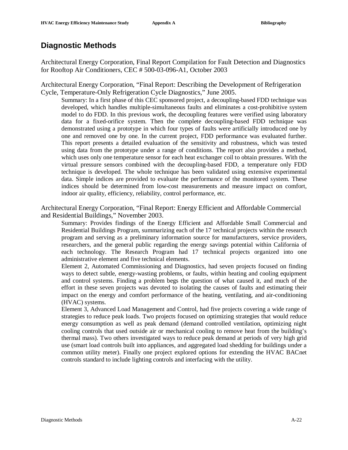### **Diagnostic Methods**

Architectural Energy Corporation, Final Report Compilation for Fault Detection and Diagnostics for Rooftop Air Conditioners, CEC # 500-03-096-A1, October 2003

Architectural Energy Corporation, "Final Report: Describing the Development of Refrigeration Cycle, Temperature-Only Refrigeration Cycle Diagnostics," June 2005.

Summary: In a first phase of this CEC sponsored project, a decoupling-based FDD technique was developed, which handles multiple-simultaneous faults and eliminates a cost-prohibitive system model to do FDD. In this previous work, the decoupling features were verified using laboratory data for a fixed-orifice system. Then the complete decoupling-based FDD technique was demonstrated using a prototype in which four types of faults were artificially introduced one by one and removed one by one. In the current project, FDD performance was evaluated further. This report presents a detailed evaluation of the sensitivity and robustness, which was tested using data from the prototype under a range of conditions. The report also provides a method, which uses only one temperature sensor for each heat exchanger coil to obtain pressures. With the virtual pressure sensors combined with the decoupling-based FDD, a temperature only FDD technique is developed. The whole technique has been validated using extensive experimental data. Simple indices are provided to evaluate the performance of the monitored system. These indices should be determined from low-cost measurements and measure impact on comfort, indoor air quality, efficiency, reliability, control performance, etc.

Architectural Energy Corporation, "Final Report: Energy Efficient and Affordable Commercial and Residential Buildings," November 2003.

Summary: Provides findings of the Energy Efficient and Affordable Small Commercial and Residential Buildings Program, summarizing each of the 17 technical projects within the research program and serving as a preliminary information source for manufacturers, service providers, researchers, and the general public regarding the energy savings potential within California of each technology. The Research Program had 17 technical projects organized into one administrative element and five technical elements.

Element 2, Automated Commissioning and Diagnostics, had seven projects focused on finding ways to detect subtle, energy-wasting problems, or faults, within heating and cooling equipment and control systems. Finding a problem begs the question of what caused it, and much of the effort in these seven projects was devoted to isolating the causes of faults and estimating their impact on the energy and comfort performance of the heating, ventilating, and air-conditioning (HVAC) systems.

Element 3, Advanced Load Management and Control, had five projects covering a wide range of strategies to reduce peak loads. Two projects focused on optimizing strategies that would reduce energy consumption as well as peak demand (demand controlled ventilation, optimizing night cooling controls that used outside air or mechanical cooling to remove heat from the building's thermal mass). Two others investigated ways to reduce peak demand at periods of very high grid use (smart load controls built into appliances, and aggregated load shedding for buildings under a common utility meter). Finally one project explored options for extending the HVAC BACnet controls standard to include lighting controls and interfacing with the utility.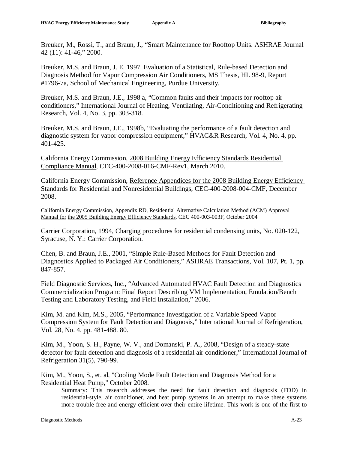Breuker, M., Rossi, T., and Braun, J., "Smart Maintenance for Rooftop Units. ASHRAE Journal 42 (11): 41-46," 2000.

Breuker, M.S. and Braun, J. E. 1997. Evaluation of a Statistical, Rule-based Detection and Diagnosis Method for Vapor Compression Air Conditioners, MS Thesis, HL 98-9, Report #1796-7a, School of Mechanical Engineering, Purdue University.

Breuker, M.S. and Braun, J.E., 1998 a, "Common faults and their impacts for rooftop air conditioners," International Journal of Heating, Ventilating, Air-Conditioning and Refrigerating Research, Vol. 4, No. 3, pp. 303-318.

Breuker, M.S. and Braun, J.E., 1998b, "Evaluating the performance of a fault detection and diagnostic system for vapor compression equipment," HVAC&R Research, Vol. 4, No. 4, pp. 401-425.

California Energy Commission, 2008 Building Energy Efficiency Standards Residential Compliance Manual, CEC-400-2008-016-CMF-Rev1, March 2010.

California Energy Commission, Reference Appendices for the 2008 Building Energy Efficiency Standards for Residential and Nonresidential Buildings, CEC-400-2008-004-CMF, December 2008.

California Energy Commission, Appendix RD, Residential Alternative Calculation Method (ACM) Approval Manual for the 2005 Building Energy Efficiency Standards, CEC 400-003-003F, October 2004

Carrier Corporation, 1994, Charging procedures for residential condensing units, No. 020-122, Syracuse, N. Y.: Carrier Corporation.

Chen, B. and Braun, J.E., 2001, "Simple Rule-Based Methods for Fault Detection and Diagnostics Applied to Packaged Air Conditioners," ASHRAE Transactions, Vol. 107, Pt. 1, pp. 847-857.

Field Diagnostic Services, Inc., "Advanced Automated HVAC Fault Detection and Diagnostics Commercialization Program: Final Report Describing VM Implementation, Emulation/Bench Testing and Laboratory Testing, and Field Installation," 2006.

Kim, M. and Kim, M.S., 2005, "Performance Investigation of a Variable Speed Vapor Compression System for Fault Detection and Diagnosis," International Journal of Refrigeration, Vol. 28, No. 4, pp. 481-488. 80.

Kim, M., Yoon, S. H., Payne, W. V., and Domanski, P. A., 2008, "Design of a steady-state detector for fault detection and diagnosis of a residential air conditioner," International Journal of Refrigeration 31(5), 790-99.

Kim, M., Yoon, S., et. al, "Cooling Mode Fault Detection and Diagnosis Method for a Residential Heat Pump," October 2008.

Summary: This research addresses the need for fault detection and diagnosis (FDD) in residential-style, air conditioner, and heat pump systems in an attempt to make these systems more trouble free and energy efficient over their entire lifetime. This work is one of the first to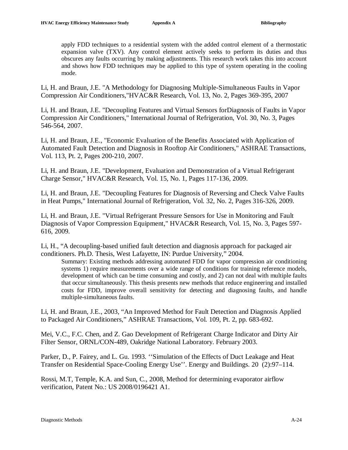apply FDD techniques to a residential system with the added control element of a thermostatic expansion valve (TXV). Any control element actively seeks to perform its duties and thus obscures any faults occurring by making adjustments. This research work takes this into account and shows how FDD techniques may be applied to this type of system operating in the cooling mode.

Li, H. and Braun, J.E. "A Methodology for Diagnosing Multiple-Simultaneous Faults in Vapor Compression Air Conditioners,"HVAC&R Research, Vol. 13, No. 2, Pages 369-395, 2007

Li, H. and Braun, J.E. "Decoupling Features and Virtual Sensors forDiagnosis of Faults in Vapor Compression Air Conditioners," International Journal of Refrigeration, Vol. 30, No. 3, Pages 546-564, 2007.

Li, H. and Braun, J.E., "Economic Evaluation of the Benefits Associated with Application of Automated Fault Detection and Diagnosis in Rooftop Air Conditioners," ASHRAE Transactions, Vol. 113, Pt. 2, Pages 200-210, 2007.

Li, H. and Braun, J.E. "Development, Evaluation and Demonstration of a Virtual Refrigerant Charge Sensor," HVAC&R Research, Vol. 15, No. 1, Pages 117-136, 2009.

Li, H. and Braun, J.E. "Decoupling Features for Diagnosis of Reversing and Check Valve Faults in Heat Pumps," International Journal of Refrigeration, Vol. 32, No. 2, Pages 316-326, 2009.

Li, H. and Braun, J.E. "Virtual Refrigerant Pressure Sensors for Use in Monitoring and Fault Diagnosis of Vapor Compression Equipment," HVAC&R Research, Vol. 15, No. 3, Pages 597- 616, 2009.

Li, H., "A decoupling-based unified fault detection and diagnosis approach for packaged air conditioners. Ph.D. Thesis, West Lafayette, IN: Purdue University," 2004.

Summary: Existing methods addressing automated FDD for vapor compression air conditioning systems 1) require measurements over a wide range of conditions for training reference models, development of which can be time consuming and costly, and 2) can not deal with multiple faults that occur simultaneously. This thesis presents new methods that reduce engineering and installed costs for FDD, improve overall sensitivity for detecting and diagnosing faults, and handle multiple-simultaneous faults.

Li, H. and Braun, J.E., 2003, "An Improved Method for Fault Detection and Diagnosis Applied to Packaged Air Conditioners," ASHRAE Transactions, Vol. 109, Pt. 2, pp. 683-692.

Mei, V.C., F.C. Chen, and Z. Gao Development of Refrigerant Charge Indicator and Dirty Air Filter Sensor, ORNL/CON-489, Oakridge National Laboratory. February 2003.

Parker, D., P. Fairey, and L. Gu. 1993. ''Simulation of the Effects of Duct Leakage and Heat Transfer on Residential Space-Cooling Energy Use''. Energy and Buildings. 20 (2):97–114.

Rossi, M.T, Temple, K.A. and Sun, C., 2008, Method for determining evaporator airflow verification, Patent No.: US 2008/0196421 A1.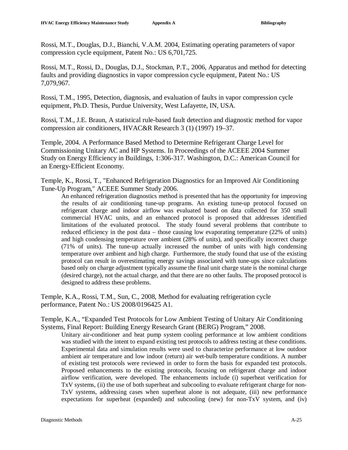Rossi, M.T., Douglas, D.J., Bianchi, V.A.M. 2004, Estimating operating parameters of vapor compression cycle equipment, Patent No.: US 6,701,725.

Rossi, M.T., Rossi, D., Douglas, D.J., Stockman, P.T., 2006, Apparatus and method for detecting faults and providing diagnostics in vapor compression cycle equipment, Patent No.: US 7,079,967.

Rossi, T.M., 1995, Detection, diagnosis, and evaluation of faults in vapor compression cycle equipment, Ph.D. Thesis, Purdue University, West Lafayette, IN, USA.

Rossi, T.M., J.E. Braun, A statistical rule-based fault detection and diagnostic method for vapor compression air conditioners, HVAC&R Research 3 (1) (1997) 19–37.

Temple, 2004. A Performance Based Method to Determine Refrigerant Charge Level for Commissioning Unitary AC and HP Systems. In Proceedings of the ACEEE 2004 Summer Study on Energy Efficiency in Buildings, 1:306-317. Washington, D.C.: American Council for an Energy-Efficient Economy.

Temple, K., Rossi, T., "Enhanced Refrigeration Diagnostics for an Improved Air Conditioning Tune-Up Program," ACEEE Summer Study 2006.

An enhanced refrigeration diagnostics method is presented that has the opportunity for improving the results of air conditioning tune-up programs. An existing tune-up protocol focused on refrigerant charge and indoor airflow was evaluated based on data collected for 350 small commercial HVAC units, and an enhanced protocol is proposed that addresses identified limitations of the evaluated protocol. The study found several problems that contribute to reduced efficiency in the post data – those causing low evaporating temperature (22% of units) and high condensing temperature over ambient (28% of units), and specifically incorrect charge (71% of units). The tune-up actually increased the number of units with high condensing temperature over ambient and high charge. Furthermore, the study found that use of the existing protocol can result in overestimating energy savings associated with tune-ups since calculations based only on charge adjustment typically assume the final unit charge state is the nominal charge (desired charge), not the actual charge, and that there are no other faults. The proposed protocol is designed to address these problems.

Temple, K.A., Rossi, T.M., Sun, C., 2008, Method for evaluating refrigeration cycle performance, Patent No.: US 2008/0196425 A1.

Temple, K.A., "Expanded Test Protocols for Low Ambient Testing of Unitary Air Conditioning Systems, Final Report: Building Energy Research Grant (BERG) Program," 2008.

Unitary air-conditioner and heat pump system cooling performance at low ambient conditions was studied with the intent to expand existing test protocols to address testing at these conditions. Experimental data and simulation results were used to characterize performance at low outdoor ambient air temperature and low indoor (return) air wet-bulb temperature conditions. A number of existing test protocols were reviewed in order to form the basis for expanded test protocols. Proposed enhancements to the existing protocols, focusing on refrigerant charge and indoor airflow verification, were developed. The enhancements include (i) superheat verification for TxV systems, (ii) the use of both superheat and subcooling to evaluate refrigerant charge for non-TxV systems, addressing cases when superheat alone is not adequate, (iii) new performance expectations for superheat (expanded) and subcooling (new) for non-TxV system, and (iv)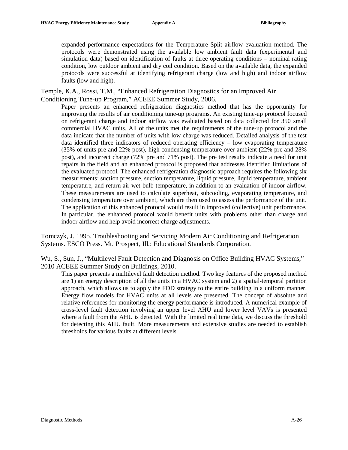expanded performance expectations for the Temperature Split airflow evaluation method. The protocols were demonstrated using the available low ambient fault data (experimental and simulation data) based on identification of faults at three operating conditions – nominal rating condition, low outdoor ambient and dry coil condition. Based on the available data, the expanded protocols were successful at identifying refrigerant charge (low and high) and indoor airflow faults (low and high).

Temple, K.A., Rossi, T.M., "Enhanced Refrigeration Diagnostics for an Improved Air Conditioning Tune-up Program," ACEEE Summer Study, 2006.

Paper presents an enhanced refrigeration diagnostics method that has the opportunity for improving the results of air conditioning tune-up programs. An existing tune-up protocol focused on refrigerant charge and indoor airflow was evaluated based on data collected for 350 small commercial HVAC units. All of the units met the requirements of the tune-up protocol and the data indicate that the number of units with low charge was reduced. Detailed analysis of the test data identified three indicators of reduced operating efficiency – low evaporating temperature (35% of units pre and 22% post), high condensing temperature over ambient (22% pre and 28% post), and incorrect charge (72% pre and 71% post). The pre test results indicate a need for unit repairs in the field and an enhanced protocol is proposed that addresses identified limitations of the evaluated protocol. The enhanced refrigeration diagnostic approach requires the following six measurements: suction pressure, suction temperature, liquid pressure, liquid temperature, ambient temperature, and return air wet-bulb temperature, in addition to an evaluation of indoor airflow. These measurements are used to calculate superheat, subcooling, evaporating temperature, and condensing temperature over ambient, which are then used to assess the performance of the unit. The application of this enhanced protocol would result in improved (collective) unit performance. In particular, the enhanced protocol would benefit units with problems other than charge and indoor airflow and help avoid incorrect charge adjustments.

Tomczyk, J. 1995. Troubleshooting and Servicing Modern Air Conditioning and Refrigeration Systems. ESCO Press. Mt. Prospect, Ill.: Educational Standards Corporation.

Wu, S., Sun, J., "Multilevel Fault Detection and Diagnosis on Office Building HVAC Systems," 2010 ACEEE Summer Study on Buildings, 2010.

This paper presents a multilevel fault detection method. Two key features of the proposed method are 1) an energy description of all the units in a HVAC system and 2) a spatial-temporal partition approach, which allows us to apply the FDD strategy to the entire building in a uniform manner. Energy flow models for HVAC units at all levels are presented. The concept of absolute and relative references for monitoring the energy performance is introduced. A numerical example of cross-level fault detection involving an upper level AHU and lower level VAVs is presented where a fault from the AHU is detected. With the limited real time data, we discuss the threshold for detecting this AHU fault. More measurements and extensive studies are needed to establish thresholds for various faults at different levels.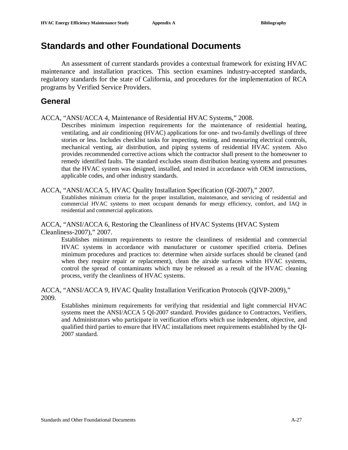## **Standards and other Foundational Documents**

An assessment of current standards provides a contextual framework for existing HVAC maintenance and installation practices. This section examines industry-accepted standards, regulatory standards for the state of California, and procedures for the implementation of RCA programs by Verified Service Providers.

### **General**

ACCA, "ANSI/ACCA 4, Maintenance of Residential HVAC Systems," 2008.

Describes minimum inspection requirements for the maintenance of residential heating, ventilating, and air conditioning (HVAC) applications for one- and two-family dwellings of three stories or less. Includes checklist tasks for inspecting, testing, and measuring electrical controls, mechanical venting, air distribution, and piping systems of residential HVAC system. Also provides recommended corrective actions which the contractor shall present to the homeowner to remedy identified faults. The standard excludes steam distribution heating systems and presumes that the HVAC system was designed, installed, and tested in accordance with OEM instructions, applicable codes, and other industry standards.

#### ACCA, "ANSI/ACCA 5, HVAC Quality Installation Specification (QI-2007)," 2007.

Establishes minimum criteria for the proper installation, maintenance, and servicing of residential and commercial HVAC systems to meet occupant demands for energy efficiency, comfort, and IAQ in residential and commercial applications.

#### ACCA, "ANSI/ACCA 6, Restoring the Cleanliness of HVAC Systems (HVAC System Cleanliness-2007)," 2007.

Establishes minimum requirements to restore the cleanliness of residential and commercial HVAC systems in accordance with manufacturer or customer specified criteria. Defines minimum procedures and practices to: determine when airside surfaces should be cleaned (and when they require repair or replacement), clean the airside surfaces within HVAC systems, control the spread of contaminants which may be released as a result of the HVAC cleaning process, verify the cleanliness of HVAC systems.

#### ACCA, "ANSI/ACCA 9, HVAC Quality Installation Verification Protocols (QIVP-2009)," 2009.

Establishes minimum requirements for verifying that residential and light commercial HVAC systems meet the ANSI/ACCA 5 QI-2007 standard. Provides guidance to Contractors, Verifiers, and Administrators who participate in verification efforts which use independent, objective, and qualified third parties to ensure that HVAC installations meet requirements established by the QI-2007 standard.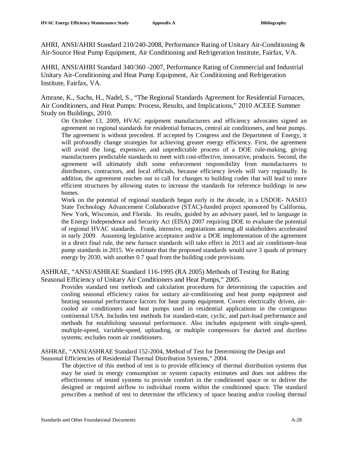AHRI, ANSI/AHRI Standard 210/240-2008, Performance Rating of Unitary Air-Conditioning & Air-Source Heat Pump Equipment, Air Conditioning and Refrigeration Institute, Fairfax, VA.

AHRI, ANSI/AHRI Standard 340/360 -2007, Performance Rating of Commercial and Industrial Unitary Air-Conditioning and Heat Pump Equipment, Air Conditioning and Refrigeration Institute, Fairfax, VA.

Amrane, K., Sachs, H., Nadel, S., "The Regional Standards Agreement for Residential Furnaces, Air Conditioners, and Heat Pumps: Process, Results, and Implications," 2010 ACEEE Summer Study on Buildings, 2010.

On October 13, 2009, HVAC equipment manufacturers and efficiency advocates signed an agreement on regional standards for residential furnaces, central air conditioners, and heat pumps. The agreement is without precedent. If accepted by Congress and the Department of Energy, it will profoundly change strategies for achieving greater energy efficiency. First, the agreement will avoid the long, expensive, and unpredictable process of a DOE rule-making, giving manufacturers predictable standards to meet with cost-effective, innovative, products. Second, the agreement will ultimately shift some enforcement responsibility from manufacturers to distributors, contractors, and local officials, because efficiency levels will vary regionally. In addition, the agreement reaches out to call for changes to building codes that will lead to more efficient structures by allowing states to increase the standards for reference buildings in new homes.

Work on the potential of regional standards began early in the decade, in a USDOE- NASEO State Technology Advancement Collaborative (STAC)-funded project sponsored by California, New York, Wisconsin, and Florida. Its results, guided by an advisory panel, led to language in the Energy Independence and Security Act (EISA) 2007 requiring DOE to evaluate the potential of regional HVAC standards. Frank, intensive, negotiations among all stakeholders accelerated in early 2009. Assuming legislative acceptance and/or a DOE implementation of the agreement in a direct final rule, the new furnace standards will take effect in 2013 and air conditioner-heat pump standards in 2015. We estimate that the proposed standards would save 3 quads of primary energy by 2030, with another 0.7 quad from the building code provisions.

#### ASHRAE, "ANSI/ASHRAE Standard 116-1995 (RA 2005) Methods of Testing for Rating Seasonal Efficiency of Unitary Air Conditioners and Heat Pumps," 2005.

Provides standard test methods and calculation procedures for determining the capacities and cooling seasonal efficiency ratios for unitary air-conditioning and heat pump equipment and heating seasonal performance factors for heat pump equipment. Covers electrically driven, aircooled air conditioners and heat pumps used in residential applications in the contiguous continental USA. Includes test methods for standard-state, cyclic, and part-load performance and methods for establishing seasonal performance. Also includes equipment with single-speed, multiple-speed, variable-speed, uploading, or multiple compressors for ducted and ductless systems; excludes room air conditioners.

ASHRAE, "ANSI/ASHRAE Standard 152-2004, Method of Test for Determining the Design and Seasonal Efficiencies of Residential Thermal Distribution Systems," 2004.

The objective of this method of test is to provide efficiency of thermal distribution systems that may be used in energy consumption or system capacity estimates and does not address the effectiveness of tested systems to provide comfort in the conditioned space or to deliver the designed or required airflow to individual rooms within the conditioned space. The standard prescribes a method of test to determine the efficiency of space heating and/or cooling thermal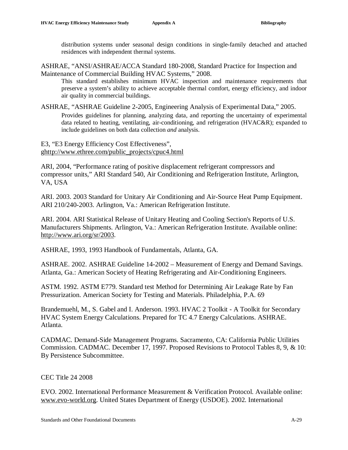distribution systems under seasonal design conditions in single-family detached and attached residences with independent thermal systems.

ASHRAE, "ANSI/ASHRAE/ACCA Standard 180-2008, Standard Practice for Inspection and Maintenance of Commercial Building HVAC Systems," 2008.

This standard establishes minimum HVAC inspection and maintenance requirements that preserve a system's ability to achieve acceptable thermal comfort, energy efficiency, and indoor air quality in commercial buildings.

ASHRAE, "ASHRAE Guideline 2-2005, Engineering Analysis of Experimental Data," 2005. Provides guidelines for planning, analyzing data, and reporting the uncertainty of experimental data related to heating, ventilating, air-conditioning, and refrigeration (HVAC&R); expanded to include guidelines on both data collection *and* analysis.

E3, "E3 Energy Efficiency Cost Effectiveness", g[http://www.ethree.com/public\\_projects/cpuc4.html](http://www.ethree.com/public_projects/cpuc4.html)

ARI, 2004, "Performance rating of positive displacement refrigerant compressors and compressor units," ARI Standard 540, Air Conditioning and Refrigeration Institute, Arlington, VA, USA

ARI. 2003. 2003 Standard for Unitary Air Conditioning and Air-Source Heat Pump Equipment. ARI 210/240-2003. Arlington, Va.: American Refrigeration Institute.

ARI. 2004. ARI Statistical Release of Unitary Heating and Cooling Section's Reports of U.S. Manufacturers Shipments. Arlington, Va.: American Refrigeration Institute. Available online: [http://www.ari.org/sr/2003.](http://www.ari.org/sr/2003)

ASHRAE, 1993, 1993 Handbook of Fundamentals, Atlanta, GA.

ASHRAE. 2002. ASHRAE Guideline 14-2002 – Measurement of Energy and Demand Savings. Atlanta, Ga.: American Society of Heating Refrigerating and Air-Conditioning Engineers.

ASTM. 1992. ASTM E779. Standard test Method for Determining Air Leakage Rate by Fan Pressurization. American Society for Testing and Materials. Philadelphia, P.A. 69

Brandemuehl, M., S. Gabel and I. Anderson. 1993. HVAC 2 Toolkit - A Toolkit for Secondary HVAC System Energy Calculations. Prepared for TC 4.7 Energy Calculations. ASHRAE. Atlanta.

CADMAC. Demand-Side Management Programs. Sacramento, CA: California Public Utilities Commission. CADMAC. December 17, 1997. Proposed Revisions to Protocol Tables 8, 9, & 10: By Persistence Subcommittee.

CEC Title 24 2008

EVO. 2002. International Performance Measurement & Verification Protocol. Available online: [www.evo-world.org](http://www.evo-world.org). United States Department of Energy (USDOE). 2002. International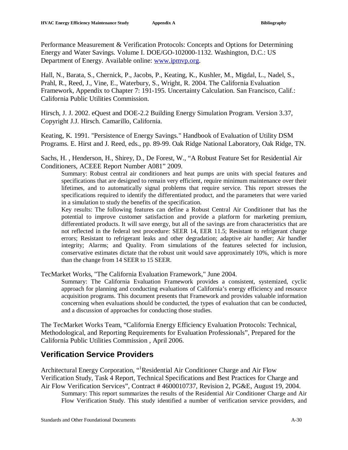Performance Measurement & Verification Protocols: Concepts and Options for Determining Energy and Water Savings. Volume I. DOE/GO-102000-1132. Washington, D.C.: US Department of Energy. Available online: [www.ipmvp.org](http://www.ipmvp.org).

Hall, N., Barata, S., Chernick, P., Jacobs, P., Keating, K., Kushler, M., Migdal, L., Nadel, S., Prahl, R., Reed, J., Vine, E., Waterbury, S., Wright, R. 2004. The California Evaluation Framework, Appendix to Chapter 7: 191-195. Uncertainty Calculation. San Francisco, Calif.: California Public Utilities Commission.

Hirsch, J. J. 2002. eQuest and DOE-2.2 Building Energy Simulation Program. Version 3.37, Copyright J.J. Hirsch. Camarillo, California.

Keating, K. 1991. "Persistence of Energy Savings." Handbook of Evaluation of Utility DSM Programs. E. Hirst and J. Reed, eds., pp. 89-99. Oak Ridge National Laboratory, Oak Ridge, TN.

Sachs, H. , Henderson, H., Shirey, D., De Forest, W., "A Robust Feature Set for Residential Air Conditioners, ACEEE Report Number A081" 2009.

Summary: Robust central air conditioners and heat pumps are units with special features and specifications that are designed to remain very efficient, require minimum maintenance over their lifetimes, and to automatically signal problems that require service. This report stresses the specifications required to identify the differentiated product, and the parameters that were varied in a simulation to study the benefits of the specification.

Key results: The following features can define a Robust Central Air Conditioner that has the potential to improve customer satisfaction and provide a platform for marketing premium, differentiated products. It will save energy, but all of the savings are from characteristics that are not reflected in the federal test procedure: SEER 14, EER 11.5; Resistant to refrigerant charge errors; Resistant to refrigerant leaks and other degradation; adaptive air handler; Air handler integrity; Alarms; and Quality. From simulations of the features selected for inclusion, conservative estimates dictate that the robust unit would save approximately 10%, which is more than the change from 14 SEER to 15 SEER.

TecMarket Works, "The California Evaluation Framework," June 2004.

Summary: The California Evaluation Framework provides a consistent, systemized, cyclic approach for planning and conducting evaluations of California's energy efficiency and resource acquisition programs. This document presents that Framework and provides valuable information concerning when evaluations should be conducted, the types of evaluation that can be conducted, and a discussion of approaches for conducting those studies.

The TecMarket Works Team, "California Energy Efficiency Evaluation Protocols: Technical, Methodological, and Reporting Requirements for Evaluation Professionals", Prepared for the California Public Utilities Commission , April 2006.

## **Verification Service Providers**

Architectural Energy Corporation, "<sup>1</sup>Residential Air Conditioner Charge and Air Flow Verification Study, Task 4 Report, Technical Specifications and Best Practices for Charge and Air Flow Verification Services", Contract # 4600010737, Revision 2, PG&E, August 19, 2004. Summary: This report summarizes the results of the Residential Air Conditioner Charge and Air Flow Verification Study. This study identified a number of verification service providers, and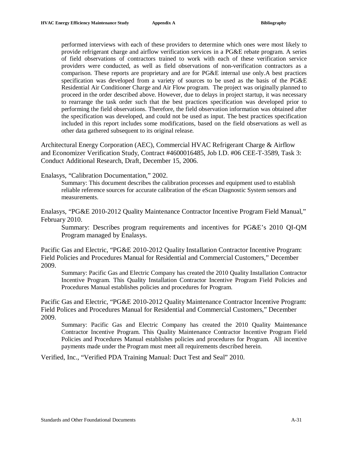performed interviews with each of these providers to determine which ones were most likely to provide refrigerant charge and airflow verification services in a PG&E rebate program. A series of field observations of contractors trained to work with each of these verification service providers were conducted, as well as field observations of non-verification contractors as a comparison. These reports are proprietary and are for PG&E internal use only.A best practices specification was developed from a variety of sources to be used as the basis of the PG&E Residential Air Conditioner Charge and Air Flow program. The project was originally planned to proceed in the order described above. However, due to delays in project startup, it was necessary to rearrange the task order such that the best practices specification was developed prior to performing the field observations. Therefore, the field observation information was obtained after the specification was developed, and could not be used as input. The best practices specification included in this report includes some modifications, based on the field observations as well as other data gathered subsequent to its original release.

Architectural Energy Corporation (AEC), Commercial HVAC Refrigerant Charge & Airflow and Economizer Verification Study, Contract #4600016485, Job I.D. #06 CEE-T-3589, Task 3: Conduct Additional Research, Draft, December 15, 2006.

Enalasys, "Calibration Documentation," 2002.

Summary: This document describes the calibration processes and equipment used to establish reliable reference sources for accurate calibration of the eScan Diagnostic System sensors and measurements.

Enalasys, "PG&E 2010-2012 Quality Maintenance Contractor Incentive Program Field Manual," February 2010.

Summary: Describes program requirements and incentives for PG&E's 2010 QI-QM Program managed by Enalasys.

Pacific Gas and Electric, "PG&E 2010-2012 Quality Installation Contractor Incentive Program: Field Policies and Procedures Manual for Residential and Commercial Customers," December 2009.

Summary: Pacific Gas and Electric Company has created the 2010 Quality Installation Contractor Incentive Program. This Quality Installation Contractor Incentive Program Field Policies and Procedures Manual establishes policies and procedures for Program.

Pacific Gas and Electric, "PG&E 2010-2012 Quality Maintenance Contractor Incentive Program: Field Polices and Procedures Manual for Residential and Commercial Customers," December 2009.

Summary: Pacific Gas and Electric Company has created the 2010 Quality Maintenance Contractor Incentive Program. This Quality Maintenance Contractor Incentive Program Field Policies and Procedures Manual establishes policies and procedures for Program. All incentive payments made under the Program must meet all requirements described herein.

Verified, Inc., "Verified PDA Training Manual: Duct Test and Seal" 2010.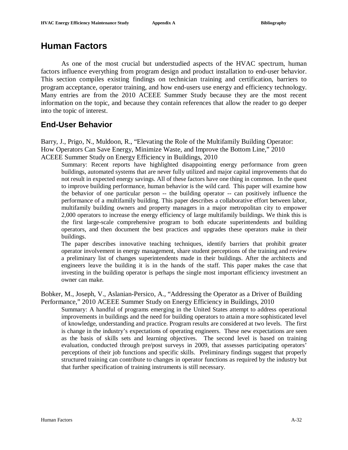# **Human Factors**

As one of the most crucial but understudied aspects of the HVAC spectrum, human factors influence everything from program design and product installation to end-user behavior. This section compiles existing findings on technician training and certification, barriers to program acceptance, operator training, and how end-users use energy and efficiency technology. Many entries are from the 2010 ACEEE Summer Study because they are the most recent information on the topic, and because they contain references that allow the reader to go deeper into the topic of interest.

## **End-User Behavior**

Barry, J., Prigo, N., Muldoon, R., "Elevating the Role of the Multifamily Building Operator: How Operators Can Save Energy, Minimize Waste, and Improve the Bottom Line," 2010 ACEEE Summer Study on Energy Efficiency in Buildings, 2010

Summary: Recent reports have highlighted disappointing energy performance from green buildings, automated systems that are never fully utilized and major capital improvements that do not result in expected energy savings. All of these factors have one thing in common. In the quest to improve building performance, human behavior is the wild card. This paper will examine how the behavior of one particular person -- the building operator -- can positively influence the performance of a multifamily building. This paper describes a collaborative effort between labor, multifamily building owners and property managers in a major metropolitan city to empower 2,000 operators to increase the energy efficiency of large multifamily buildings. We think this is the first large-scale comprehensive program to both educate superintendents and building operators, and then document the best practices and upgrades these operators make in their buildings.

The paper describes innovative teaching techniques, identify barriers that prohibit greater operator involvement in energy management, share student perceptions of the training and review a preliminary list of changes superintendents made in their buildings. After the architects and engineers leave the building it is in the hands of the staff. This paper makes the case that investing in the building operator is perhaps the single most important efficiency investment an owner can make.

Bobker, M., Joseph, V., Aslanian-Persico, A., "Addressing the Operator as a Driver of Building Performance," 2010 ACEEE Summer Study on Energy Efficiency in Buildings, 2010

Summary: A handful of programs emerging in the United States attempt to address operational improvements in buildings and the need for building operators to attain a more sophisticated level of knowledge, understanding and practice. Program results are considered at two levels. The first is change in the industry's expectations of operating engineers. These new expectations are seen as the basis of skills sets and learning objectives. The second level is based on training evaluation, conducted through pre/post surveys in 2009, that assesses participating operators' perceptions of their job functions and specific skills. Preliminary findings suggest that properly structured training can contribute to changes in operator functions as required by the industry but that further specification of training instruments is still necessary.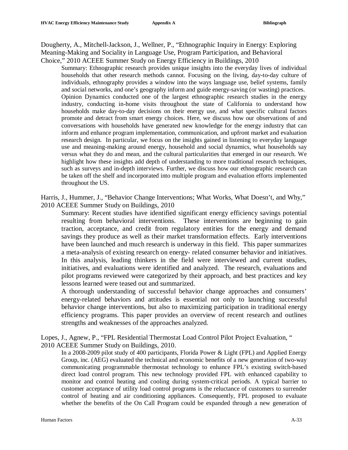Dougherty, A., Mitchell-Jackson, J., Wellner, P., "Ethnographic Inquiry in Energy: Exploring Meaning-Making and Sociality in Language Use, Program Participation, and Behavioral Choice," 2010 ACEEE Summer Study on Energy Efficiency in Buildings, 2010

Summary: Ethnographic research provides unique insights into the everyday lives of individual households that other research methods cannot. Focusing on the living, day-to-day culture of individuals, ethnography provides a window into the ways language use, belief systems, family and social networks, and one's geography inform and guide energy-saving (or wasting) practices. Opinion Dynamics conducted one of the largest ethnographic research studies in the energy industry, conducting in-home visits throughout the state of California to understand how households make day-to-day decisions on their energy use, and what specific cultural factors promote and detract from smart energy choices. Here, we discuss how our observations of and conversations with households have generated new knowledge for the energy industry that can inform and enhance program implementation, communication, and upfront market and evaluation research design. In particular, we focus on the insights gained in listening to everyday language use and meaning-making around energy, household and social dynamics, what households say versus what they do and mean, and the cultural particularities that emerged in our research. We highlight how these insights add depth of understanding to more traditional research techniques, such as surveys and in-depth interviews. Further, we discuss how our ethnographic research can be taken off the shelf and incorporated into multiple program and evaluation efforts implemented throughout the US.

Harris, J., Hummer, J., "Behavior Change Interventions; What Works, What Doesn't, and Why," 2010 ACEEE Summer Study on Buildings, 2010

Summary: Recent studies have identified significant energy efficiency savings potential resulting from behavioral interventions. These interventions are beginning to gain traction, acceptance, and credit from regulatory entities for the energy and demand savings they produce as well as their market transformation effects. Early interventions have been launched and much research is underway in this field. This paper summarizes a meta-analysis of existing research on energy- related consumer behavior and initiatives. In this analysis, leading thinkers in the field were interviewed and current studies, initiatives, and evaluations were identified and analyzed. The research, evaluations and pilot programs reviewed were categorized by their approach, and best practices and key lessons learned were teased out and summarized.

A thorough understanding of successful behavior change approaches and consumers' energy-related behaviors and attitudes is essential not only to launching successful behavior change interventions, but also to maximizing participation in traditional energy efficiency programs. This paper provides an overview of recent research and outlines strengths and weaknesses of the approaches analyzed.

Lopes, J., Agnew, P., "FPL Residential Thermostat Load Control Pilot Project Evaluation, " 2010 ACEEE Summer Study on Buildings, 2010.

In a 2008-2009 pilot study of 400 participants, Florida Power & Light (FPL) and Applied Energy Group, inc. (AEG) evaluated the technical and economic benefits of a new generation of two-way communicating programmable thermostat technology to enhance FPL's existing switch-based direct load control program. This new technology provided FPL with enhanced capability to monitor and control heating and cooling during system-critical periods. A typical barrier to customer acceptance of utility load control programs is the reluctance of customers to surrender control of heating and air conditioning appliances. Consequently, FPL proposed to evaluate whether the benefits of the On Call Program could be expanded through a new generation of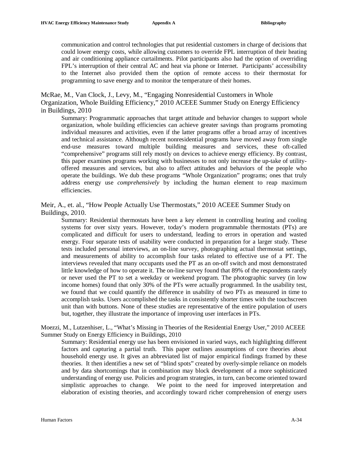communication and control technologies that put residential customers in charge of decisions that could lower energy costs, while allowing customers to override FPL interruption of their heating and air conditioning appliance curtailments. Pilot participants also had the option of overriding FPL's interruption of their central AC and heat via phone or Internet. Participants' accessibility to the Internet also provided them the option of remote access to their thermostat for programming to save energy and to monitor the temperature of their homes.

McRae, M., Van Clock, J., Levy, M., "Engaging Nonresidential Customers in Whole Organization, Whole Building Efficiency," 2010 ACEEE Summer Study on Energy Efficiency in Buildings, 2010

Summary: Programmatic approaches that target attitude and behavior changes to support whole organization, whole building efficiencies can achieve greater savings than programs promoting individual measures and activities, even if the latter programs offer a broad array of incentives and technical assistance. Although recent nonresidential programs have moved away from single end-use measures toward multiple building measures and services, these oft-called "comprehensive" programs still rely mostly on devices to achieve energy efficiency. By contrast, this paper examines programs working with businesses to not only increase the up-take of utilityoffered measures and services, but also to affect attitudes and behaviors of the people who operate the buildings. We dub these programs "Whole Organization" programs; ones that truly address energy use *comprehensively* by including the human element to reap maximum efficiencies.

Meir, A., et. al., "How People Actually Use Thermostats," 2010 ACEEE Summer Study on Buildings, 2010.

Summary: Residential thermostats have been a key element in controlling heating and cooling systems for over sixty years. However, today's modern programmable thermostats (PTs) are complicated and difficult for users to understand, leading to errors in operation and wasted energy. Four separate tests of usability were conducted in preparation for a larger study. These tests included personal interviews, an on-line survey, photographing actual thermostat settings, and measurements of ability to accomplish four tasks related to effective use of a PT. The interviews revealed that many occupants used the PT as an on-off switch and most demonstrated little knowledge of how to operate it. The on-line survey found that 89% of the respondents rarely or never used the PT to set a weekday or weekend program. The photographic survey (in low income homes) found that only 30% of the PTs were actually programmed. In the usability test, we found that we could quantify the difference in usability of two PTs as measured in time to accomplish tasks. Users accomplished the tasks in consistently shorter times with the touchscreen unit than with buttons. None of these studies are representative of the entire population of users but, together, they illustrate the importance of improving user interfaces in PTs.

Moezzi, M., Lutzenhiser, L., "What's Missing in Theories of the Residential Energy User," 2010 ACEEE Summer Study on Energy Efficiency in Buildings, 2010

Summary: Residential energy use has been envisioned in varied ways, each highlighting different factors and capturing a partial truth. This paper outlines assumptions of core theories about household energy use. It gives an abbreviated list of major empirical findings framed by these theories. It then identifies a new set of "blind spots" created by overly-simple reliance on models and by data shortcomings that in combination may block development of a more sophisticated understanding of energy use. Policies and program strategies, in turn, can become oriented toward simplistic approaches to change. We point to the need for improved interpretation and elaboration of existing theories, and accordingly toward richer comprehension of energy users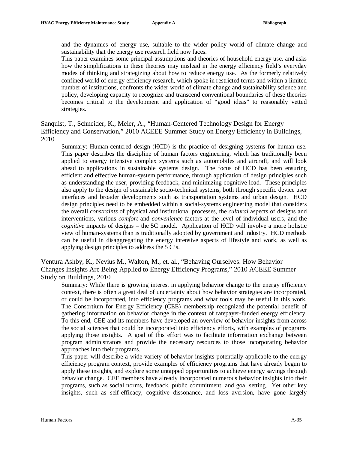and the dynamics of energy use, suitable to the wider policy world of climate change and sustainability that the energy use research field now faces.

This paper examines some principal assumptions and theories of household energy use, and asks how the simplifications in these theories may mislead in the energy efficiency field's everyday modes of thinking and strategizing about how to reduce energy use. As the formerly relatively confined world of energy efficiency research, which spoke in restricted terms and within a limited number of institutions, confronts the wider world of climate change and sustainability science and policy, developing capacity to recognize and transcend conventional boundaries of these theories becomes critical to the development and application of "good ideas" to reasonably vetted strategies.

Sanquist, T., Schneider, K., Meier, A., "Human-Centered Technology Design for Energy Efficiency and Conservation," 2010 ACEEE Summer Study on Energy Efficiency in Buildings, 2010

Summary: Human-centered design (HCD) is the practice of designing systems for human use. This paper describes the discipline of human factors engineering, which has traditionally been applied to energy intensive complex systems such as automobiles and aircraft, and will look ahead to applications in sustainable systems design. The focus of HCD has been ensuring efficient and effective human-system performance, through application of design principles such as understanding the user, providing feedback, and minimizing cognitive load. These principles also apply to the design of sustainable socio-technical systems, both through specific device user interfaces and broader developments such as transportation systems and urban design. HCD design principles need to be embedded within a social-systems engineering model that considers the overall *constraints* of physical and institutional processes, the *cultural* aspects of designs and interventions, various *comfort* and *convenience* factors at the level of individual users, and the *cognitive* impacts of designs – the 5C model. Application of HCD will involve a more holistic view of human-systems than is traditionally adopted by government and industry. HCD methods can be useful in disaggregating the energy intensive aspects of lifestyle and work, as well as applying design principles to address the 5 C's.

Ventura Ashby, K., Nevius M., Walton, M., et. al., "Behaving Ourselves: How Behavior Changes Insights Are Being Applied to Energy Efficiency Programs," 2010 ACEEE Summer Study on Buildings, 2010

Summary: While there is growing interest in applying behavior change to the energy efficiency context, there is often a great deal of uncertainty about how behavior strategies are incorporated, or could be incorporated, into efficiency programs and what tools may be useful in this work. The Consortium for Energy Efficiency (CEE) membership recognized the potential benefit of gathering information on behavior change in the context of ratepayer-funded energy efficiency. To this end, CEE and its members have developed an overview of behavior insights from across the social sciences that could be incorporated into efficiency efforts, with examples of programs applying those insights. A goal of this effort was to facilitate information exchange between program administrators and provide the necessary resources to those incorporating behavior approaches into their programs.

This paper will describe a wide variety of behavior insights potentially applicable to the energy efficiency program context, provide examples of efficiency programs that have already begun to apply these insights, and explore some untapped opportunities to achieve energy savings through behavior change. CEE members have already incorporated numerous behavior insights into their programs, such as social norms, feedback, public commitment, and goal setting. Yet other key insights, such as self-efficacy, cognitive dissonance, and loss aversion, have gone largely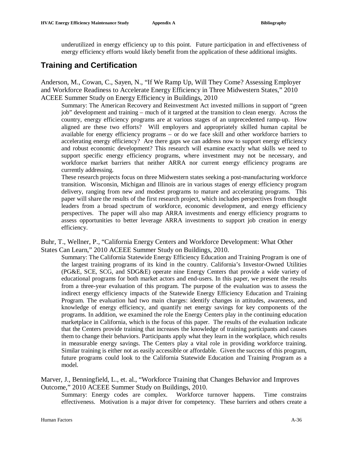underutilized in energy efficiency up to this point. Future participation in and effectiveness of energy efficiency efforts would likely benefit from the application of these additional insights.

## **Training and Certification**

Anderson, M., Cowan, C., Sayen, N., "If We Ramp Up, Will They Come? Assessing Employer and Workforce Readiness to Accelerate Energy Efficiency in Three Midwestern States," 2010 ACEEE Summer Study on Energy Efficiency in Buildings, 2010

Summary: The American Recovery and Reinvestment Act invested millions in support of "green job" development and training – much of it targeted at the transition to clean energy. Across the country, energy efficiency programs are at various stages of an unprecedented ramp-up. How aligned are these two efforts? Will employers and appropriately skilled human capital be available for energy efficiency programs – or do we face skill and other workforce barriers to accelerating energy efficiency? Are there gaps we can address now to support energy efficiency and robust economic development? This research will examine exactly what skills we need to support specific energy efficiency programs, where investment may not be necessary, and workforce market barriers that neither ARRA nor current energy efficiency programs are currently addressing.

These research projects focus on three Midwestern states seeking a post-manufacturing workforce transition. Wisconsin, Michigan and Illinois are in various stages of energy efficiency program delivery, ranging from new and modest programs to mature and accelerating programs. This paper will share the results of the first research project, which includes perspectives from thought leaders from a broad spectrum of workforce, economic development, and energy efficiency perspectives. The paper will also map ARRA investments and energy efficiency programs to assess opportunities to better leverage ARRA investments to support job creation in energy efficiency.

Buhr, T., Wellner, P., "California Energy Centers and Workforce Development: What Other States Can Learn," 2010 ACEEE Summer Study on Buildings, 2010.

Summary: The California Statewide Energy Efficiency Education and Training Program is one of the largest training programs of its kind in the country. California's Investor-Owned Utilities (PG&E, SCE, SCG, and SDG&E) operate nine Energy Centers that provide a wide variety of educational programs for both market actors and end-users. In this paper, we present the results from a three-year evaluation of this program. The purpose of the evaluation was to assess the indirect energy efficiency impacts of the Statewide Energy Efficiency Education and Training Program. The evaluation had two main charges: identify changes in attitudes, awareness, and knowledge of energy efficiency, and quantify net energy savings for key components of the programs. In addition, we examined the role the Energy Centers play in the continuing education marketplace in California, which is the focus of this paper. The results of the evaluation indicate that the Centers provide training that increases the knowledge of training participants and causes them to change their behaviors. Participants apply what they learn in the workplace, which results in measurable energy savings. The Centers play a vital role in providing workforce training. Similar training is either not as easily accessible or affordable. Given the success of this program, future programs could look to the California Statewide Education and Training Program as a model.

Marver, J., Benningfield, L., et. al., "Workforce Training that Changes Behavior and Improves Outcome," 2010 ACEEE Summer Study on Buildings, 2010.

Summary: Energy codes are complex. Workforce turnover happens. Time constrains effectiveness. Motivation is a major driver for competency. These barriers and others create a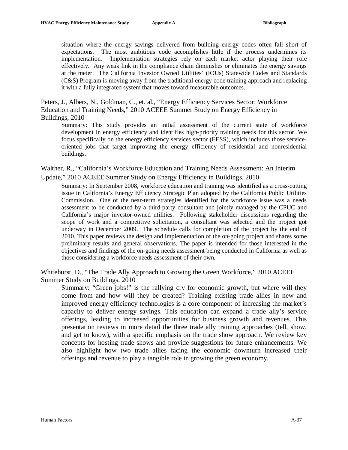situation where the energy savings delivered from building energy codes often fall short of expectations. The most ambitious code accomplishes little if the process undermines its implementation. Implementation strategies rely on each market actor playing their role effectively. Any weak link in the compliance chain diminishes or eliminates the energy savings at the meter. The California Investor Owned Utilities' (IOUs) Statewide Codes and Standards (C&S) Program is moving away from the traditional energy code training approach and replacing it with a fully integrated system that moves toward measurable outcomes.

Peters, J., Albers, N., Goldman, C., et. al., "Energy Efficiency Services Sector: Workforce Education and Training Needs," 2010 ACEEE Summer Study on Energy Efficiency in Buildings, 2010

Summary: This study provides an initial assessment of the current state of workforce development in energy efficiency and identifies high-priority training needs for this sector. We focus specifically on the energy efficiency services sector (EESS), which includes those serviceoriented jobs that target improving the energy efficiency of residential and nonresidential buildings.

Walther, R., "California's Workforce Education and Training Needs Assessment: An Interim Update," 2010 ACEEE Summer Study on Energy Efficiency in Buildings, 2010

Summary: In September 2008, workforce education and training was identified as a cross-cutting issue in California's Energy Efficiency Strategic Plan adopted by the California Public Utilities Commission. One of the near-term strategies identified for the workforce issue was a needs assessment to be conducted by a third-party consultant and jointly managed by the CPUC and California's major investor-owned utilities. Following stakeholder discussions regarding the scope of work and a competitive solicitation, a consultant was selected and the project got underway in December 2009. The schedule calls for completion of the project by the end of 2010. This paper reviews the design and implementation of the on-going project and shares some preliminary results and general observations. The paper is intended for those interested in the objectives and findings of the on-going needs assessment being conducted in California as well as those considering a workforce needs assessment of their own.

Whitehurst, D., "The Trade Ally Approach to Growing the Green Workforce," 2010 ACEEE Summer Study on Buildings, 2010

Summary: "Green jobs!" is the rallying cry for economic growth, but where will they come from and how will they be created? Training existing trade allies in new and improved energy efficiency technologies is a core component of increasing the market's capacity to deliver energy savings. This education can expand a trade ally's service offerings, leading to increased opportunities for business growth and revenues. This presentation reviews in more detail the three trade ally training approaches (tell, show, and get to know), with a specific emphasis on the trade show approach. We review key concepts for hosting trade shows and provide suggestions for future enhancements. We also highlight how two trade allies facing the economic downturn increased their offerings and revenue to play a tangible role in growing the green economy.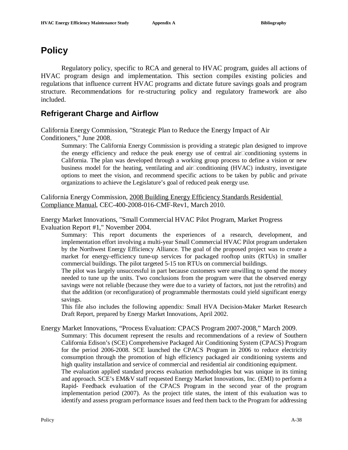# **Policy**

Regulatory policy, specific to RCA and general to HVAC program, guides all actions of HVAC program design and implementation. This section compiles existing policies and regulations that influence current HVAC programs and dictate future savings goals and program structure. Recommendations for re-structuring policy and regulatory framework are also included.

### **Refrigerant Charge and Airflow**

California Energy Commission, "Strategic Plan to Reduce the Energy Impact of Air Conditioners," June 2008.

Summary: The California Energy Commission is providing a strategic plan designed to improve the energy efficiency and reduce the peak energy use of central air□conditioning systems in California. The plan was developed through a working group process to define a vision or new business model for the heating, ventilating and air $\Box$ conditioning (HVAC) industry, investigate options to meet the vision, and recommend specific actions to be taken by public and private organizations to achieve the Legislature's goal of reduced peak energy use.

California Energy Commission, 2008 Building Energy Efficiency Standards Residential Compliance Manual, CEC-400-2008-016-CMF-Rev1, March 2010.

Energy Market Innovations, "Small Commercial HVAC Pilot Program, Market Progress Evaluation Report #1," November 2004.

Summary: This report documents the experiences of a research, development, and implementation effort involving a multi-year Small Commercial HVAC Pilot program undertaken by the Northwest Energy Efficiency Alliance. The goal of the proposed project was to create a market for energy-efficiency tune-up services for packaged rooftop units (RTUs) in smaller commercial buildings. The pilot targeted 5-15 ton RTUs on commercial buildings.

The pilot was largely unsuccessful in part because customers were unwilling to spend the money needed to tune up the units. Two conclusions from the program were that the observed energy savings were not reliable (because they were due to a variety of factors, not just the retrofits) and that the addition (or reconfiguration) of programmable thermostats could yield significant energy savings.

This file also includes the following appendix: Small HVA Decision-Maker Market Research Draft Report, prepared by Energy Market Innovations, April 2002.

Energy Market Innovations, "Process Evaluation: CPACS Program 2007-2008," March 2009.

Summary: This document represent the results and recommendations of a review of Southern California Edison's (SCE) Comprehensive Packaged Air Conditioning System (CPACS) Program for the period 2006-2008. SCE launched the CPACS Program in 2006 to reduce electricity consumption through the promotion of high efficiency packaged air conditioning systems and high quality installation and service of commercial and residential air conditioning equipment. The evaluation applied standard process evaluation methodologies but was unique in its timing and approach. SCE's EM&V staff requested Energy Market Innovations, Inc. (EMI) to perform a Rapid- Feedback evaluation of the CPACS Program in the second year of the program implementation period (2007). As the project title states, the intent of this evaluation was to identify and assess program performance issues and feed them back to the Program for addressing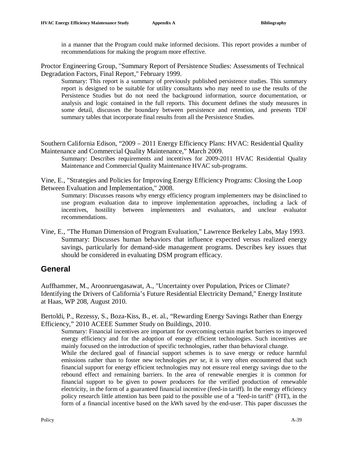in a manner that the Program could make informed decisions. This report provides a number of recommendations for making the program more effective.

Proctor Engineering Group, "Summary Report of Persistence Studies: Assessments of Technical Degradation Factors, Final Report," February 1999.

Summary: This report is a summary of previously published persistence studies. This summary report is designed to be suitable for utility consultants who may need to use the results of the Persistence Studies but do not need the background information, source documentation, or analysis and logic contained in the full reports. This document defines the study measures in some detail, discusses the boundary between persistence and retention, and presents TDF summary tables that incorporate final results from all the Persistence Studies.

Southern California Edison, "2009 – 2011 Energy Efficiency Plans: HVAC: Residential Quality Maintenance and Commercial Quality Maintenance," March 2009.

Summary: Describes requirements and incentives for 2009-2011 HVAC Residential Quality Maintenance and Commercial Quality Maintenance HVAC sub-programs.

Vine, E., "Strategies and Policies for Improving Energy Efficiency Programs: Closing the Loop Between Evaluation and Implementation," 2008.

Summary: Discusses reasons why energy efficiency program implementers may be disinclined to use program evaluation data to improve implementation approaches, including a lack of incentives, hostility between implementers and evaluators, and unclear evaluator recommendations.

Vine, E., "The Human Dimension of Program Evaluation," Lawrence Berkeley Labs, May 1993. Summary: Discusses human behaviors that influence expected versus realized energy savings, particularly for demand-side management programs. Describes key issues that should be considered in evaluating DSM program efficacy.

## **General**

Auffhammer, M., Aroonruengasawat, A., "Uncertainty over Population, Prices or Climate? Identifying the Drivers of California's Future Residential Electricity Demand," Energy Institute at Haas, WP 208, August 2010.

Bertoldi, P., Rezessy, S., Boza-Kiss, B., et. al., "Rewarding Energy Savings Rather than Energy Efficiency," 2010 ACEEE Summer Study on Buildings, 2010.

Summary: Financial incentives are important for overcoming certain market barriers to improved energy efficiency and for the adoption of energy efficient technologies. Such incentives are mainly focused on the introduction of specific technologies, rather than behavioral change.

While the declared goal of financial support schemes is to save energy or reduce harmful emissions rather than to foster new technologies *per* se, it is very often encountered that such financial support for energy efficient technologies may not ensure real energy savings due to the rebound effect and remaining barriers. In the area of renewable energies it is common for financial support to be given to power producers for the verified production of renewable electricity, in the form of a guaranteed financial incentive (feed-in tariff). In the energy efficiency policy research little attention has been paid to the possible use of a "feed-in tariff" (FIT), in the form of a financial incentive based on the kWh saved by the end-user. This paper discusses the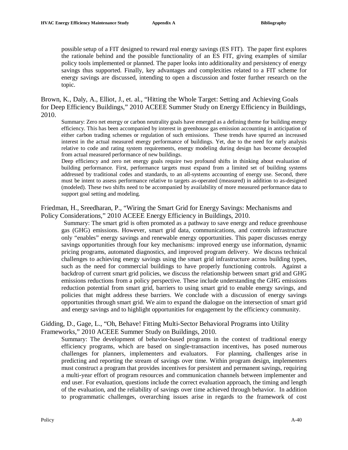possible setup of a FIT designed to reward real energy savings (ES FIT). The paper first explores the rationale behind and the possible functionality of an ES FIT, giving examples of similar policy tools implemented or planned. The paper looks into additionality and persistency of energy savings thus supported. Finally, key advantages and complexities related to a FIT scheme for energy savings are discussed, intending to open a discussion and foster further research on the topic.

Brown, K., Daly, A., Elliot, J., et. al., "Hitting the Whole Target: Setting and Achieving Goals for Deep Efficiency Buildings," 2010 ACEEE Summer Study on Energy Efficiency in Buildings, 2010.

Summary: Zero net energy or carbon neutrality goals have emerged as a defining theme for building energy efficiency. This has been accompanied by interest in greenhouse gas emission accounting in anticipation of either carbon trading schemes or regulation of such emissions. These trends have spurred an increased interest in the actual measured energy performance of buildings. Yet, due to the need for early analysis relative to code and rating system requirements, energy modeling during design has become decoupled from actual measured performance of new buildings.

Deep efficiency and zero net energy goals require two profound shifts in thinking about evaluation of building performance. First, performance targets must expand from a limited set of building systems addressed by traditional codes and standards, to an all-systems accounting of energy use. Second, there must be intent to assess performance relative to targets as-operated (measured) in addition to as-designed (modeled). These two shifts need to be accompanied by availability of more measured performance data to support goal setting and modeling.

Friedman, H., Sreedharan, P., "Wiring the Smart Grid for Energy Savings: Mechanisms and Policy Considerations," 2010 ACEEE Energy Efficiency in Buildings, 2010.

Summary: The smart grid is often promoted as a pathway to save energy and reduce greenhouse gas (GHG) emissions. However, smart grid data, communications, and controls infrastructure only "enables" energy savings and renewable energy opportunities. This paper discusses energy savings opportunities through four key mechanisms: improved energy use information, dynamic pricing programs, automated diagnostics, and improved program delivery. We discuss technical challenges to achieving energy savings using the smart grid infrastructure across building types, such as the need for commercial buildings to have properly functioning controls. Against a backdrop of current smart grid policies, we discuss the relationship between smart grid and GHG emissions reductions from a policy perspective. These include understanding the GHG emissions reduction potential from smart grid, barriers to using smart grid to enable energy savings, and policies that might address these barriers. We conclude with a discussion of energy savings opportunities through smart grid. We aim to expand the dialogue on the intersection of smart grid and energy savings and to highlight opportunities for engagement by the efficiency community.

#### Gidding, D., Gage, L., "Oh, Behave! Fitting Multi-Sector Behavioral Programs into Utility Frameworks," 2010 ACEEE Summer Study on Buildings, 2010.

Summary: The development of behavior-based programs in the context of traditional energy efficiency programs, which are based on single-transaction incentives, has posed numerous challenges for planners, implementers and evaluators. For planning, challenges arise in predicting and reporting the stream of savings over time. Within program design, implementers must construct a program that provides incentives for persistent and permanent savings, requiring a multi-year effort of program resources and communication channels between implementer and end user. For evaluation, questions include the correct evaluation approach, the timing and length of the evaluation, and the reliability of savings over time achieved through behavior. In addition to programmatic challenges, overarching issues arise in regards to the framework of cost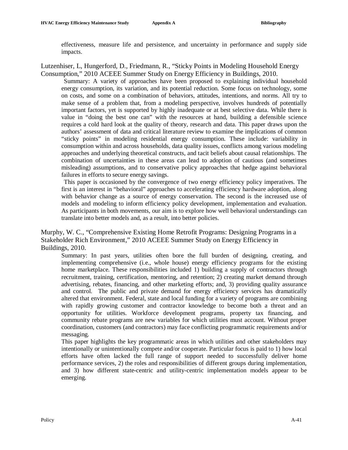effectiveness, measure life and persistence, and uncertainty in performance and supply side impacts.

#### Lutzenhiser, L, Hungerford, D., Friedmann, R., "Sticky Points in Modeling Household Energy Consumption," 2010 ACEEE Summer Study on Energy Efficiency in Buildings, 2010.

Summary: A variety of approaches have been proposed to explaining individual household energy consumption, its variation, and its potential reduction. Some focus on technology, some on costs, and some on a combination of behaviors, attitudes, intentions, and norms. All try to make sense of a problem that, from a modeling perspective, involves hundreds of potentially important factors, yet is supported by highly inadequate or at best selective data. While there is value in "doing the best one can" with the resources at hand, building a defensible science requires a cold hard look at the quality of theory, research and data. This paper draws upon the authors' assessment of data and critical literature review to examine the implications of common "sticky points" in modeling residential energy consumption. These include: variability in consumption within and across households, data quality issues, conflicts among various modeling approaches and underlying theoretical constructs, and tacit beliefs about causal relationships. The combination of uncertainties in these areas can lead to adoption of cautious (and sometimes misleading) assumptions, and to conservative policy approaches that hedge against behavioral failures in efforts to secure energy savings.

This paper is occasioned by the convergence of two energy efficiency policy imperatives. The first is an interest in "behavioral" approaches to accelerating efficiency hardware adoption, along with behavior change as a source of energy conservation. The second is the increased use of models and modeling to inform efficiency policy development, implementation and evaluation. As participants in both movements, our aim is to explore how well behavioral understandings can translate into better models and, as a result, into better policies.

Murphy, W. C., "Comprehensive Existing Home Retrofit Programs: Designing Programs in a Stakeholder Rich Environment," 2010 ACEEE Summer Study on Energy Efficiency in Buildings, 2010.

Summary: In past years, utilities often bore the full burden of designing, creating, and implementing comprehensive (i.e., whole house) energy efficiency programs for the existing home marketplace. These responsibilities included 1) building a supply of contractors through recruitment, training, certification, mentoring, and retention; 2) creating market demand through advertising, rebates, financing, and other marketing efforts; and, 3) providing quality assurance and control. The public and private demand for energy efficiency services has dramatically altered that environment. Federal, state and local funding for a variety of programs are combining with rapidly growing customer and contractor knowledge to become both a threat and an opportunity for utilities. Workforce development programs, property tax financing, and community rebate programs are new variables for which utilities must account. Without proper coordination, customers (and contractors) may face conflicting programmatic requirements and/or messaging.

This paper highlights the key programmatic areas in which utilities and other stakeholders may intentionally or unintentionally compete and/or cooperate. Particular focus is paid to 1) how local efforts have often lacked the full range of support needed to successfully deliver home performance services, 2) the roles and responsibilities of different groups during implementation, and 3) how different state-centric and utility-centric implementation models appear to be emerging.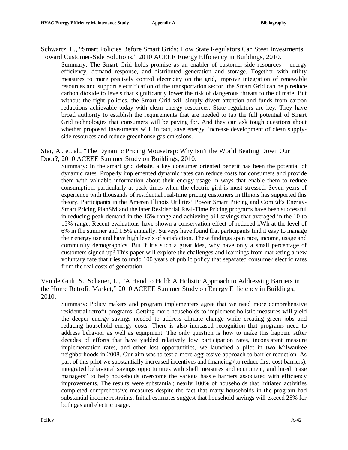Schwartz, L., "Smart Policies Before Smart Grids: How State Regulators Can Steer Investments Toward Customer-Side Solutions," 2010 ACEEE Energy Efficiency in Buildings, 2010.

Summary: The Smart Grid holds promise as an enabler of customer-side resources – energy efficiency, demand response, and distributed generation and storage. Together with utility measures to more precisely control electricity on the grid, improve integration of renewable resources and support electrification of the transportation sector, the Smart Grid can help reduce carbon dioxide to levels that significantly lower the risk of dangerous threats to the climate. But without the right policies, the Smart Grid will simply divert attention and funds from carbon reductions achievable today with clean energy resources. State regulators are key. They have broad authority to establish the requirements that are needed to tap the full potential of Smart Grid technologies that consumers will be paying for. And they can ask tough questions about whether proposed investments will, in fact, save energy, increase development of clean supplyside resources and reduce greenhouse gas emissions.

Star, A., et. al., "The Dynamic Pricing Mousetrap: Why Isn't the World Beating Down Our Door?, 2010 ACEEE Summer Study on Buildings, 2010.

Summary: In the smart grid debate, a key consumer oriented benefit has been the potential of dynamic rates. Properly implemented dynamic rates can reduce costs for consumers and provide them with valuable information about their energy usage in ways that enable them to reduce consumption, particularly at peak times when the electric gird is most stressed. Seven years of experience with thousands of residential real-time pricing customers in Illinois has supported this theory. Participants in the Ameren Illinois Utilities' Power Smart Pricing and ComEd's Energy-Smart Pricing PlanSM and the later Residential Real-Time Pricing programs have been successful in reducing peak demand in the 15% range and achieving bill savings that averaged in the 10 to 15% range. Recent evaluations have shown a conservation effect of reduced kWh at the level of 6% in the summer and 1.5% annually. Surveys have found that participants find it easy to manage their energy use and have high levels of satisfaction. These findings span race, income, usage and community demographics. But if it's such a great idea, why have only a small percentage of customers signed up? This paper will explore the challenges and learnings from marketing a new voluntary rate that tries to undo 100 years of public policy that separated consumer electric rates from the real costs of generation.

Van de Grift, S., Schauer, L., "A Hand to Hold: A Holistic Approach to Addressing Barriers in the Home Retrofit Market," 2010 ACEEE Summer Study on Energy Efficiency in Buildings, 2010.

Summary: Policy makers and program implementers agree that we need more comprehensive residential retrofit programs. Getting more households to implement holistic measures will yield the deeper energy savings needed to address climate change while creating green jobs and reducing household energy costs. There is also increased recognition that programs need to address behavior as well as equipment. The only question is how to make this happen. After decades of efforts that have yielded relatively low participation rates, inconsistent measure implementation rates, and other lost opportunities, we launched a pilot in two Milwaukee neighborhoods in 2008. Our aim was to test a more aggressive approach to barrier reduction. As part of this pilot we substantially increased incentives and financing (to reduce first-cost barriers), integrated behavioral savings opportunities with shell measures and equipment, and hired "case managers" to help households overcome the various hassle barriers associated with efficiency improvements. The results were substantial; nearly 100% of households that initiated activities completed comprehensive measures despite the fact that many households in the program had substantial income restraints. Initial estimates suggest that household savings will exceed 25% for both gas and electric usage.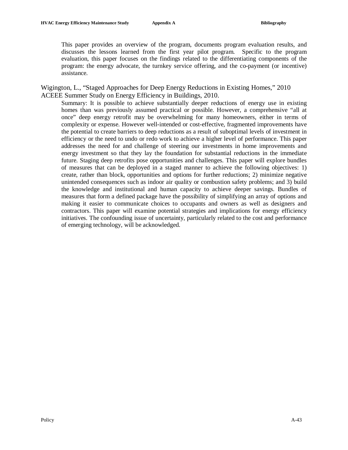This paper provides an overview of the program, documents program evaluation results, and discusses the lessons learned from the first year pilot program. Specific to the program evaluation, this paper focuses on the findings related to the differentiating components of the program: the energy advocate, the turnkey service offering, and the co-payment (or incentive) assistance.

Wigington, L., "Staged Approaches for Deep Energy Reductions in Existing Homes," 2010 ACEEE Summer Study on Energy Efficiency in Buildings, 2010.

Summary: It is possible to achieve substantially deeper reductions of energy use in existing homes than was previously assumed practical or possible. However, a comprehensive "all at once" deep energy retrofit may be overwhelming for many homeowners, either in terms of complexity or expense. However well-intended or cost-effective, fragmented improvements have the potential to create barriers to deep reductions as a result of suboptimal levels of investment in efficiency or the need to undo or redo work to achieve a higher level of performance. This paper addresses the need for and challenge of steering our investments in home improvements and energy investment so that they lay the foundation for substantial reductions in the immediate future. Staging deep retrofits pose opportunities and challenges. This paper will explore bundles of measures that can be deployed in a staged manner to achieve the following objectives: 1) create, rather than block, opportunities and options for further reductions; 2) minimize negative unintended consequences such as indoor air quality or combustion safety problems; and 3) build the knowledge and institutional and human capacity to achieve deeper savings. Bundles of measures that form a defined package have the possibility of simplifying an array of options and making it easier to communicate choices to occupants and owners as well as designers and contractors. This paper will examine potential strategies and implications for energy efficiency initiatives. The confounding issue of uncertainty, particularly related to the cost and performance of emerging technology, will be acknowledged.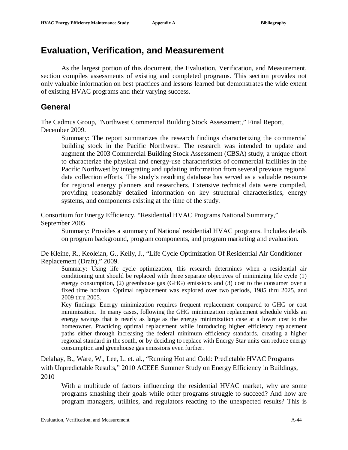# **Evaluation, Verification, and Measurement**

As the largest portion of this document, the Evaluation, Verification, and Measurement, section compiles assessments of existing and completed programs. This section provides not only valuable information on best practices and lessons learned but demonstrates the wide extent of existing HVAC programs and their varying success.

#### **General**

The Cadmus Group, "Northwest Commercial Building Stock Assessment," Final Report, December 2009.

Summary: The report summarizes the research findings characterizing the commercial building stock in the Pacific Northwest. The research was intended to update and augment the 2003 Commercial Building Stock Assessment (CBSA) study, a unique effort to characterize the physical and energy-use characteristics of commercial facilities in the Pacific Northwest by integrating and updating information from several previous regional data collection efforts. The study's resulting database has served as a valuable resource for regional energy planners and researchers. Extensive technical data were compiled, providing reasonably detailed information on key structural characteristics, energy systems, and components existing at the time of the study.

Consortium for Energy Efficiency, "Residential HVAC Programs National Summary," September 2005

Summary: Provides a summary of National residential HVAC programs. Includes details on program background, program components, and program marketing and evaluation.

De Kleine, R., Keoleian, G., Kelly, J., "Life Cycle Optimization Of Residential Air Conditioner Replacement (Draft)," 2009.

Summary: Using life cycle optimization, this research determines when a residential air conditioning unit should be replaced with three separate objectives of minimizing life cycle (1) energy consumption, (2) greenhouse gas (GHG) emissions and (3) cost to the consumer over a fixed time horizon. Optimal replacement was explored over two periods, 1985 thru 2025, and 2009 thru 2005.

Key findings: Energy minimization requires frequent replacement compared to GHG or cost minimization. In many cases, following the GHG minimization replacement schedule yields an energy savings that is nearly as large as the energy minimization case at a lower cost to the homeowner. Practicing optimal replacement while introducing higher efficiency replacement paths either through increasing the federal minimum efficiency standards, creating a higher regional standard in the south, or by deciding to replace with Energy Star units can reduce energy consumption and greenhouse gas emissions even further.

Delahay, B., Ware, W., Lee, L. et. al., "Running Hot and Cold: Predictable HVAC Programs with Unpredictable Results," 2010 ACEEE Summer Study on Energy Efficiency in Buildings, 2010

With a multitude of factors influencing the residential HVAC market, why are some programs smashing their goals while other programs struggle to succeed? And how are program managers, utilities, and regulators reacting to the unexpected results? This is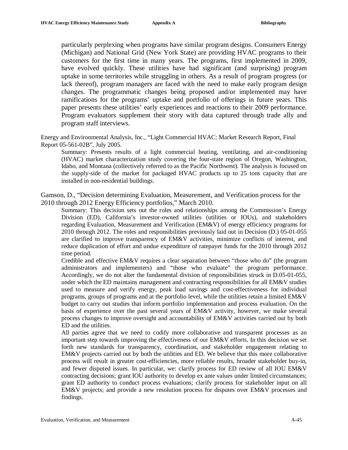particularly perplexing when programs have similar program designs. Consumers Energy (Michigan) and National Grid (New York State) are providing HVAC programs to their customers for the first time in many years. The programs, first implemented in 2009, have evolved quickly. These utilities have had significant (and surprising) program uptake in some territories while struggling in others. As a result of program progress (or lack thereof), program managers are faced with the need to make early program design changes. The programmatic changes being proposed and/or implemented may have ramifications for the programs' uptake and portfolio of offerings in future years. This paper presents these utilities' early experiences and reactions to their 2009 performance. Program evaluators supplement their story with data captured through trade ally and program staff interviews.

Energy and Environmental Analysis, Inc., "Light Commercial HVAC: Market Research Report, Final Report 05-561-02B", July 2005.

Summary: Presents results of a light commercial heating, ventilating, and air-conditioning (HVAC) market characterization study covering the four-state region of Oregon, Washington, Idaho, and Montana (collectively referred to as the Pacific Northwest). The analysis is focused on the supply-side of the market for packaged HVAC products up to 25 tons capacity that are installed in non-residential buildings.

Gamson, D., "Decision determining Evaluation, Measurement, and Verification process for the 2010 through 2012 Energy Efficiency portfolios," March 2010.

Summary: This decision sets out the roles and relationships among the Commission's Energy Division (ED), California's investor-owned utilities (utilities or IOUs), and stakeholders regarding Evaluation, Measurement and Verification (EM&V) of energy efficiency programs for 2010 through 2012. The roles and responsibilities previously laid out in Decision (D.) 05-01-055 are clarified to improve transparency of EM&V activities, minimize conflicts of interest, and reduce duplication of effort and undue expenditure of ratepayer funds for the 2010 through 2012 time period.

Credible and effective  $EM&V$  requires a clear separation between "those who do" (the program administrators and implementers) and "those who evaluate" the program performance. Accordingly, we do not alter the fundamental division of responsibilities struck in D.05-01-055, under which the ED maintains management and contracting responsibilities for all EM&V studies used to measure and verify energy, peak load savings and cost-effectiveness for individual programs, groups of programs and at the portfolio level, while the utilities retain a limited EM&V budget to carry out studies that inform portfolio implementation and process evaluation. On the basis of experience over the past several years of EM&V activity, however, we make several process changes to improve oversight and accountability of EM&V activities carried out by both ED and the utilities.

All parties agree that we need to codify more collaborative and transparent processes as an important step towards improving the effectiveness of our EM&V efforts. In this decision we set forth new standards for transparency, coordination, and stakeholder engagement relating to EM&V projects carried out by both the utilities and ED. We believe that this more collaborative process will result in greater cost-efficiencies, more reliable results, broader stakeholder buy-in, and fewer disputed issues. In particular, we: clarify process for ED review of all IOU EM&V contracting decisions; grant IOU authority to develop ex ante values under limited circumstances; grant ED authority to conduct process evaluations; clarify process for stakeholder input on all EM&V projects; and provide a new resolution process for disputes over EM&V processes and findings.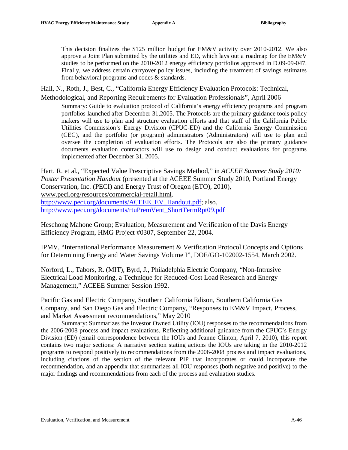This decision finalizes the \$125 million budget for EM&V activity over 2010-2012. We also approve a Joint Plan submitted by the utilities and ED, which lays out a roadmap for the EM&V studies to be performed on the 2010-2012 energy efficiency portfolios approved in D.09-09-047. Finally, we address certain carryover policy issues, including the treatment of savings estimates from behavioral programs and codes & standards.

Hall, N., Roth, J., Best, C., "California Energy Efficiency Evaluation Protocols: Technical,

Methodological, and Reporting Requirements for Evaluation Professionals", April 2006

Summary: Guide to evaluation protocol of California's energy efficiency programs and program portfolios launched after December 31,2005. The Protocols are the primary guidance tools policy makers will use to plan and structure evaluation efforts and that staff of the California Public Utilities Commission's Energy Division (CPUC-ED) and the California Energy Commission (CEC), and the portfolio (or program) administrators (Administrators) will use to plan and oversee the completion of evaluation efforts. The Protocols are also the primary guidance documents evaluation contractors will use to design and conduct evaluations for programs implemented after December 31, 2005.

Hart, R. et al., "Expected Value Prescriptive Savings Method," in *ACEEE Summer Study 2010; Poster Presentation Handout* (presented at the ACEEE Summer Study 2010, Portland Energy Conservation, Inc. (PECI) and Energy Trust of Oregon (ETO), 2010), [www.peci.org/resources/commercial-retail.html.](http://www.peci.org/resources/commercial-retail.html) [http://www.peci.org/documents/ACEEE\\_EV\\_Handout.pdf](http://www.peci.org/documents/ACEEE_EV_Handout.pdf): also. [http://www.peci.org/documents/rtuPremVent\\_ShortTermRpt09.pdf](http://www.peci.org/documents/rtuPremVent_ShortTermRpt09.pdf)

Heschong Mahone Group; Evaluation, Measurement and Verification of the Davis Energy Efficiency Program, HMG Project #0307, September 22, 2004.

IPMV, "International Performance Measurement & Verification Protocol Concepts and Options for Determining Energy and Water Savings Volume I", DOE/GO-102002-1554, March 2002.

Norford, L., Tabors, R. (MIT), Byrd, J., Philadelphia Electric Company, "Non-Intrusive Electrical Load Monitoring, a Technique for Reduced-Cost Load Research and Energy Management," ACEEE Summer Session 1992.

Pacific Gas and Electric Company, Southern California Edison, Southern California Gas Company, and San Diego Gas and Electric Company, "Responses to EM&V Impact, Process, and Market Assessment recommendations," May 2010

Summary: Summarizes the Investor Owned Utility (IOU) responses to the recommendations from the 2006-2008 process and impact evaluations. Reflecting additional guidance from the CPUC's Energy Division (ED) (email correspondence between the IOUs and Jeanne Clinton, April 7, 2010), this report contains two major sections: A narrative section stating actions the IOUs are taking in the 2010-2012 programs to respond positively to recommendations from the 2006-2008 process and impact evaluations, including citations of the section of the relevant PIP that incorporates or could incorporate the recommendation, and an appendix that summarizes all IOU responses (both negative and positive) to the major findings and recommendations from each of the process and evaluation studies.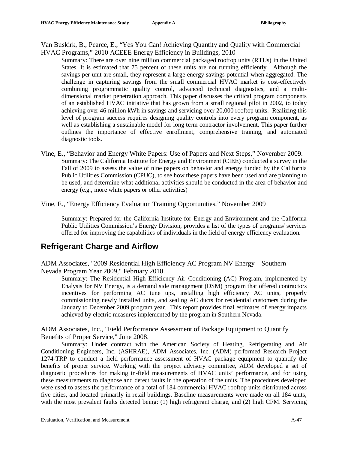Van Buskirk, B., Pearce, E., "Yes You Can! Achieving Quantity and Quality with Commercial HVAC Programs," 2010 ACEEE Energy Efficiency in Buildings, 2010

- Summary: There are over nine million commercial packaged rooftop units (RTUs) in the United States. It is estimated that 75 percent of these units are not running efficiently. Although the savings per unit are small, they represent a large energy savings potential when aggregated. The challenge in capturing savings from the small commercial HVAC market is cost-effectively combining programmatic quality control, advanced technical diagnostics, and a multidimensional market penetration approach. This paper discusses the critical program components of an established HVAC initiative that has grown from a small regional pilot in 2002, to today achieving over 46 million kWh in savings and servicing over 20,000 rooftop units. Realizing this level of program success requires designing quality controls into every program component, as well as establishing a sustainable model for long term contractor involvement. This paper further outlines the importance of effective enrollment, comprehensive training, and automated diagnostic tools.
- Vine, E., "Behavior and Energy White Papers: Use of Papers and Next Steps," November 2009. Summary: The California Institute for Energy and Environment (CIEE) conducted a survey in the Fall of 2009 to assess the value of nine papers on behavior and energy funded by the California Public Utilities Commission (CPUC), to see how these papers have been used and are planning to be used, and determine what additional activities should be conducted in the area of behavior and energy (e.g., more white papers or other activities)
- Vine, E., "Energy Efficiency Evaluation Training Opportunities," November 2009

Summary: Prepared for the California Institute for Energy and Environment and the California Public Utilities Commission's Energy Division, provides a list of the types of programs/ services offered for improving the capabilities of individuals in the field of energy efficiency evaluation.

## **Refrigerant Charge and Airflow**

ADM Associates, "2009 Residential High Efficiency AC Program NV Energy – Southern Nevada Program Year 2009," February 2010.

Summary: The Residential High Efficiency Air Conditioning (AC) Program, implemented by Enalysis for NV Energy, is a demand side management (DSM) program that offered contractors incentives for performing AC tune ups, installing high efficiency AC units, properly commissioning newly installed units, and sealing AC ducts for residential customers during the January to December 2009 program year. This report provides final estimates of energy impacts achieved by electric measures implemented by the program in Southern Nevada.

ADM Associates, Inc., "Field Performance Assessment of Package Equipment to Quantify Benefits of Proper Service," June 2008.

Summary: Under contract with the American Society of Heating, Refrigerating and Air Conditioning Engineers, Inc. (ASHRAE), ADM Associates, Inc. (ADM) performed Research Project 1274-TRP to conduct a field performance assessment of HVAC package equipment to quantify the benefits of proper service. Working with the project advisory committee, ADM developed a set of diagnostic procedures for making in-field measurements of HVAC units' performance, and for using these measurements to diagnose and detect faults in the operation of the units. The procedures developed were used to assess the performance of a total of 184 commercial HVAC rooftop units distributed across five cities, and located primarily in retail buildings. Baseline measurements were made on all 184 units, with the most prevalent faults detected being: (1) high refrigerant charge, and (2) high CFM. Servicing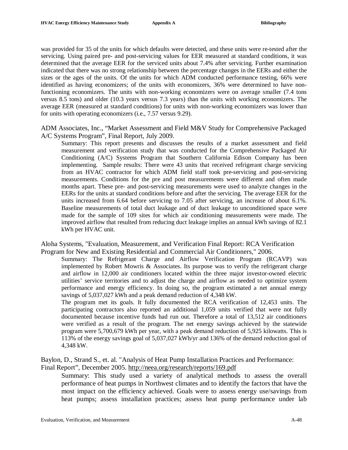was provided for 35 of the units for which defaults were detected, and these units were re-tested after the servicing. Using paired pre- and post-servicing values for EER measured at standard conditions, it was determined that the average EER for the serviced units about 7.4% after servicing. Further examination indicated that there was no strong relationship between the percentage changes in the EERs and either the sizes or the ages of the units. Of the units for which ADM conducted performance testing, 66% were identified as having economizers; of the units with economizers, 36% were determined to have nonfunctioning economizers. The units with non-working economizers were on average smaller (7.4 tons versus 8.5 tons) and older (10.3 years versus 7.3 years) than the units with working economizers. The average EER (measured at standard conditions) for units with non-working economizers was lower than for units with operating economizers (i.e., 7.57 versus 9.29).

ADM Associates, Inc., "Market Assessment and Field M&V Study for Comprehensive Packaged A/C Systems Program", Final Report, July 2009.

Summary: This report presents and discusses the results of a market assessment and field measurement and verification study that was conducted for the Comprehensive Packaged Air Conditioning (A/C) Systems Program that Southern California Edison Company has been implementing. Sample results: There were 43 units that received refrigerant charge servicing from an HVAC contractor for which ADM field staff took pre-servicing and post-servicing measurements. Conditions for the pre and post measurements were different and often made months apart. These pre- and post-servicing measurements were used to analyze changes in the EERs for the units at standard conditions before and after the servicing. The average EER for the units increased from 6.64 before servicing to 7.05 after servicing, an increase of about 6.1%. Baseline measurements of total duct leakage and of duct leakage to unconditioned space were made for the sample of 109 sites for which air conditioning measurements were made. The improved airflow that resulted from reducing duct leakage implies an annual kWh savings of 82.1 kWh per HVAC unit.

Aloha Systems, "Evaluation, Measurement, and Verification Final Report: RCA Verification Program for New and Existing Residential and Commercial Air Conditioners," 2006.

Summary: The Refrigerant Charge and Airflow Verification Program (RCAVP) was implemented by Robert Mowris & Associates. Its purpose was to verify the refrigerant charge and airflow in 12,000 air conditioners located within the three major investor-owned electric utilities' service territories and to adjust the charge and airflow as needed to optimize system performance and energy efficiency. In doing so, the program estimated a net annual energy savings of 5,037,027 kWh and a peak demand reduction of 4,348 kW.

The program met its goals. It fully documented the RCA verification of 12,453 units. The participating contractors also reported an additional 1,059 units verified that were not fully documented because incentive funds had run out. Therefore a total of 13,512 air conditioners were verified as a result of the program. The net energy savings achieved by the statewide program were 5,700,679 kWh per year, with a peak demand reduction of 5,925 kilowatts. This is 113% of the energy savings goal of 5,037,027 kWh/yr and 136% of the demand reduction goal of 4,348 kW.

Baylon, D., Strand S., et. al. "Analysis of Heat Pump Installation Practices and Performance:

Final Report", December 2005. <http://neea.org/research/reports/169.pdf> Summary: This study used a variety of analytical methods to assess the overall

performance of heat pumps in Northwest climates and to identify the factors that have the most impact on the efficiency achieved. Goals were to assess energy use/savings from heat pumps; assess installation practices; assess heat pump performance under lab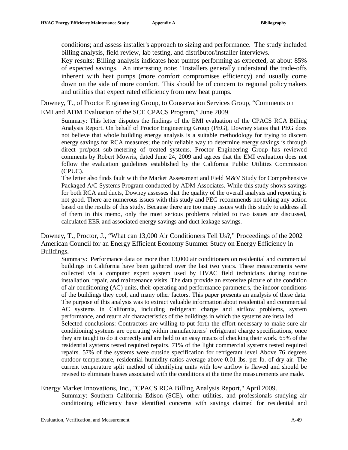conditions; and assess installer's approach to sizing and performance. The study included billing analysis, field review, lab testing, and distributor/installer interviews.

Key results: Billing analysis indicates heat pumps performing as expected, at about 85% of expected savings. An interesting note: "Installers generally understand the trade-offs inherent with heat pumps (more comfort compromises efficiency) and usually come down on the side of more comfort. This should be of concern to regional policymakers and utilities that expect rated efficiency from new heat pumps.

Downey, T., of Proctor Engineering Group, to Conservation Services Group, "Comments on EMI and ADM Evaluation of the SCE CPACS Program," June 2009.

Summary: This letter disputes the findings of the EMI evaluation of the CPACS RCA Billing Analysis Report. On behalf of Proctor Engineering Group (PEG), Downey states that PEG does not believe that whole building energy analysis is a suitable methodology for trying to discern energy savings for RCA measures; the only reliable way to determine energy savings is through direct pre/post sub-metering of treated systems. Proctor Engineering Group has reviewed comments by Robert Mowris, dated June 24, 2009 and agrees that the EMI evaluation does not follow the evaluation guidelines established by the California Public Utilities Commission (CPUC).

The letter also finds fault with the Market Assessment and Field M&V Study for Comprehensive Packaged A/C Systems Program conducted by ADM Associates. While this study shows savings for both RCA and ducts, Downey assesses that the quality of the overall analysis and reporting is not good. There are numerous issues with this study and PEG recommends not taking any action based on the results of this study. Because there are too many issues with this study to address all of them in this memo, only the most serious problems related to two issues are discussed, calculated EER and associated energy savings and duct leakage savings.

Downey, T., Proctor, J., "What can 13,000 Air Conditioners Tell Us?," Proceedings of the 2002 American Council for an Energy Efficient Economy Summer Study on Energy Efficiency in Buildings**.** 

Summary: Performance data on more than 13,000 air conditioners on residential and commercial buildings in California have been gathered over the last two years. These measurements were collected via a computer expert system used by HVAC field technicians during routine installation, repair, and maintenance visits. The data provide an extensive picture of the condition of air conditioning (AC) units, their operating and performance parameters, the indoor conditions of the buildings they cool, and many other factors. This paper presents an analysis of these data. The purpose of this analysis was to extract valuable information about residential and commercial AC systems in California, including refrigerant charge and airflow problems, system performance, and return air characteristics of the buildings in which the systems are installed.

Selected conclusions: Contractors are willing to put forth the effort necessary to make sure air conditioning systems are operating within manufacturers' refrigerant charge specifications, once they are taught to do it correctly and are held to an easy means of checking their work. 65% of the residential systems tested required repairs. 71% of the light commercial systems tested required repairs. 57% of the systems were outside specification for refrigerant level Above 76 degrees outdoor temperature, residential humidity ratios average above 0.01 lbs. per lb. of dry air. The current temperature split method of identifying units with low airflow is flawed and should be revised to eliminate biases associated with the conditions at the time the measurements are made.

#### Energy Market Innovations, Inc., "CPACS RCA Billing Analysis Report," April 2009.

Summary: Southern California Edison (SCE), other utilities, and professionals studying air conditioning efficiency have identified concerns with savings claimed for residential and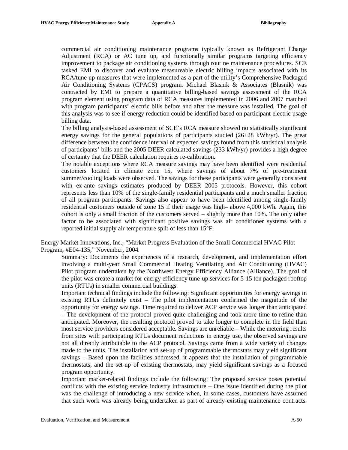commercial air conditioning maintenance programs typically known as Refrigerant Charge Adjustment (RCA) or AC tune up, and functionally similar programs targeting efficiency improvement to package air conditioning systems through routine maintenance procedures. SCE tasked EMI to discover and evaluate measureable electric billing impacts associated with its RCA/tune-up measures that were implemented as a part of the utility's Comprehensive Packaged Air Conditioning Systems (CPACS) program. Michael Blasnik & Associates (Blasnik) was contracted by EMI to prepare a quantitative billing-based savings assessment of the RCA program element using program data of RCA measures implemented in 2006 and 2007 matched with program participants' electric bills before and after the measure was installed. The goal of this analysis was to see if energy reduction could be identified based on participant electric usage billing data.

The billing analysis-based assessment of SCE's RCA measure showed no statistically significant energy savings for the general populations of participants studied  $(26\pm 28 \text{ kWh/yr})$ . The great difference between the confidence interval of expected savings found from this statistical analysis of participants' bills and the 2005 DEER calculated savings (233 kWh/yr) provides a high degree of certainty that the DEER calculation requires re-calibration.

The notable exceptions where RCA measure savings may have been identified were residential customers located in climate zone 15, where savings of about 7% of pre-treatment summer/cooling loads were observed. The savings for these participants were generally consistent with ex-ante savings estimates produced by DEER 2005 protocols. However, this cohort represents less than 10% of the single-family residential participants and a much smaller fraction of all program participants. Savings also appear to have been identified among single-family residential customers outside of zone 15 if their usage was high– above 4,000 kWh. Again, this cohort is only a small fraction of the customers served – slightly more than 10%. The only other factor to be associated with significant positive savings was air conditioner systems with a reported initial supply air temperature split of less than 15°F.

Energy Market Innovations, Inc., "Market Progress Evaluation of the Small Commercial HVAC Pilot Program, #E04-135," November, 2004.

Summary: Documents the experiences of a research, development, and implementation effort involving a multi-year Small Commercial Heating Ventilating and Air Conditioning (HVAC) Pilot program undertaken by the Northwest Energy Efficiency Alliance (Alliance). The goal of the pilot was create a market for energy efficiency tune-up services for 5-15 ton packaged rooftop units (RTUs) in smaller commercial buildings.

Important technical findings include the following: Significant opportunities for energy savings in existing RTUs definitely exist – The pilot implementation confirmed the magnitude of the opportunity for energy savings. Time required to deliver ACP service was longer than anticipated – The development of the protocol proved quite challenging and took more time to refine than anticipated. Moreover, the resulting protocol proved to take longer to complete in the field than most service providers considered acceptable. Savings are unreliable – While the metering results from sites with participating RTUs document reductions in energy use, the observed savings are not all directly attributable to the ACP protocol. Savings came from a wide variety of changes made to the units. The installation and set-up of programmable thermostats may yield significant savings – Based upon the facilities addressed, it appears that the installation of programmable thermostats, and the set-up of existing thermostats, may yield significant savings as a focused program opportunity.

Important market-related findings include the following: The proposed service poses potential conflicts with the existing service industry infrastructure – One issue identified during the pilot was the challenge of introducing a new service when, in some cases, customers have assumed that such work was already being undertaken as part of already-existing maintenance contracts.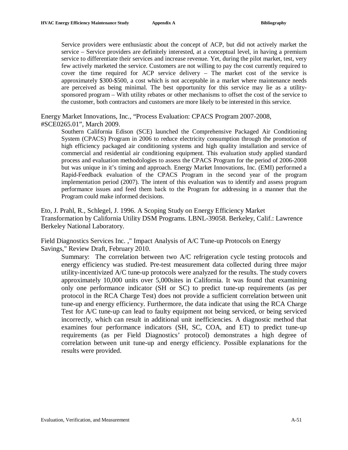Service providers were enthusiastic about the concept of ACP, but did not actively market the service – Service providers are definitely interested, at a conceptual level, in having a premium service to differentiate their services and increase revenue. Yet, during the pilot market, test, very few actively marketed the service. Customers are not willing to pay the cost currently required to cover the time required for ACP service delivery – The market cost of the service is approximately \$300-\$500, a cost which is not acceptable in a market where maintenance needs are perceived as being minimal. The best opportunity for this service may lie as a utilitysponsored program – With utility rebates or other mechanisms to offset the cost of the service to the customer, both contractors and customers are more likely to be interested in this service.

Energy Market Innovations, Inc., "Process Evaluation: CPACS Program 2007-2008, #SCE0265.01", March 2009.

Southern California Edison (SCE) launched the Comprehensive Packaged Air Conditioning System (CPACS) Program in 2006 to reduce electricity consumption through the promotion of high efficiency packaged air conditioning systems and high quality installation and service of commercial and residential air conditioning equipment. This evaluation study applied standard process and evaluation methodologies to assess the CPACS Program for the period of 2006-2008 but was unique in it's timing and approach. Energy Market Innovations, Inc. (EMI) performed a Rapid-Feedback evaluation of the CPACS Program in the second year of the program implementation period (2007). The intent of this evaluation was to identify and assess program performance issues and feed them back to the Program for addressing in a manner that the Program could make informed decisions.

Eto, J. Prahl, R., Schlegel, J. 1996. A Scoping Study on Energy Efficiency Market Transformation by California Utility DSM Programs. LBNL-39058. Berkeley, Calif.: Lawrence Berkeley National Laboratory.

Field Diagnostics Services Inc. ," Impact Analysis of A/C Tune-up Protocols on Energy Savings," Review Draft, February 2010.

Summary: The correlation between two A/C refrigeration cycle testing protocols and energy efficiency was studied. Pre-test measurement data collected during three major utility-incentivized A/C tune-up protocols were analyzed for the results. The study covers approximately 10,000 units over 5,000sites in California. It was found that examining only one performance indicator (SH or SC) to predict tune-up requirements (as per protocol in the RCA Charge Test) does not provide a sufficient correlation between unit tune-up and energy efficiency. Furthermore, the data indicate that using the RCA Charge Test for A/C tune-up can lead to faulty equipment not being serviced, or being serviced incorrectly, which can result in additional unit inefficiencies. A diagnostic method that examines four performance indicators (SH, SC, COA, and ET) to predict tune-up requirements (as per Field Diagnostics' protocol) demonstrates a high degree of correlation between unit tune-up and energy efficiency. Possible explanations for the results were provided.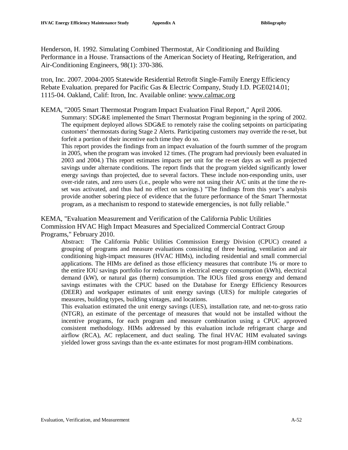Henderson, H. 1992. Simulating Combined Thermostat, Air Conditioning and Building Performance in a House. Transactions of the American Society of Heating, Refrigeration, and Air-Conditioning Engineers, 98(1): 370-386.

tron, Inc. 2007. 2004-2005 Statewide Residential Retrofit Single-Family Energy Efficiency Rebate Evaluation. prepared for Pacific Gas & Electric Company, Study I.D. PGE0214.01; 1115-04. Oakland, Calif: Itron, Inc. Available online: [www.calmac.org](http://www.calmac.org)

KEMA, "2005 Smart Thermostat Program Impact Evaluation Final Report," April 2006.

Summary: SDG&E implemented the Smart Thermostat Program beginning in the spring of 2002. The equipment deployed allows SDG&E to remotely raise the cooling setpoints on participating customers' thermostats during Stage 2 Alerts. Participating customers may override the re-set, but forfeit a portion of their incentive each time they do so.

This report provides the findings from an impact evaluation of the fourth summer of the program in 2005, when the program was invoked 12 times. (The program had previously been evaluated in 2003 and 2004.) This report estimates impacts per unit for the re-set days as well as projected savings under alternate conditions. The report finds that the program yielded significantly lower energy savings than projected, due to several factors. These include non-responding units, user over-ride rates, and zero users (i.e., people who were not using their A/C units at the time the reset was activated, and thus had no effect on savings.) "The findings from this year's analysis provide another sobering piece of evidence that the future performance of the Smart Thermostat program, as a mechanism to respond to statewide emergencies, is not fully reliable."

KEMA, "Evaluation Measurement and Verification of the California Public Utilities Commission HVAC High Impact Measures and Specialized Commercial Contract Group Programs," February 2010.

Abstract: The California Public Utilities Commission Energy Division (CPUC) created a grouping of programs and measure evaluations consisting of three heating, ventilation and air conditioning high-impact measures (HVAC HIMs), including residential and small commercial applications. The HIMs are defined as those efficiency measures that contribute 1% or more to the entire IOU savings portfolio for reductions in electrical energy consumption (kWh), electrical demand (kW), or natural gas (therm) consumption. The IOUs filed gross energy and demand savings estimates with the CPUC based on the Database for Energy Efficiency Resources (DEER) and workpaper estimates of unit energy savings (UES) for multiple categories of measures, building types, building vintages, and locations.

This evaluation estimated the unit energy savings (UES), installation rate, and net-to-gross ratio (NTGR), an estimate of the percentage of measures that would not be installed without the incentive programs, for each program and measure combination using a CPUC approved consistent methodology. HIMs addressed by this evaluation include refrigerant charge and airflow (RCA), AC replacement, and duct sealing. The final HVAC HIM evaluated savings yielded lower gross savings than the ex-ante estimates for most program-HIM combinations.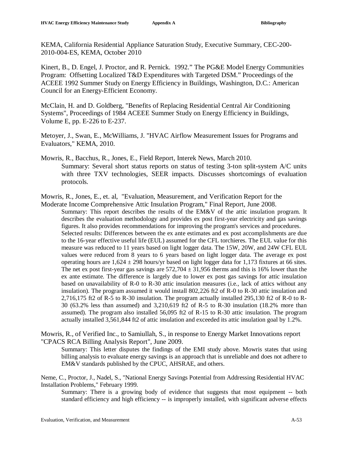KEMA, California Residential Appliance Saturation Study, Executive Summary, CEC-200- 2010-004-ES, KEMA, October 2010

Kinert, B., D. Engel, J. Proctor, and R. Pernick. 1992." The PG&E Model Energy Communities Program: Offsetting Localized T&D Expenditures with Targeted DSM." Proceedings of the ACEEE 1992 Summer Study on Energy Efficiency in Buildings, Washington, D.C.: American Council for an Energy-Efficient Economy.

McClain, H. and D. Goldberg, "Benefits of Replacing Residential Central Air Conditioning Systems", Proceedings of 1984 ACEEE Summer Study on Energy Efficiency in Buildings, Volume E, pp. E-226 to E-237.

Metoyer, J., Swan, E., McWilliams, J. "HVAC Airflow Measurement Issues for Programs and Evaluators," KEMA, 2010.

Mowris, R., Bacchus, R., Jones, E., Field Report, Interek News, March 2010. Summary: Several short status reports on status of testing 3-ton split-system A/C units with three TXV technologies, SEER impacts. Discusses shortcomings of evaluation protocols.

Mowris, R., Jones, E., et. al, "Evaluation, Measurement, and Verification Report for the

Moderate Income Comprehensive Attic Insulation Program," Final Report, June 2008. Summary: This report describes the results of the EM&V of the attic insulation program. It describes the evaluation methodology and provides ex post first-year electricity and gas savings figures. It also provides recommendations for improving the program's services and procedures. Selected results: Differences between the ex ante estimates and ex post accomplishments are due to the 16-year effective useful life (EUL) assumed for the CFL torchieres. The EUL value for this measure was reduced to 11 years based on light logger data. The 15W, 20W, and 24W CFL EUL values were reduced from 8 years to 6 years based on light logger data. The average ex post operating hours are  $1,624 \pm 298$  hours/yr based on light logger data for 1,173 fixtures at 66 sites. The net ex post first-year gas savings are  $572,704 \pm 31,956$  therms and this is 16% lower than the ex ante estimate. The difference is largely due to lower ex post gas savings for attic insulation based on unavailability of R-0 to R-30 attic insulation measures (i.e., lack of attics without any insulation). The program assumed it would install 802,226 ft2 of R-0 to R-30 attic insulation and 2,716,175 ft2 of R-5 to R-30 insulation. The program actually installed 295,130 ft2 of R-0 to R-30 (63.2% less than assumed) and 3,210,619 ft2 of R-5 to R-30 insulation (18.2% more than assumed). The program also installed 56,095 ft2 of R-15 to R-30 attic insulation. The program actually installed 3,561,844 ft2 of attic insulation and exceeded its attic insulation goal by 1.2%.

Mowris, R., of Verified Inc., to Samiullah, S., in response to Energy Market Innovations report "CPACS RCA Billing Analysis Report", June 2009.

Summary: This letter disputes the findings of the EMI study above. Mowris states that using billing analysis to evaluate energy savings is an approach that is unreliable and does not adhere to EM&V standards published by the CPUC, AHSRAE, and others.

Neme, C., Proctor, J., Nadel, S., "National Energy Savings Potential from Addressing Residential HVAC Installation Problems," February 1999.

Summary: There is a growing body of evidence that suggests that most equipment -- both standard efficiency and high efficiency -- is improperly installed, with significant adverse effects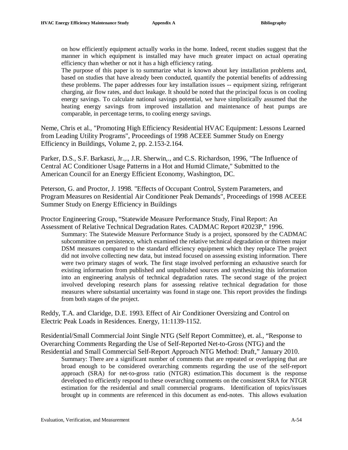on how efficiently equipment actually works in the home. Indeed, recent studies suggest that the manner in which equipment is installed may have much greater impact on actual operating efficiency than whether or not it has a high efficiency rating.

The purpose of this paper is to summarize what is known about key installation problems and, based on studies that have already been conducted, quantify the potential benefits of addressing these problems. The paper addresses four key installation issues -- equipment sizing, refrigerant charging, air flow rates, and duct leakage. It should be noted that the principal focus is on cooling energy savings. To calculate national savings potential, we have simplistically assumed that the heating energy savings from improved installation and maintenance of heat pumps are comparable, in percentage terms, to cooling energy savings.

Neme, Chris et al., "Promoting High Efficiency Residential HVAC Equipment: Lessons Learned from Leading Utility Programs", Proceedings of 1998 ACEEE Summer Study on Energy Efficiency in Buildings, Volume 2, pp. 2.153-2.164.

Parker, D.S., S.F. Barkaszi, Jr.,., J.R. Sherwin,., and C.S. Richardson, 1996, "The Influence of Central AC Conditioner Usage Patterns in a Hot and Humid Climate," Submitted to the American Council for an Energy Efficient Economy, Washington, DC.

Peterson, G. and Proctor, J. 1998. "Effects of Occupant Control, System Parameters, and Program Measures on Residential Air Conditioner Peak Demands", Proceedings of 1998 ACEEE Summer Study on Energy Efficiency in Buildings

Proctor Engineering Group, "Statewide Measure Performance Study, Final Report: An Assessment of Relative Technical Degradation Rates. CADMAC Report #2023P," 1996.

Summary: The Statewide Measure Performance Study is a project, sponsored by the CADMAC subcommittee on persistence, which examined the relative technical degradation or thirteen major DSM measures compared to the standard efficiency equipment which they replace The project did not involve collecting new data, but instead focused on assessing existing information. There were two primary stages of work. The first stage involved performing an exhaustive search for existing information from published and unpublished sources and synthesizing this information into an engineering analysis of technical degradation rates. The second stage of the project involved developing research plans for assessing relative technical degradation for those measures where substantial uncertainty was found in stage one. This report provides the findings from both stages of the project.

Reddy, T.A. and Claridge, D.E. 1993. Effect of Air Conditioner Oversizing and Control on Electric Peak Loads in Residences. Energy, 11:1139-1152.

Residential/Small Commercial Joint Single NTG (Self Report Committee), et. al., "Response to Overarching Comments Regarding the Use of Self-Reported Net-to-Gross (NTG) and the Residential and Small Commercial Self-Report Approach NTG Method: Draft," January 2010.

Summary: There are a significant number of comments that are repeated or overlapping that are broad enough to be considered overarching comments regarding the use of the self-report approach (SRA) for net-to-gross ratio (NTGR) estimation.This document is the response developed to efficiently respond to these overarching comments on the consistent SRA for NTGR estimation for the residential and small commercial programs. Identification of topics/issues brought up in comments are referenced in this document as end-notes. This allows evaluation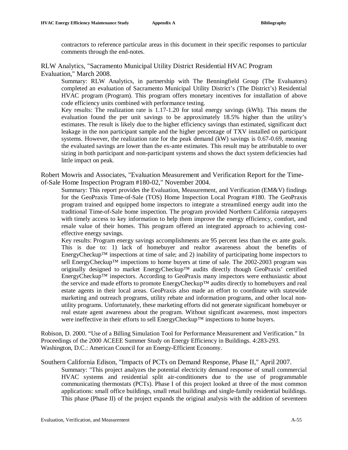contractors to reference particular areas in this document in their specific responses to particular comments through the end-notes.

#### RLW Analytics, "Sacramento Municipal Utility District Residential HVAC Program Evaluation," March 2008.

Summary: RLW Analytics, in partnership with The Benningfield Group (The Evaluators) completed an evaluation of Sacramento Municipal Utility District's (The District's) Residential HVAC program (Program). This program offers monetary incentives for installation of above code efficiency units combined with performance testing.

Key results: The realization rate is 1.17-1.20 for total energy savings (kWh). This means the evaluation found the per unit savings to be approximately 18.5% higher than the utility's estimates. The result is likely due to the higher efficiency savings than estimated, significant duct leakage in the non participant sample and the higher percentage of TXV installed on participant systems. However, the realization rate for the peak demand (kW) savings is 0.67-0.69, meaning the evaluated savings are lower than the ex-ante estimates. This result may be attributable to over sizing in both participant and non-participant systems and shows the duct system deficiencies had little impact on peak.

Robert Mowris and Associates, "Evaluation Measurement and Verification Report for the Timeof-Sale Home Inspection Program #180-02," November 2004.

Summary: This report provides the Evaluation, Measurement, and Verification (EM&V) findings for the GeoPraxis Time-of-Sale (TOS) Home Inspection Local Program #180. The GeoPraxis program trained and equipped home inspectors to integrate a streamlined energy audit into the traditional Time-of-Sale home inspection. The program provided Northern California ratepayers with timely access to key information to help them improve the energy efficiency, comfort, and resale value of their homes. This program offered an integrated approach to achieving costeffective energy savings.

Key results: Program energy savings accomplishments are 95 percent less than the ex ante goals. This is due to: 1) lack of homebuyer and realtor awareness about the benefits of EnergyCheckup™ inspections at time of sale; and 2) inability of participating home inspectors to sell EnergyCheckup™ inspections to home buyers at time of sale. The 2002-2003 program was originally designed to market EnergyCheckup™ audits directly though GeoPraxis' certified EnergyCheckup™ inspectors. According to GeoPraxis many inspectors were enthusiastic about the service and made efforts to promote EnergyCheckup™ audits directly to homebuyers and real estate agents in their local areas. GeoPraxis also made an effort to coordinate with statewide marketing and outreach programs, utility rebate and information programs, and other local nonutility programs. Unfortunately, these marketing efforts did not generate significant homebuyer or real estate agent awareness about the program. Without significant awareness, most inspectors were ineffective in their efforts to sell EnergyCheckup™ inspections to home buyers.

Robison, D. 2000. "Use of a Billing Simulation Tool for Performance Measurement and Verification." In Proceedings of the 2000 ACEEE Summer Study on Energy Efficiency in Buildings. 4:283-293. Washington, D.C.: American Council for an Energy-Efficient Economy.

#### Southern California Edison, "Impacts of PCTs on Demand Response, Phase II," April 2007.

Summary: "This project analyzes the potential electricity demand response of small commercial HVAC systems and residential split air-conditioners due to the use of programmable communicating thermostats (PCTs). Phase I of this project looked at three of the most common applications: small office buildings, small retail buildings and single-family residential buildings. This phase (Phase II) of the project expands the original analysis with the addition of seventeen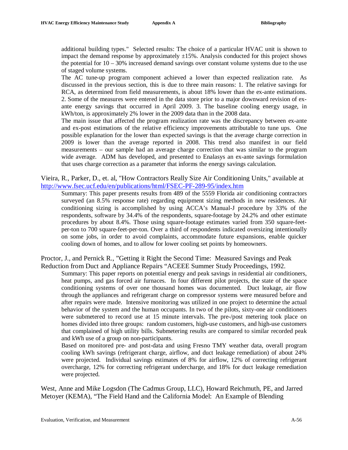additional building types." Selected results: The choice of a particular HVAC unit is shown to impact the demand response by approximately  $\pm 15\%$ . Analysis conducted for this project shows the potential for  $10 - 30\%$  increased demand savings over constant volume systems due to the use of staged volume systems.

The AC tune-up program component achieved a lower than expected realization rate. As discussed in the previous section, this is due to three main reasons: 1. The relative savings for RCA, as determined from field measurements, is about 18% lower than the ex-ante estimations. 2. Some of the measures were entered in the data store prior to a major downward revision of exante energy savings that occurred in April 2009. 3. The baseline cooling energy usage, in kWh/ton, is approximately 2% lower in the 2009 data than in the 2008 data.

The main issue that affected the program realization rate was the discrepancy between ex-ante and ex-post estimations of the relative efficiency improvements attributable to tune ups. One possible explanation for the lower than expected savings is that the average charge correction in 2009 is lower than the average reported in 2008. This trend also manifest in our field measurements – our sample had an average charge correction that was similar to the program wide average. ADM has developed, and presented to Enalasys an ex-ante savings formulation that uses charge correction as a parameter that informs the energy savings calculation.

Vieira, R., Parker, D., et. al, "How Contractors Really Size Air Conditioning Units," available at <http://www.fsec.ucf.edu/en/publications/html/FSEC-PF-289-95/index.htm>

Summary: This paper presents results from 489 of the 5559 Florida air conditioning contractors surveyed (an 8.5% response rate) regarding equipment sizing methods in new residences. Air conditioning sizing is accomplished by using ACCA's Manual-J procedure by 33% of the respondents, software by 34.4% of the respondents, square-footage by 24.2% and other estimate procedures by about 8.4%. Those using square-footage estimates varied from 350 square-feetper-ton to 700 square-feet-per-ton. Over a third of respondents indicated oversizing intentionally on some jobs, in order to avoid complaints, accommodate future expansions, enable quicker cooling down of homes, and to allow for lower cooling set points by homeowners.

Proctor, J., and Pernick R., "Getting it Right the Second Time: Measured Savings and Peak Reduction from Duct and Appliance Repairs "ACEEE Summer Study Proceedings, 1992.

Summary: This paper reports on potential energy and peak savings in residential air conditioners, heat pumps, and gas forced air furnaces. In four different pilot projects, the state of the space conditioning systems of over one thousand homes was documented. Duct leakage, air flow through the appliances and refrigerant charge on compressor systems were measured before and after repairs were made. Intensive monitoring was utilized in one project to determine the actual behavior of the system and the human occupants. In two of the pilots, sixty-one air conditioners were submetered to record use at 15 minute intervals. The pre-/post metering took place on homes divided into three groups: random customers, high-use customers, and high-use customers that complained of high utility bills. Submetering results are compared to similar recorded peak and kWh use of a group on non-participants.

Based on monitored pre- and post-data and using Fresno TMY weather data, overall program cooling kWh savings (refrigerant charge, airflow, and duct leakage remediation) of about 24% were projected. Individual savings estimates of 8% for airflow, 12% of correcting refrigerant overcharge, 12% for correcting refrigerant undercharge, and 18% for duct leakage remediation were projected.

West, Anne and Mike Logsdon (The Cadmus Group, LLC), Howard Reichmuth, PE, and Jarred Metoyer (KEMA), "The Field Hand and the California Model: An Example of Blending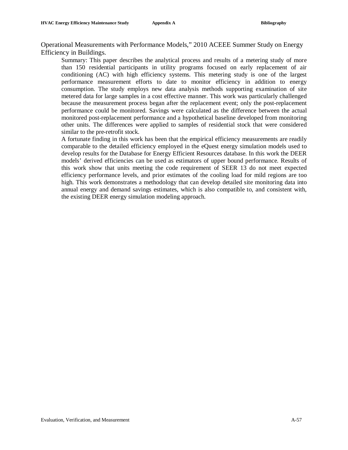Operational Measurements with Performance Models," 2010 ACEEE Summer Study on Energy Efficiency in Buildings.

Summary: This paper describes the analytical process and results of a metering study of more than 150 residential participants in utility programs focused on early replacement of air conditioning (AC) with high efficiency systems. This metering study is one of the largest performance measurement efforts to date to monitor efficiency in addition to energy consumption. The study employs new data analysis methods supporting examination of site metered data for large samples in a cost effective manner. This work was particularly challenged because the measurement process began after the replacement event; only the post-replacement performance could be monitored. Savings were calculated as the difference between the actual monitored post-replacement performance and a hypothetical baseline developed from monitoring other units. The differences were applied to samples of residential stock that were considered similar to the pre-retrofit stock.

A fortunate finding in this work has been that the empirical efficiency measurements are readily comparable to the detailed efficiency employed in the eQuest energy simulation models used to develop results for the Database for Energy Efficient Resources database. In this work the DEER models' derived efficiencies can be used as estimators of upper bound performance. Results of this work show that units meeting the code requirement of SEER 13 do not meet expected efficiency performance levels, and prior estimates of the cooling load for mild regions are too high. This work demonstrates a methodology that can develop detailed site monitoring data into annual energy and demand savings estimates, which is also compatible to, and consistent with, the existing DEER energy simulation modeling approach.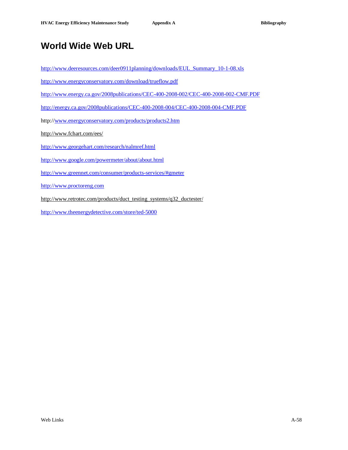# **World Wide Web URL**

[http://www.deeresources.com/deer0911planning/downloads/EUL\\_Summary\\_10-1-08.xls](http://www.deeresources.com/deer0911planning/downloads/EUL_Summary_10-1-08.xls)

<http://www.energyconservatory.com/download/trueflow.pdf>

<http://www.energy.ca.gov/2008publications/CEC-400-2008-002/CEC-400-2008-002-CMF.PDF>

<http://energy.ca.gov/2008publications/CEC-400-2008-004/CEC-400-2008-004-CMF.PDF>

http:/[/www.energyconservatory.com/products/products2.htm](http://www.energyconservatory.com/products/products2.htm)

<http://www.fchart.com/ees/>

<http://www.georgehart.com/research/nalmref.html>

<http://www.google.com/powermeter/about/about.html>

<http://www.greennet.com/consumer/products-services/#gmeter>

<http://www.proctoreng.com>

[http://www.retrotec.com/products/duct\\_testing\\_systems/q32\\_ductester/](http://www.retrotec.com/products/duct_testing_systems/q32_ductester/)

<http://www.theenergydetective.com/store/ted-5000>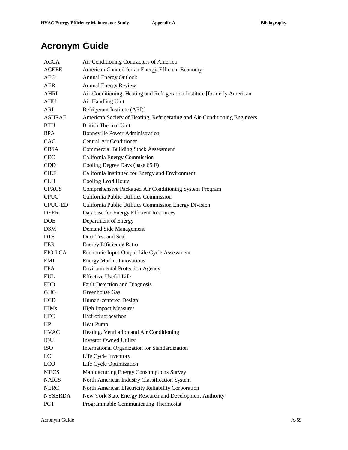# **Acronym Guide**

| <b>ACCA</b>    | Air Conditioning Contractors of America                                   |
|----------------|---------------------------------------------------------------------------|
| <b>ACEEE</b>   | American Council for an Energy-Efficient Economy                          |
| <b>AEO</b>     | <b>Annual Energy Outlook</b>                                              |
| <b>AER</b>     | <b>Annual Energy Review</b>                                               |
| <b>AHRI</b>    | Air-Conditioning, Heating and Refrigeration Institute [formerly American  |
| <b>AHU</b>     | Air Handling Unit                                                         |
| ARI.           | Refrigerant Institute (ARI)]                                              |
| <b>ASHRAE</b>  | American Society of Heating, Refrigerating and Air-Conditioning Engineers |
| <b>BTU</b>     | <b>British Thermal Unit</b>                                               |
| <b>BPA</b>     | <b>Bonneville Power Administration</b>                                    |
| <b>CAC</b>     | Central Air Conditioner                                                   |
| <b>CBSA</b>    | <b>Commercial Building Stock Assessment</b>                               |
| <b>CEC</b>     | California Energy Commission                                              |
| <b>CDD</b>     | Cooling Degree Days (base 65 F)                                           |
| <b>CIEE</b>    | California Instituted for Energy and Environment                          |
| <b>CLH</b>     | Cooling Load Hours                                                        |
| <b>CPACS</b>   | Comprehensive Packaged Air Conditioning System Program                    |
| <b>CPUC</b>    | California Public Utilities Commission                                    |
| <b>CPUC-ED</b> | California Public Utilities Commission Energy Division                    |
| <b>DEER</b>    | Database for Energy Efficient Resources                                   |
| <b>DOE</b>     | Department of Energy                                                      |
| <b>DSM</b>     | Demand Side Management                                                    |
| <b>DTS</b>     | Duct Test and Seal                                                        |
| EER            | Energy Efficiency Ratio                                                   |
| EIO-LCA        | Economic Input-Output Life Cycle Assessment                               |
| EMI            | <b>Energy Market Innovations</b>                                          |
| EPA            | <b>Environmental Protection Agency</b>                                    |
| <b>EUL</b>     | <b>Effective Useful Life</b>                                              |
| <b>FDD</b>     | <b>Fault Detection and Diagnosis</b>                                      |
| <b>GHG</b>     | Greenhouse Gas                                                            |
| <b>HCD</b>     | Human-centered Design                                                     |
| <b>HIMs</b>    | <b>High Impact Measures</b>                                               |
| <b>HFC</b>     | Hydrofluorocarbon                                                         |
| HP             | <b>Heat Pump</b>                                                          |
| <b>HVAC</b>    | Heating, Ventilation and Air Conditioning                                 |
| IOU            | <b>Investor Owned Utility</b>                                             |
| <b>ISO</b>     | International Organization for Standardization                            |
| LCI            | Life Cycle Inventory                                                      |
| <b>LCO</b>     | Life Cycle Optimization                                                   |
| <b>MECS</b>    | Manufacturing Energy Consumptions Survey                                  |
| <b>NAICS</b>   | North American Industry Classification System                             |
| <b>NERC</b>    | North American Electricity Reliability Corporation                        |
| <b>NYSERDA</b> | New York State Energy Research and Development Authority                  |
| PCT            | Programmable Communicating Thermostat                                     |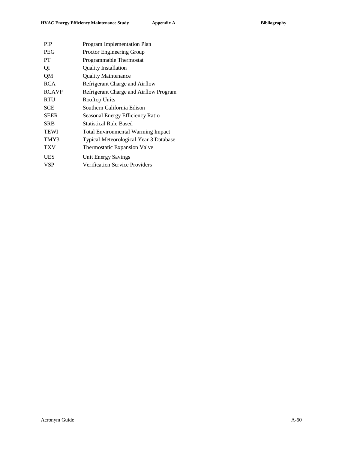| Program Implementation Plan               |
|-------------------------------------------|
| Proctor Engineering Group                 |
| Programmable Thermostat                   |
| <b>Quality Installation</b>               |
| <b>Quality Maintenance</b>                |
| Refrigerant Charge and Airflow            |
| Refrigerant Charge and Airflow Program    |
| Rooftop Units                             |
| Southern California Edison                |
| Seasonal Energy Efficiency Ratio          |
| <b>Statistical Rule Based</b>             |
| <b>Total Environmental Warming Impact</b> |
| Typical Meteorological Year 3 Database    |
| Thermostatic Expansion Valve              |
| Unit Energy Savings                       |
| <b>Verification Service Providers</b>     |
|                                           |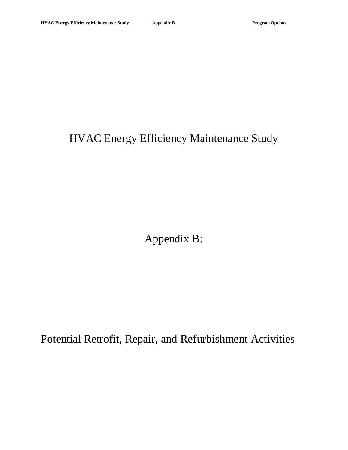# HVAC Energy Efficiency Maintenance Study

Appendix B:

Potential Retrofit, Repair, and Refurbishment Activities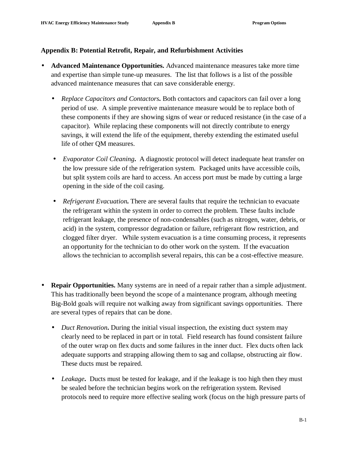#### **Appendix B: Potential Retrofit, Repair, and Refurbishment Activities**

- **Advanced Maintenance Opportunities.** Advanced maintenance measures take more time and expertise than simple tune-up measures. The list that follows is a list of the possible advanced maintenance measures that can save considerable energy.
	- *Replace Capacitors and Contactors***.** Both contactors and capacitors can fail over a long period of use. A simple preventive maintenance measure would be to replace both of these components if they are showing signs of wear or reduced resistance (in the case of a capacitor). While replacing these components will not directly contribute to energy savings, it will extend the life of the equipment, thereby extending the estimated useful life of other QM measures.
	- *Evaporator Coil Cleaning***.** A diagnostic protocol will detect inadequate heat transfer on the low pressure side of the refrigeration system. Packaged units have accessible coils, but split system coils are hard to access. An access port must be made by cutting a large opening in the side of the coil casing.
	- *Refrigerant Evacuation*. There are several faults that require the technician to evacuate the refrigerant within the system in order to correct the problem. These faults include refrigerant leakage, the presence of non-condensables (such as nitrogen, water, debris, or acid) in the system, compressor degradation or failure, refrigerant flow restriction, and clogged filter dryer. While system evacuation is a time consuming process, it represents an opportunity for the technician to do other work on the system. If the evacuation allows the technician to accomplish several repairs, this can be a cost-effective measure.
- **Repair Opportunities.** Many systems are in need of a repair rather than a simple adjustment. This has traditionally been beyond the scope of a maintenance program, although meeting Big-Bold goals will require not walking away from significant savings opportunities. There are several types of repairs that can be done.
	- *Duct Renovation*. During the initial visual inspection, the existing duct system may clearly need to be replaced in part or in total. Field research has found consistent failure of the outer wrap on flex ducts and some failures in the inner duct. Flex ducts often lack adequate supports and strapping allowing them to sag and collapse, obstructing air flow. These ducts must be repaired.
	- *Leakage*. Ducts must be tested for leakage, and if the leakage is too high then they must be sealed before the technician begins work on the refrigeration system. Revised protocols need to require more effective sealing work (focus on the high pressure parts of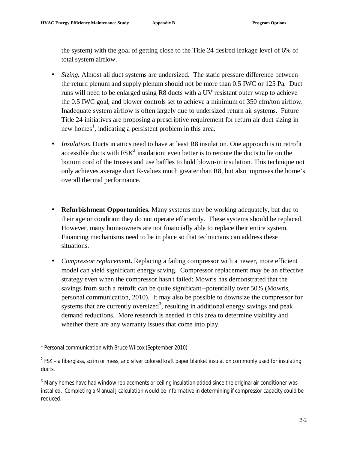the system) with the goal of getting close to the Title 24 desired leakage level of 6% of total system airflow.

- *Sizing***.** Almost all duct systems are undersized. The static pressure difference between the return plenum and supply plenum should not be more than 0.5 IWC or 125 Pa. Duct runs will need to be enlarged using R8 ducts with a UV resistant outer wrap to achieve the 0.5 IWC goal, and blower controls set to achieve a minimum of 350 cfm/ton airflow. Inadequate system airflow is often largely due to undersized return air systems. Future Title 24 initiatives are proposing a prescriptive requirement for return air duct sizing in new homes<sup>1</sup>, indicating a persistent problem in this area.
- *Insulation*. Ducts in attics need to have at least R8 insulation. One approach is to retrofit accessible ducts with  $FSK^2$  insulation; even better is to reroute the ducts to lie on the bottom cord of the trusses and use baffles to hold blown-in insulation. This technique not only achieves average duct R-values much greater than R8, but also improves the home's overall thermal performance.
- **Refurbishment Opportunities.** Many systems may be working adequately, but due to their age or condition they do not operate efficiently. These systems should be replaced. However, many homeowners are not financially able to replace their entire system. Financing mechanisms need to be in place so that technicians can address these situations.
- *Compressor replacement*. Replacing a failing compressor with a newer, more efficient model can yield significant energy saving. Compressor replacement may be an effective strategy even when the compressor hasn't failed; Mowris has demonstrated that the savings from such a retrofit can be quite significant--potentially over 50% (Mowris, personal communication, 2010). It may also be possible to downsize the compressor for systems that are currently oversized<sup>3</sup>, resulting in additional energy savings and peak demand reductions. More research is needed in this area to determine viability and whether there are any warranty issues that come into play.

**.** 

<sup>&</sup>lt;sup>1</sup> Personal communication with Bruce Wilcox (September 2010)

 $^2$  FSK – a fiberglass, scrim or mess, and silver colored kraft paper blanket insulation commonly used for insulating ducts.

<sup>&</sup>lt;sup>3</sup> Many homes have had window replacements or ceiling insulation added since the original air conditioner was installed. Completing a Manual J calculation would be informative in determining if compressor capacity could be reduced.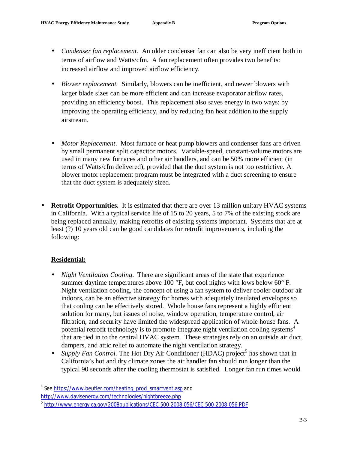- *Condenser fan replacement.* An older condenser fan can also be very inefficient both in terms of airflow and Watts/cfm. A fan replacement often provides two benefits: increased airflow and improved airflow efficiency.
- *Blower replacement.* Similarly, blowers can be inefficient, and newer blowers with larger blade sizes can be more efficient and can increase evaporator airflow rates, providing an efficiency boost. This replacement also saves energy in two ways: by improving the operating efficiency, and by reducing fan heat addition to the supply airstream.
- *Motor Replacement*. Most furnace or heat pump blowers and condenser fans are driven by small permanent split capacitor motors. Variable-speed, constant-volume motors are used in many new furnaces and other air handlers, and can be 50% more efficient (in terms of Watts/cfm delivered), provided that the duct system is not too restrictive. A blower motor replacement program must be integrated with a duct screening to ensure that the duct system is adequately sized.
- **Retrofit Opportunities.** It is estimated that there are over 13 million unitary HVAC systems in California. With a typical service life of 15 to 20 years, 5 to 7% of the existing stock are being replaced annually, making retrofits of existing systems important. Systems that are at least (?) 10 years old can be good candidates for retrofit improvements, including the following:

## **Residential:**

l

- *Night Ventilation Cooling*. There are significant areas of the state that experience summer daytime temperatures above 100  $\degree$ F, but cool nights with lows below 60 $\degree$ F. Night ventilation cooling, the concept of using a fan system to deliver cooler outdoor air indoors, can be an effective strategy for homes with adequately insulated envelopes so that cooling can be effectively stored. Whole house fans represent a highly efficient solution for many, but issues of noise, window operation, temperature control, air filtration, and security have limited the widespread application of whole house fans. A potential retrofit technology is to promote integrate night ventilation cooling systems 4 that are tied in to the central HVAC system. These strategies rely on an outside air duct, dampers, and attic relief to automate the night ventilation strategy.
- *Supply Fan Control.* The Hot Dry Air Conditioner (HDAC) project<sup>5</sup> has shown that in California's hot and dry climate zones the air handler fan should run longer than the typical 90 seconds after the cooling thermostat is satisfied. Longer fan run times would

<sup>&</sup>lt;sup>4</sup> See [https://www.beutler.com/heating\\_prod\\_smartvent.asp](https://www.beutler.com/heating_prod_smartvent.asp) and

<http://www.davisenergy.com/technologies/nightbreeze.php>

<sup>&</sup>lt;sup>5</sup> <http://www.energy.ca.gov/2008publications/CEC-500-2008-056/CEC-500-2008-056.PDF>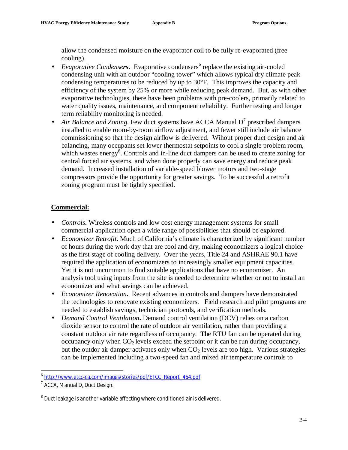allow the condensed moisture on the evaporator coil to be fully re-evaporated (free cooling).

- *Evaporative Condensers*. Evaporative condensers<sup>6</sup> replace the existing air-cooled condensing unit with an outdoor "cooling tower" which allows typical dry climate peak condensing temperatures to be reduced by up to 30°F. This improves the capacity and efficiency of the system by 25% or more while reducing peak demand. But, as with other evaporative technologies, there have been problems with pre-coolers, primarily related to water quality issues, maintenance, and component reliability. Further testing and longer term reliability monitoring is needed.
- Air Balance and Zoning. Few duct systems have ACCA Manual  $D^7$  prescribed dampers installed to enable room-by-room airflow adjustment, and fewer still include air balance commissioning so that the design airflow is delivered. Wihout proper duct design and air balancing, many occupants set lower thermostat setpoints to cool a single problem room, which wastes energy<sup>8</sup>. Controls and in-line duct dampers can be used to create zoning for central forced air systems, and when done properly can save energy and reduce peak demand. Increased installation of variable-speed blower motors and two-stage compressors provide the opportunity for greater savings. To be successful a retrofit zoning program must be tightly specified.

## **Commercial:**

- *Controls***.** Wireless controls and low cost energy management systems for small commercial application open a wide range of possibilities that should be explored.
- *Economizer Retrofit***.** Much of California's climate is characterized by significant number of hours during the work day that are cool and dry, making economizers a logical choice as the first stage of cooling delivery. Over the years, Title 24 and ASHRAE 90.1 have required the application of economizers to increasingly smaller equipment capacities. Yet it is not uncommon to find suitable applications that have no economizer. An analysis tool using inputs from the site is needed to determine whether or not to install an economizer and what savings can be achieved.
- *Economizer Renovation***.** Recent advances in controls and dampers have demonstrated the technologies to renovate existing economizers. Field research and pilot programs are needed to establish savings, technician protocols, and verification methods.
- *Demand Control Ventilation***.** Demand control ventilation (DCV) relies on a carbon dioxide sensor to control the rate of outdoor air ventilation, rather than providing a constant outdoor air rate regardless of occupancy. The RTU fan can be operated during occupancy only when  $CO<sub>2</sub>$  levels exceed the setpoint or it can be run during occupancy, but the outdor air damper activates only when  $CO<sub>2</sub>$  levels are too high. Various strategies can be implemented including a two-speed fan and mixed air temperature controls to

 $\overline{a}$ 

<sup>6</sup> [http://www.etcc-ca.com/images/stories/pdf/ETCC\\_Report\\_464.pdf](http://www.etcc-ca.com/images/stories/pdf/ETCC_Report_464.pdf) 

<sup>&</sup>lt;sup>7</sup> ACCA, Manual D, Duct Design.

 $8$  Duct leakage is another variable affecting where conditioned air is delivered.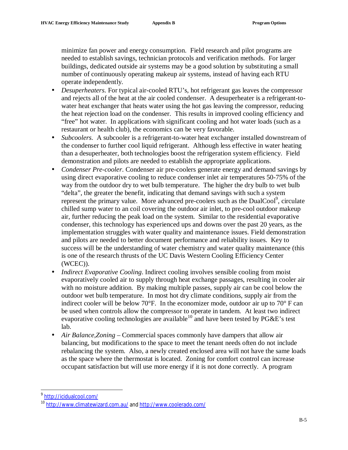minimize fan power and energy consumption. Field research and pilot programs are needed to establish savings, technician protocols and verification methods. For larger buildings, dedicated outside air systems may be a good solution by substituting a small number of continuously operating makeup air systems, instead of having each RTU operate independently.

- *Desuperheaters*. For typical air-cooled RTU's, hot refrigerant gas leaves the compressor and rejects all of the heat at the air cooled condenser. A desuperheater is a refrigerant-towater heat exchanger that heats water using the hot gas leaving the compressor, reducing the heat rejection load on the condenser. This results in improved cooling efficiency and "free" hot water. In applications with significant cooling and hot water loads (such as a restaurant or health club), the economics can be very favorable.
- *Subcoolers*. A subcooler is a refrigerant-to-water heat exchanger installed downstream of the condenser to further cool liquid refrigerant. Although less effective in water heating than a desuperheater, both technologies boost the refrigeration system efficiency. Field demonstration and pilots are needed to establish the appropriate applications.
- *Condenser Pre-cooler*. Condenser air pre-coolers generate energy and demand savings by using direct evaporative cooling to reduce condenser inlet air temperatures 50-75% of the way from the outdoor dry to wet bulb temperature. The higher the dry bulb to wet bulb "delta", the greater the benefit, indicating that demand savings with such a system represent the primary value. More advanced pre-coolers such as the  $DualPool<sup>9</sup>$ , circulate chilled sump water to an coil covering the outdoor air inlet, to pre-cool outdoor makeup air, further reducing the peak load on the system. Similar to the residential evaporative condenser, this technology has experienced ups and downs over the past 20 years, as the implementation struggles with water quality and maintenance issues. Field demonstration and pilots are needed to better document performance and reliability issues. Key to success will be the understanding of water chemistry and water quality maintenance (this is one of the research thrusts of the UC Davis Western Cooling Efficiency Center (WCEC)).
- *Indirect Evaporative Cooling*. Indirect cooling involves sensible cooling from moist evaporatively cooled air to supply through heat exchange passages, resulting in cooler air with no moisture addition. By making multiple passes, supply air can be cool below the outdoor wet bulb temperature. In most hot dry climate conditions, supply air from the indirect cooler will be below  $70^{\circ}$ F. In the economizer mode, outdoor air up to  $70^{\circ}$  F can be used when controls allow the compressor to operate in tandem. At least two indirect evaporative cooling technologies are available<sup>10</sup> and have been tested by PG&E's test lab.
- *Air Balance,Zoning* Commercial spaces commonly have dampers that allow air balancing, but modifications to the space to meet the tenant needs often do not include rebalancing the system. Also, a newly created enclosed area will not have the same loads as the space where the thermostat is located. Zoning for comfort control can increase occupant satisfaction but will use more energy if it is not done correctly. A program

<sup>。&</sup>lt;br><sup>9</sup> <u>http://icidualcool.com/</u>

<sup>10</sup> <http://www.climatewizard.com.au/> and <http://www.coolerado.com/>